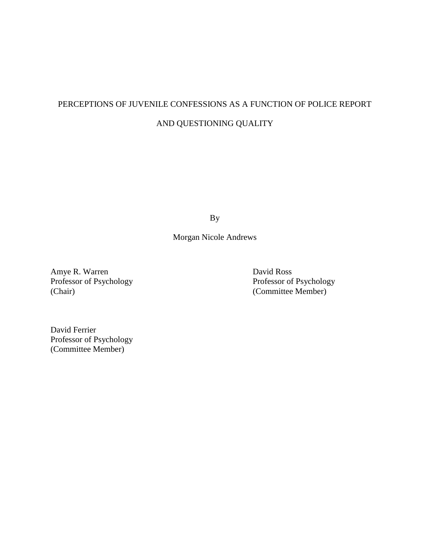# PERCEPTIONS OF JUVENILE CONFESSIONS AS A FUNCTION OF POLICE REPORT AND QUESTIONING QUALITY

By

Morgan Nicole Andrews

Amye R. Warren David Ross

Professor of Psychology<br>
(Chair) Professor of Psychology<br>
(Committee Member) (Committee Member)

David Ferrier Professor of Psychology (Committee Member)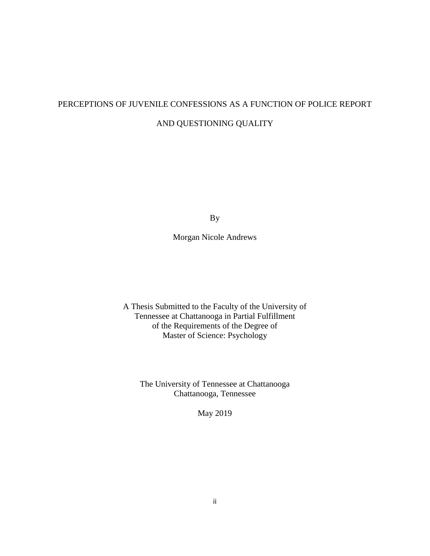# PERCEPTIONS OF JUVENILE CONFESSIONS AS A FUNCTION OF POLICE REPORT AND QUESTIONING QUALITY

By

Morgan Nicole Andrews

A Thesis Submitted to the Faculty of the University of Tennessee at Chattanooga in Partial Fulfillment of the Requirements of the Degree of Master of Science: Psychology

The University of Tennessee at Chattanooga Chattanooga, Tennessee

May 2019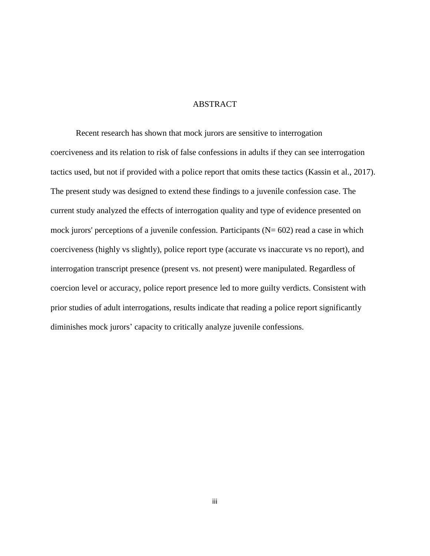## ABSTRACT

Recent research has shown that mock jurors are sensitive to interrogation coerciveness and its relation to risk of false confessions in adults if they can see interrogation tactics used, but not if provided with a police report that omits these tactics (Kassin et al., 2017). The present study was designed to extend these findings to a juvenile confession case. The current study analyzed the effects of interrogation quality and type of evidence presented on mock jurors' perceptions of a juvenile confession. Participants (N= 602) read a case in which coerciveness (highly vs slightly), police report type (accurate vs inaccurate vs no report), and interrogation transcript presence (present vs. not present) were manipulated. Regardless of coercion level or accuracy, police report presence led to more guilty verdicts. Consistent with prior studies of adult interrogations, results indicate that reading a police report significantly diminishes mock jurors' capacity to critically analyze juvenile confessions.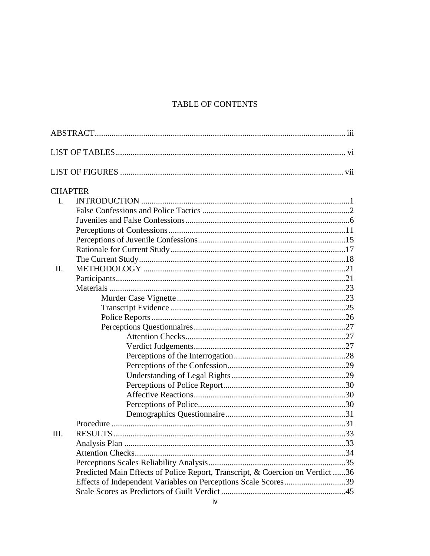## TABLE OF CONTENTS

| <b>CHAPTER</b> |                                                                               |  |
|----------------|-------------------------------------------------------------------------------|--|
| I.             |                                                                               |  |
|                |                                                                               |  |
|                |                                                                               |  |
|                |                                                                               |  |
|                |                                                                               |  |
|                |                                                                               |  |
|                |                                                                               |  |
| П.             |                                                                               |  |
|                |                                                                               |  |
|                |                                                                               |  |
|                |                                                                               |  |
|                |                                                                               |  |
|                |                                                                               |  |
|                |                                                                               |  |
|                |                                                                               |  |
|                |                                                                               |  |
|                |                                                                               |  |
|                |                                                                               |  |
|                |                                                                               |  |
|                |                                                                               |  |
|                |                                                                               |  |
|                |                                                                               |  |
|                |                                                                               |  |
|                |                                                                               |  |
| III.           |                                                                               |  |
|                |                                                                               |  |
|                |                                                                               |  |
|                |                                                                               |  |
|                | Predicted Main Effects of Police Report, Transcript, & Coercion on Verdict 36 |  |
|                | Effects of Independent Variables on Perceptions Scale Scores39                |  |
|                |                                                                               |  |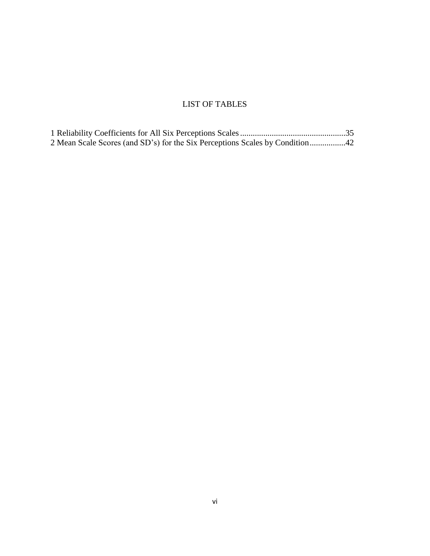# LIST OF TABLES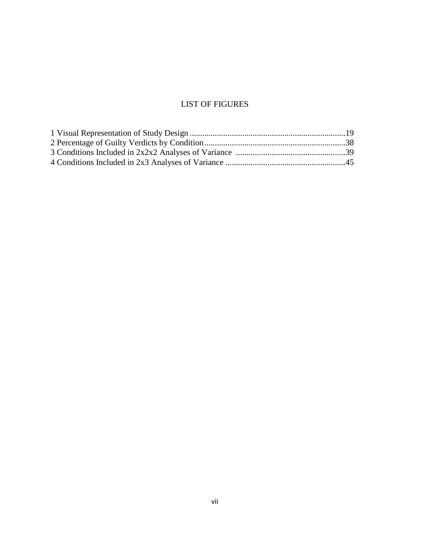## LIST OF FIGURES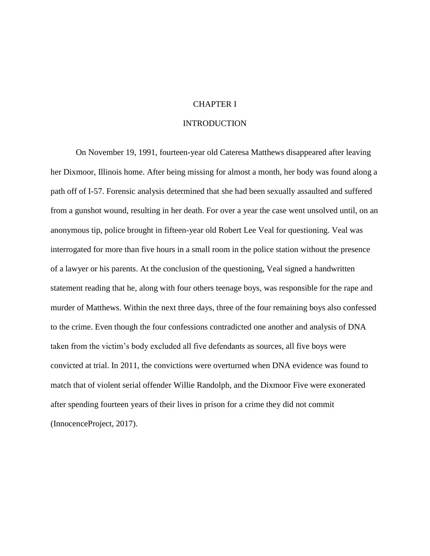## CHAPTER I

## **INTRODUCTION**

On November 19, 1991, fourteen-year old Cateresa Matthews disappeared after leaving her Dixmoor, Illinois home. After being missing for almost a month, her body was found along a path off of I-57. Forensic analysis determined that she had been sexually assaulted and suffered from a gunshot wound, resulting in her death. For over a year the case went unsolved until, on an anonymous tip, police brought in fifteen-year old Robert Lee Veal for questioning. Veal was interrogated for more than five hours in a small room in the police station without the presence of a lawyer or his parents. At the conclusion of the questioning, Veal signed a handwritten statement reading that he, along with four others teenage boys, was responsible for the rape and murder of Matthews. Within the next three days, three of the four remaining boys also confessed to the crime. Even though the four confessions contradicted one another and analysis of DNA taken from the victim's body excluded all five defendants as sources, all five boys were convicted at trial. In 2011, the convictions were overturned when DNA evidence was found to match that of violent serial offender Willie Randolph, and the Dixmoor Five were exonerated after spending fourteen years of their lives in prison for a crime they did not commit (InnocenceProject, 2017).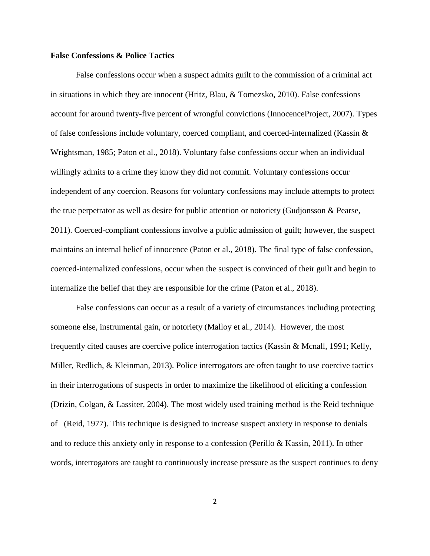## **False Confessions & Police Tactics**

False confessions occur when a suspect admits guilt to the commission of a criminal act in situations in which they are innocent (Hritz, Blau, & Tomezsko, 2010). False confessions account for around twenty-five percent of wrongful convictions (InnocenceProject, 2007). Types of false confessions include voluntary, coerced compliant, and coerced-internalized (Kassin & Wrightsman, 1985; Paton et al., 2018). Voluntary false confessions occur when an individual willingly admits to a crime they know they did not commit. Voluntary confessions occur independent of any coercion. Reasons for voluntary confessions may include attempts to protect the true perpetrator as well as desire for public attention or notoriety (Gudjonsson & Pearse, 2011). Coerced-compliant confessions involve a public admission of guilt; however, the suspect maintains an internal belief of innocence (Paton et al., 2018). The final type of false confession, coerced-internalized confessions, occur when the suspect is convinced of their guilt and begin to internalize the belief that they are responsible for the crime (Paton et al., 2018).

False confessions can occur as a result of a variety of circumstances including protecting someone else, instrumental gain, or notoriety (Malloy et al., 2014). However, the most frequently cited causes are coercive police interrogation tactics (Kassin & Mcnall, 1991; Kelly, Miller, Redlich, & Kleinman, 2013). Police interrogators are often taught to use coercive tactics in their interrogations of suspects in order to maximize the likelihood of eliciting a confession (Drizin, Colgan, & Lassiter, 2004). The most widely used training method is the Reid technique of (Reid, 1977). This technique is designed to increase suspect anxiety in response to denials and to reduce this anxiety only in response to a confession (Perillo & Kassin, 2011). In other words, interrogators are taught to continuously increase pressure as the suspect continues to deny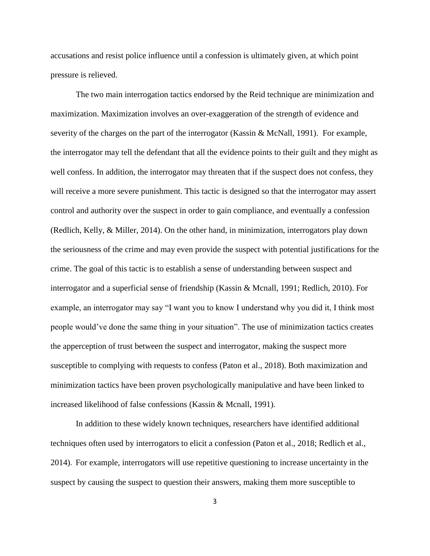accusations and resist police influence until a confession is ultimately given, at which point pressure is relieved.

The two main interrogation tactics endorsed by the Reid technique are minimization and maximization. Maximization involves an over-exaggeration of the strength of evidence and severity of the charges on the part of the interrogator (Kassin & McNall, 1991). For example, the interrogator may tell the defendant that all the evidence points to their guilt and they might as well confess. In addition, the interrogator may threaten that if the suspect does not confess, they will receive a more severe punishment. This tactic is designed so that the interrogator may assert control and authority over the suspect in order to gain compliance, and eventually a confession (Redlich, Kelly, & Miller, 2014). On the other hand, in minimization, interrogators play down the seriousness of the crime and may even provide the suspect with potential justifications for the crime. The goal of this tactic is to establish a sense of understanding between suspect and interrogator and a superficial sense of friendship (Kassin & Mcnall, 1991; Redlich, 2010). For example, an interrogator may say "I want you to know I understand why you did it, I think most people would've done the same thing in your situation". The use of minimization tactics creates the apperception of trust between the suspect and interrogator, making the suspect more susceptible to complying with requests to confess (Paton et al., 2018). Both maximization and minimization tactics have been proven psychologically manipulative and have been linked to increased likelihood of false confessions (Kassin & Mcnall, 1991).

In addition to these widely known techniques, researchers have identified additional techniques often used by interrogators to elicit a confession (Paton et al., 2018; Redlich et al., 2014). For example, interrogators will use repetitive questioning to increase uncertainty in the suspect by causing the suspect to question their answers, making them more susceptible to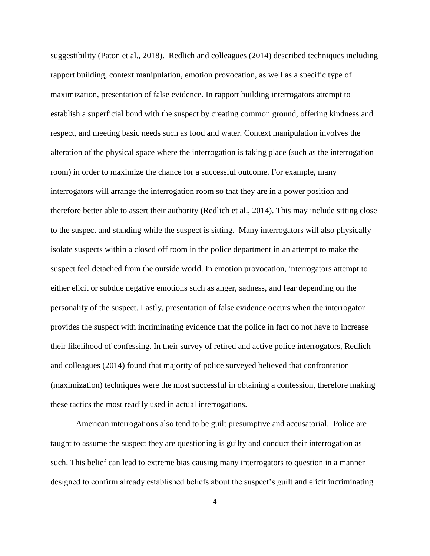suggestibility (Paton et al., 2018). Redlich and colleagues (2014) described techniques including rapport building, context manipulation, emotion provocation, as well as a specific type of maximization, presentation of false evidence. In rapport building interrogators attempt to establish a superficial bond with the suspect by creating common ground, offering kindness and respect, and meeting basic needs such as food and water. Context manipulation involves the alteration of the physical space where the interrogation is taking place (such as the interrogation room) in order to maximize the chance for a successful outcome. For example, many interrogators will arrange the interrogation room so that they are in a power position and therefore better able to assert their authority (Redlich et al., 2014). This may include sitting close to the suspect and standing while the suspect is sitting. Many interrogators will also physically isolate suspects within a closed off room in the police department in an attempt to make the suspect feel detached from the outside world. In emotion provocation, interrogators attempt to either elicit or subdue negative emotions such as anger, sadness, and fear depending on the personality of the suspect. Lastly, presentation of false evidence occurs when the interrogator provides the suspect with incriminating evidence that the police in fact do not have to increase their likelihood of confessing. In their survey of retired and active police interrogators, Redlich and colleagues (2014) found that majority of police surveyed believed that confrontation (maximization) techniques were the most successful in obtaining a confession, therefore making these tactics the most readily used in actual interrogations.

American interrogations also tend to be guilt presumptive and accusatorial. Police are taught to assume the suspect they are questioning is guilty and conduct their interrogation as such. This belief can lead to extreme bias causing many interrogators to question in a manner designed to confirm already established beliefs about the suspect's guilt and elicit incriminating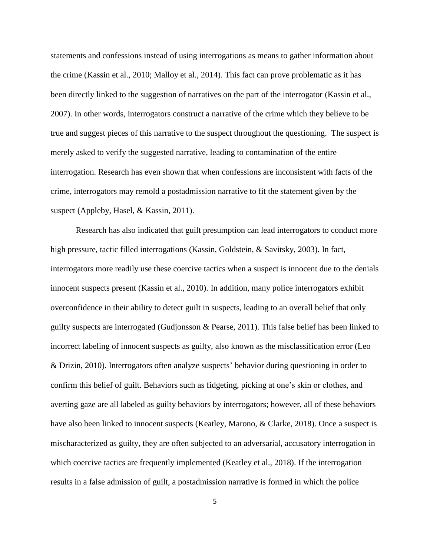statements and confessions instead of using interrogations as means to gather information about the crime (Kassin et al., 2010; Malloy et al., 2014). This fact can prove problematic as it has been directly linked to the suggestion of narratives on the part of the interrogator (Kassin et al., 2007). In other words, interrogators construct a narrative of the crime which they believe to be true and suggest pieces of this narrative to the suspect throughout the questioning. The suspect is merely asked to verify the suggested narrative, leading to contamination of the entire interrogation. Research has even shown that when confessions are inconsistent with facts of the crime, interrogators may remold a postadmission narrative to fit the statement given by the suspect (Appleby, Hasel, & Kassin, 2011).

Research has also indicated that guilt presumption can lead interrogators to conduct more high pressure, tactic filled interrogations (Kassin, Goldstein, & Savitsky, 2003). In fact, interrogators more readily use these coercive tactics when a suspect is innocent due to the denials innocent suspects present (Kassin et al., 2010). In addition, many police interrogators exhibit overconfidence in their ability to detect guilt in suspects, leading to an overall belief that only guilty suspects are interrogated (Gudjonsson & Pearse, 2011). This false belief has been linked to incorrect labeling of innocent suspects as guilty, also known as the misclassification error (Leo & Drizin, 2010). Interrogators often analyze suspects' behavior during questioning in order to confirm this belief of guilt. Behaviors such as fidgeting, picking at one's skin or clothes, and averting gaze are all labeled as guilty behaviors by interrogators; however, all of these behaviors have also been linked to innocent suspects (Keatley, Marono, & Clarke, 2018). Once a suspect is mischaracterized as guilty, they are often subjected to an adversarial, accusatory interrogation in which coercive tactics are frequently implemented (Keatley et al., 2018). If the interrogation results in a false admission of guilt, a postadmission narrative is formed in which the police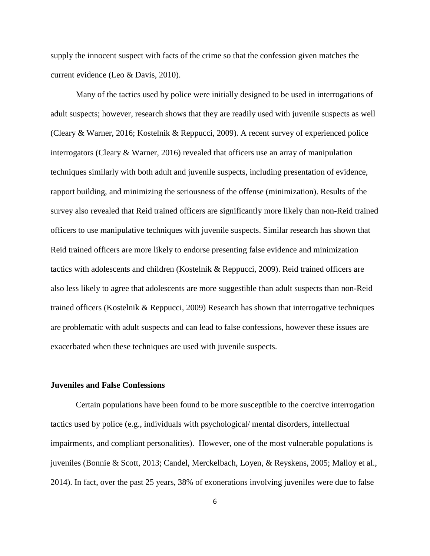supply the innocent suspect with facts of the crime so that the confession given matches the current evidence (Leo & Davis, 2010).

Many of the tactics used by police were initially designed to be used in interrogations of adult suspects; however, research shows that they are readily used with juvenile suspects as well (Cleary & Warner, 2016; Kostelnik & Reppucci, 2009). A recent survey of experienced police interrogators (Cleary & Warner, 2016) revealed that officers use an array of manipulation techniques similarly with both adult and juvenile suspects, including presentation of evidence, rapport building, and minimizing the seriousness of the offense (minimization). Results of the survey also revealed that Reid trained officers are significantly more likely than non-Reid trained officers to use manipulative techniques with juvenile suspects. Similar research has shown that Reid trained officers are more likely to endorse presenting false evidence and minimization tactics with adolescents and children (Kostelnik & Reppucci, 2009). Reid trained officers are also less likely to agree that adolescents are more suggestible than adult suspects than non-Reid trained officers (Kostelnik & Reppucci, 2009) Research has shown that interrogative techniques are problematic with adult suspects and can lead to false confessions, however these issues are exacerbated when these techniques are used with juvenile suspects.

## **Juveniles and False Confessions**

Certain populations have been found to be more susceptible to the coercive interrogation tactics used by police (e.g., individuals with psychological/ mental disorders, intellectual impairments, and compliant personalities). However, one of the most vulnerable populations is juveniles (Bonnie & Scott, 2013; Candel, Merckelbach, Loyen, & Reyskens, 2005; Malloy et al., 2014). In fact, over the past 25 years, 38% of exonerations involving juveniles were due to false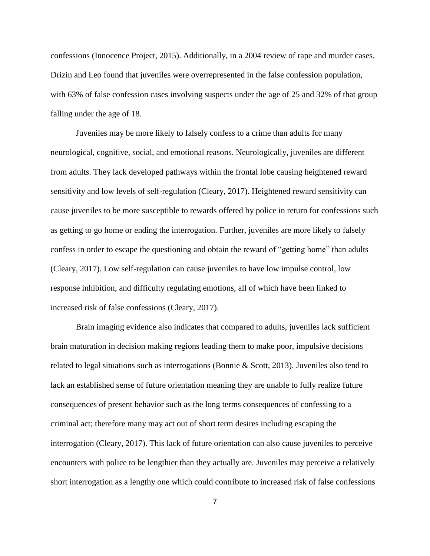confessions (Innocence Project, 2015). Additionally, in a 2004 review of rape and murder cases, Drizin and Leo found that juveniles were overrepresented in the false confession population, with 63% of false confession cases involving suspects under the age of 25 and 32% of that group falling under the age of 18.

Juveniles may be more likely to falsely confess to a crime than adults for many neurological, cognitive, social, and emotional reasons. Neurologically, juveniles are different from adults. They lack developed pathways within the frontal lobe causing heightened reward sensitivity and low levels of self-regulation (Cleary, 2017). Heightened reward sensitivity can cause juveniles to be more susceptible to rewards offered by police in return for confessions such as getting to go home or ending the interrogation. Further, juveniles are more likely to falsely confess in order to escape the questioning and obtain the reward of "getting home" than adults (Cleary, 2017). Low self-regulation can cause juveniles to have low impulse control, low response inhibition, and difficulty regulating emotions, all of which have been linked to increased risk of false confessions (Cleary, 2017).

Brain imaging evidence also indicates that compared to adults, juveniles lack sufficient brain maturation in decision making regions leading them to make poor, impulsive decisions related to legal situations such as interrogations (Bonnie & Scott, 2013). Juveniles also tend to lack an established sense of future orientation meaning they are unable to fully realize future consequences of present behavior such as the long terms consequences of confessing to a criminal act; therefore many may act out of short term desires including escaping the interrogation (Cleary, 2017). This lack of future orientation can also cause juveniles to perceive encounters with police to be lengthier than they actually are. Juveniles may perceive a relatively short interrogation as a lengthy one which could contribute to increased risk of false confessions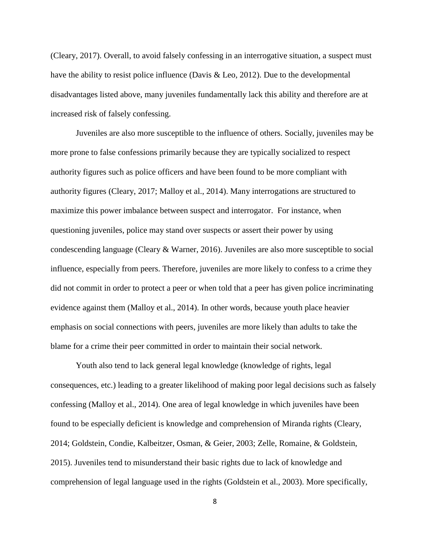(Cleary, 2017). Overall, to avoid falsely confessing in an interrogative situation, a suspect must have the ability to resist police influence (Davis  $\&$  Leo, 2012). Due to the developmental disadvantages listed above, many juveniles fundamentally lack this ability and therefore are at increased risk of falsely confessing.

Juveniles are also more susceptible to the influence of others. Socially, juveniles may be more prone to false confessions primarily because they are typically socialized to respect authority figures such as police officers and have been found to be more compliant with authority figures (Cleary, 2017; Malloy et al., 2014). Many interrogations are structured to maximize this power imbalance between suspect and interrogator. For instance, when questioning juveniles, police may stand over suspects or assert their power by using condescending language (Cleary & Warner, 2016). Juveniles are also more susceptible to social influence, especially from peers. Therefore, juveniles are more likely to confess to a crime they did not commit in order to protect a peer or when told that a peer has given police incriminating evidence against them (Malloy et al., 2014). In other words, because youth place heavier emphasis on social connections with peers, juveniles are more likely than adults to take the blame for a crime their peer committed in order to maintain their social network.

Youth also tend to lack general legal knowledge (knowledge of rights, legal consequences, etc.) leading to a greater likelihood of making poor legal decisions such as falsely confessing (Malloy et al., 2014). One area of legal knowledge in which juveniles have been found to be especially deficient is knowledge and comprehension of Miranda rights (Cleary, 2014; Goldstein, Condie, Kalbeitzer, Osman, & Geier, 2003; Zelle, Romaine, & Goldstein, 2015). Juveniles tend to misunderstand their basic rights due to lack of knowledge and comprehension of legal language used in the rights (Goldstein et al., 2003). More specifically,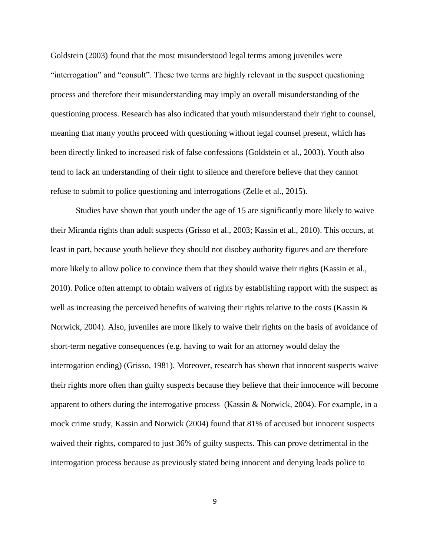Goldstein (2003) found that the most misunderstood legal terms among juveniles were "interrogation" and "consult". These two terms are highly relevant in the suspect questioning process and therefore their misunderstanding may imply an overall misunderstanding of the questioning process. Research has also indicated that youth misunderstand their right to counsel, meaning that many youths proceed with questioning without legal counsel present, which has been directly linked to increased risk of false confessions (Goldstein et al., 2003). Youth also tend to lack an understanding of their right to silence and therefore believe that they cannot refuse to submit to police questioning and interrogations (Zelle et al., 2015).

Studies have shown that youth under the age of 15 are significantly more likely to waive their Miranda rights than adult suspects (Grisso et al., 2003; Kassin et al., 2010). This occurs, at least in part, because youth believe they should not disobey authority figures and are therefore more likely to allow police to convince them that they should waive their rights (Kassin et al., 2010). Police often attempt to obtain waivers of rights by establishing rapport with the suspect as well as increasing the perceived benefits of waiving their rights relative to the costs (Kassin & Norwick, 2004). Also, juveniles are more likely to waive their rights on the basis of avoidance of short-term negative consequences (e.g. having to wait for an attorney would delay the interrogation ending) (Grisso, 1981). Moreover, research has shown that innocent suspects waive their rights more often than guilty suspects because they believe that their innocence will become apparent to others during the interrogative process (Kassin & Norwick, 2004). For example, in a mock crime study, Kassin and Norwick (2004) found that 81% of accused but innocent suspects waived their rights, compared to just 36% of guilty suspects. This can prove detrimental in the interrogation process because as previously stated being innocent and denying leads police to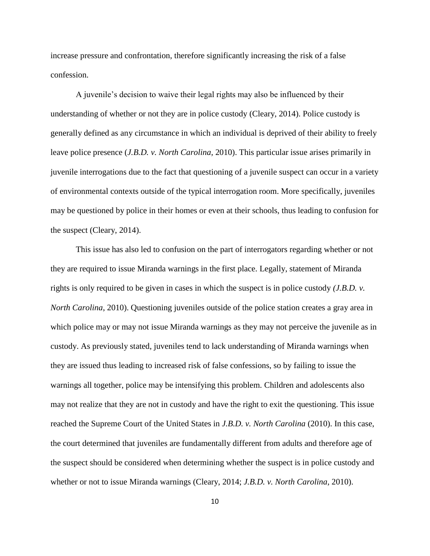increase pressure and confrontation, therefore significantly increasing the risk of a false confession.

A juvenile's decision to waive their legal rights may also be influenced by their understanding of whether or not they are in police custody (Cleary, 2014). Police custody is generally defined as any circumstance in which an individual is deprived of their ability to freely leave police presence (*J.B.D. v. North Carolina*, 2010). This particular issue arises primarily in juvenile interrogations due to the fact that questioning of a juvenile suspect can occur in a variety of environmental contexts outside of the typical interrogation room. More specifically, juveniles may be questioned by police in their homes or even at their schools, thus leading to confusion for the suspect (Cleary, 2014).

This issue has also led to confusion on the part of interrogators regarding whether or not they are required to issue Miranda warnings in the first place. Legally, statement of Miranda rights is only required to be given in cases in which the suspect is in police custody *(J.B.D. v. North Carolina*, 2010). Questioning juveniles outside of the police station creates a gray area in which police may or may not issue Miranda warnings as they may not perceive the juvenile as in custody. As previously stated, juveniles tend to lack understanding of Miranda warnings when they are issued thus leading to increased risk of false confessions, so by failing to issue the warnings all together, police may be intensifying this problem. Children and adolescents also may not realize that they are not in custody and have the right to exit the questioning. This issue reached the Supreme Court of the United States in *J.B.D. v. North Carolina* (2010). In this case, the court determined that juveniles are fundamentally different from adults and therefore age of the suspect should be considered when determining whether the suspect is in police custody and whether or not to issue Miranda warnings (Cleary, 2014; *J.B.D. v. North Carolina*, 2010).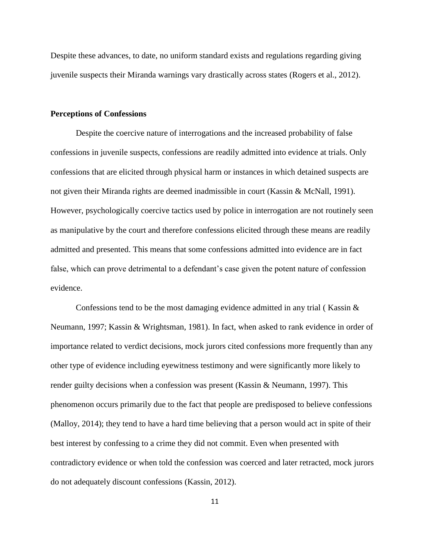Despite these advances, to date, no uniform standard exists and regulations regarding giving juvenile suspects their Miranda warnings vary drastically across states (Rogers et al., 2012).

## **Perceptions of Confessions**

Despite the coercive nature of interrogations and the increased probability of false confessions in juvenile suspects, confessions are readily admitted into evidence at trials. Only confessions that are elicited through physical harm or instances in which detained suspects are not given their Miranda rights are deemed inadmissible in court (Kassin & McNall, 1991). However, psychologically coercive tactics used by police in interrogation are not routinely seen as manipulative by the court and therefore confessions elicited through these means are readily admitted and presented. This means that some confessions admitted into evidence are in fact false, which can prove detrimental to a defendant's case given the potent nature of confession evidence.

Confessions tend to be the most damaging evidence admitted in any trial (Kassin  $\&$ Neumann, 1997; Kassin & Wrightsman, 1981). In fact, when asked to rank evidence in order of importance related to verdict decisions, mock jurors cited confessions more frequently than any other type of evidence including eyewitness testimony and were significantly more likely to render guilty decisions when a confession was present (Kassin & Neumann, 1997). This phenomenon occurs primarily due to the fact that people are predisposed to believe confessions (Malloy, 2014); they tend to have a hard time believing that a person would act in spite of their best interest by confessing to a crime they did not commit. Even when presented with contradictory evidence or when told the confession was coerced and later retracted, mock jurors do not adequately discount confessions (Kassin, 2012).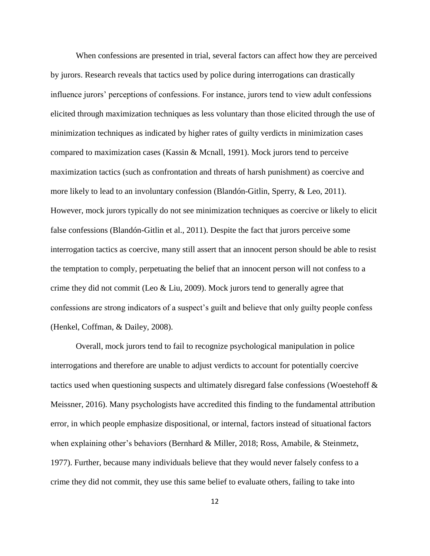When confessions are presented in trial, several factors can affect how they are perceived by jurors. Research reveals that tactics used by police during interrogations can drastically influence jurors' perceptions of confessions. For instance, jurors tend to view adult confessions elicited through maximization techniques as less voluntary than those elicited through the use of minimization techniques as indicated by higher rates of guilty verdicts in minimization cases compared to maximization cases (Kassin & Mcnall, 1991). Mock jurors tend to perceive maximization tactics (such as confrontation and threats of harsh punishment) as coercive and more likely to lead to an involuntary confession (Blandón-Gitlin, Sperry, & Leo, 2011). However, mock jurors typically do not see minimization techniques as coercive or likely to elicit false confessions (Blandón-Gitlin et al., 2011). Despite the fact that jurors perceive some interrogation tactics as coercive, many still assert that an innocent person should be able to resist the temptation to comply, perpetuating the belief that an innocent person will not confess to a crime they did not commit (Leo  $& Liu, 2009$ ). Mock jurors tend to generally agree that confessions are strong indicators of a suspect's guilt and believe that only guilty people confess (Henkel, Coffman, & Dailey, 2008).

Overall, mock jurors tend to fail to recognize psychological manipulation in police interrogations and therefore are unable to adjust verdicts to account for potentially coercive tactics used when questioning suspects and ultimately disregard false confessions (Woestehoff & Meissner, 2016). Many psychologists have accredited this finding to the fundamental attribution error, in which people emphasize dispositional, or internal, factors instead of situational factors when explaining other's behaviors (Bernhard & Miller, 2018; Ross, Amabile, & Steinmetz, 1977). Further, because many individuals believe that they would never falsely confess to a crime they did not commit, they use this same belief to evaluate others, failing to take into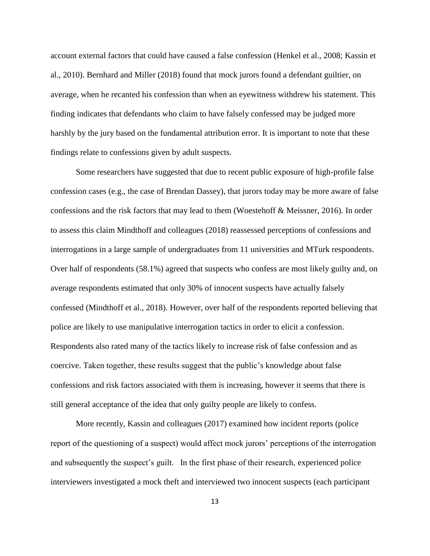account external factors that could have caused a false confession (Henkel et al., 2008; Kassin et al., 2010). Bernhard and Miller (2018) found that mock jurors found a defendant guiltier, on average, when he recanted his confession than when an eyewitness withdrew his statement. This finding indicates that defendants who claim to have falsely confessed may be judged more harshly by the jury based on the fundamental attribution error. It is important to note that these findings relate to confessions given by adult suspects.

Some researchers have suggested that due to recent public exposure of high-profile false confession cases (e.g., the case of Brendan Dassey), that jurors today may be more aware of false confessions and the risk factors that may lead to them (Woestehoff & Meissner, 2016). In order to assess this claim Mindthoff and colleagues (2018) reassessed perceptions of confessions and interrogations in a large sample of undergraduates from 11 universities and MTurk respondents. Over half of respondents (58.1%) agreed that suspects who confess are most likely guilty and, on average respondents estimated that only 30% of innocent suspects have actually falsely confessed (Mindthoff et al., 2018). However, over half of the respondents reported believing that police are likely to use manipulative interrogation tactics in order to elicit a confession. Respondents also rated many of the tactics likely to increase risk of false confession and as coercive. Taken together, these results suggest that the public's knowledge about false confessions and risk factors associated with them is increasing, however it seems that there is still general acceptance of the idea that only guilty people are likely to confess.

More recently, Kassin and colleagues (2017) examined how incident reports (police report of the questioning of a suspect) would affect mock jurors' perceptions of the interrogation and subsequently the suspect's guilt. In the first phase of their research, experienced police interviewers investigated a mock theft and interviewed two innocent suspects (each participant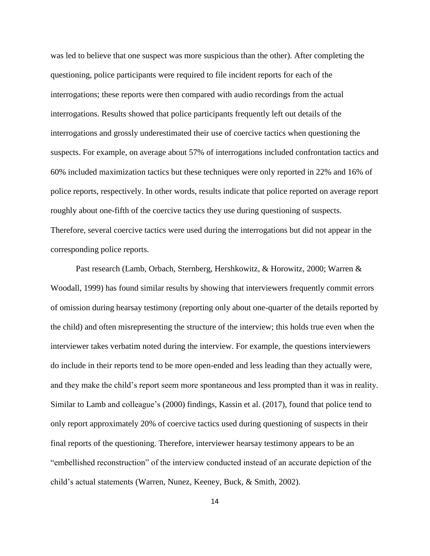was led to believe that one suspect was more suspicious than the other). After completing the questioning, police participants were required to file incident reports for each of the interrogations; these reports were then compared with audio recordings from the actual interrogations. Results showed that police participants frequently left out details of the interrogations and grossly underestimated their use of coercive tactics when questioning the suspects. For example, on average about 57% of interrogations included confrontation tactics and 60% included maximization tactics but these techniques were only reported in 22% and 16% of police reports, respectively. In other words, results indicate that police reported on average report roughly about one-fifth of the coercive tactics they use during questioning of suspects. Therefore, several coercive tactics were used during the interrogations but did not appear in the corresponding police reports.

Past research (Lamb, Orbach, Sternberg, Hershkowitz, & Horowitz, 2000; Warren & Woodall, 1999) has found similar results by showing that interviewers frequently commit errors of omission during hearsay testimony (reporting only about one-quarter of the details reported by the child) and often misrepresenting the structure of the interview; this holds true even when the interviewer takes verbatim noted during the interview. For example, the questions interviewers do include in their reports tend to be more open-ended and less leading than they actually were, and they make the child's report seem more spontaneous and less prompted than it was in reality. Similar to Lamb and colleague's (2000) findings, Kassin et al. (2017), found that police tend to only report approximately 20% of coercive tactics used during questioning of suspects in their final reports of the questioning. Therefore, interviewer hearsay testimony appears to be an "embellished reconstruction" of the interview conducted instead of an accurate depiction of the child's actual statements (Warren, Nunez, Keeney, Buck, & Smith, 2002).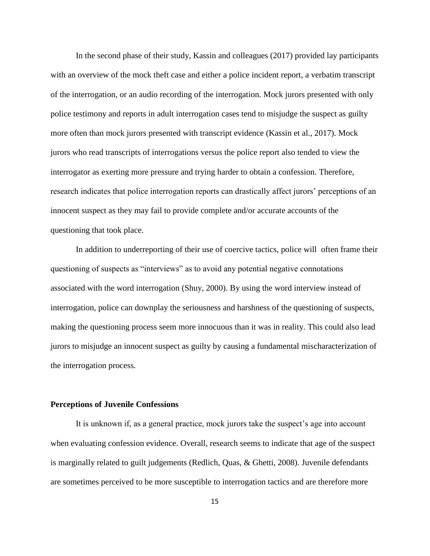In the second phase of their study, Kassin and colleagues (2017) provided lay participants with an overview of the mock theft case and either a police incident report, a verbatim transcript of the interrogation, or an audio recording of the interrogation. Mock jurors presented with only police testimony and reports in adult interrogation cases tend to misjudge the suspect as guilty more often than mock jurors presented with transcript evidence (Kassin et al., 2017). Mock jurors who read transcripts of interrogations versus the police report also tended to view the interrogator as exerting more pressure and trying harder to obtain a confession. Therefore, research indicates that police interrogation reports can drastically affect jurors' perceptions of an innocent suspect as they may fail to provide complete and/or accurate accounts of the questioning that took place.

In addition to underreporting of their use of coercive tactics, police will often frame their questioning of suspects as "interviews" as to avoid any potential negative connotations associated with the word interrogation (Shuy, 2000). By using the word interview instead of interrogation, police can downplay the seriousness and harshness of the questioning of suspects, making the questioning process seem more innocuous than it was in reality. This could also lead jurors to misjudge an innocent suspect as guilty by causing a fundamental mischaracterization of the interrogation process.

#### **Perceptions of Juvenile Confessions**

It is unknown if, as a general practice, mock jurors take the suspect's age into account when evaluating confession evidence. Overall, research seems to indicate that age of the suspect is marginally related to guilt judgements (Redlich, Quas, & Ghetti, 2008). Juvenile defendants are sometimes perceived to be more susceptible to interrogation tactics and are therefore more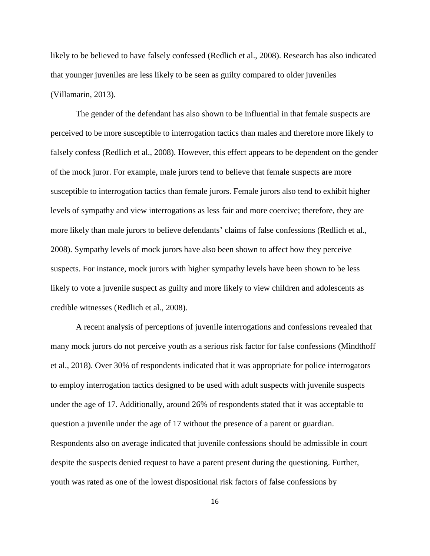likely to be believed to have falsely confessed (Redlich et al., 2008). Research has also indicated that younger juveniles are less likely to be seen as guilty compared to older juveniles (Villamarin, 2013).

The gender of the defendant has also shown to be influential in that female suspects are perceived to be more susceptible to interrogation tactics than males and therefore more likely to falsely confess (Redlich et al., 2008). However, this effect appears to be dependent on the gender of the mock juror. For example, male jurors tend to believe that female suspects are more susceptible to interrogation tactics than female jurors. Female jurors also tend to exhibit higher levels of sympathy and view interrogations as less fair and more coercive; therefore, they are more likely than male jurors to believe defendants' claims of false confessions (Redlich et al., 2008). Sympathy levels of mock jurors have also been shown to affect how they perceive suspects. For instance, mock jurors with higher sympathy levels have been shown to be less likely to vote a juvenile suspect as guilty and more likely to view children and adolescents as credible witnesses (Redlich et al., 2008).

A recent analysis of perceptions of juvenile interrogations and confessions revealed that many mock jurors do not perceive youth as a serious risk factor for false confessions (Mindthoff et al., 2018). Over 30% of respondents indicated that it was appropriate for police interrogators to employ interrogation tactics designed to be used with adult suspects with juvenile suspects under the age of 17. Additionally, around 26% of respondents stated that it was acceptable to question a juvenile under the age of 17 without the presence of a parent or guardian. Respondents also on average indicated that juvenile confessions should be admissible in court despite the suspects denied request to have a parent present during the questioning. Further, youth was rated as one of the lowest dispositional risk factors of false confessions by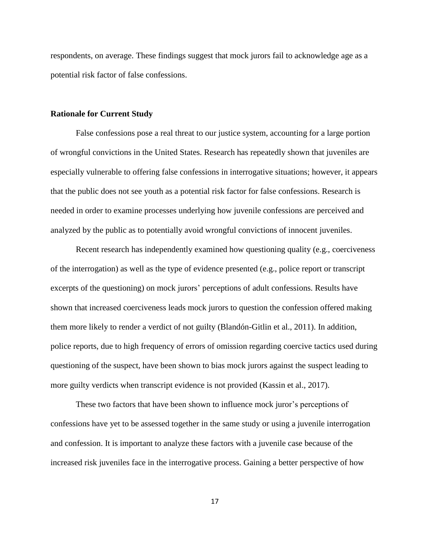respondents, on average. These findings suggest that mock jurors fail to acknowledge age as a potential risk factor of false confessions.

## **Rationale for Current Study**

False confessions pose a real threat to our justice system, accounting for a large portion of wrongful convictions in the United States. Research has repeatedly shown that juveniles are especially vulnerable to offering false confessions in interrogative situations; however, it appears that the public does not see youth as a potential risk factor for false confessions. Research is needed in order to examine processes underlying how juvenile confessions are perceived and analyzed by the public as to potentially avoid wrongful convictions of innocent juveniles.

Recent research has independently examined how questioning quality (e.g., coerciveness of the interrogation) as well as the type of evidence presented (e.g., police report or transcript excerpts of the questioning) on mock jurors' perceptions of adult confessions. Results have shown that increased coerciveness leads mock jurors to question the confession offered making them more likely to render a verdict of not guilty (Blandón-Gitlin et al., 2011). In addition, police reports, due to high frequency of errors of omission regarding coercive tactics used during questioning of the suspect, have been shown to bias mock jurors against the suspect leading to more guilty verdicts when transcript evidence is not provided (Kassin et al., 2017).

These two factors that have been shown to influence mock juror's perceptions of confessions have yet to be assessed together in the same study or using a juvenile interrogation and confession. It is important to analyze these factors with a juvenile case because of the increased risk juveniles face in the interrogative process. Gaining a better perspective of how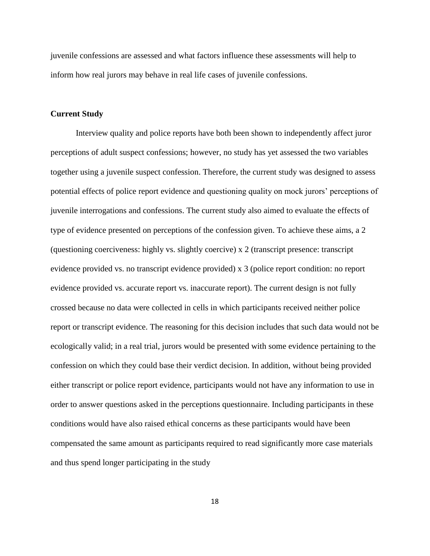juvenile confessions are assessed and what factors influence these assessments will help to inform how real jurors may behave in real life cases of juvenile confessions.

## **Current Study**

Interview quality and police reports have both been shown to independently affect juror perceptions of adult suspect confessions; however, no study has yet assessed the two variables together using a juvenile suspect confession. Therefore, the current study was designed to assess potential effects of police report evidence and questioning quality on mock jurors' perceptions of juvenile interrogations and confessions. The current study also aimed to evaluate the effects of type of evidence presented on perceptions of the confession given. To achieve these aims, a 2 (questioning coerciveness: highly vs. slightly coercive) x 2 (transcript presence: transcript evidence provided vs. no transcript evidence provided) x 3 (police report condition: no report evidence provided vs. accurate report vs. inaccurate report). The current design is not fully crossed because no data were collected in cells in which participants received neither police report or transcript evidence. The reasoning for this decision includes that such data would not be ecologically valid; in a real trial, jurors would be presented with some evidence pertaining to the confession on which they could base their verdict decision. In addition, without being provided either transcript or police report evidence, participants would not have any information to use in order to answer questions asked in the perceptions questionnaire. Including participants in these conditions would have also raised ethical concerns as these participants would have been compensated the same amount as participants required to read significantly more case materials and thus spend longer participating in the study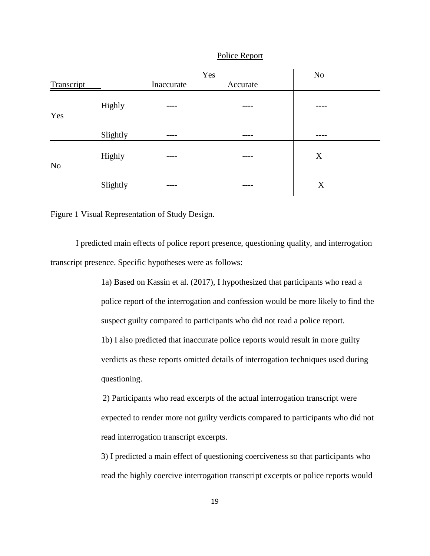## Police Report

|                |          | Yes        |          | No |  |
|----------------|----------|------------|----------|----|--|
| Transcript     |          | Inaccurate | Accurate |    |  |
| Yes            | Highly   | ____       | ----     |    |  |
|                | Slightly |            |          |    |  |
| N <sub>o</sub> | Highly   |            | ----     | X  |  |
|                | Slightly | ----       | ----     | X  |  |

Figure 1 Visual Representation of Study Design.

I predicted main effects of police report presence, questioning quality, and interrogation transcript presence. Specific hypotheses were as follows:

> 1a) Based on Kassin et al. (2017), I hypothesized that participants who read a police report of the interrogation and confession would be more likely to find the suspect guilty compared to participants who did not read a police report. 1b) I also predicted that inaccurate police reports would result in more guilty verdicts as these reports omitted details of interrogation techniques used during questioning.

> 2) Participants who read excerpts of the actual interrogation transcript were expected to render more not guilty verdicts compared to participants who did not read interrogation transcript excerpts.

> 3) I predicted a main effect of questioning coerciveness so that participants who read the highly coercive interrogation transcript excerpts or police reports would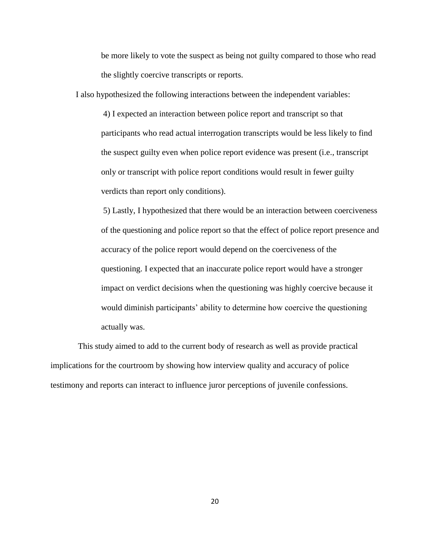be more likely to vote the suspect as being not guilty compared to those who read the slightly coercive transcripts or reports.

I also hypothesized the following interactions between the independent variables:

4) I expected an interaction between police report and transcript so that participants who read actual interrogation transcripts would be less likely to find the suspect guilty even when police report evidence was present (i.e., transcript only or transcript with police report conditions would result in fewer guilty verdicts than report only conditions).

5) Lastly, I hypothesized that there would be an interaction between coerciveness of the questioning and police report so that the effect of police report presence and accuracy of the police report would depend on the coerciveness of the questioning. I expected that an inaccurate police report would have a stronger impact on verdict decisions when the questioning was highly coercive because it would diminish participants' ability to determine how coercive the questioning actually was.

This study aimed to add to the current body of research as well as provide practical implications for the courtroom by showing how interview quality and accuracy of police testimony and reports can interact to influence juror perceptions of juvenile confessions.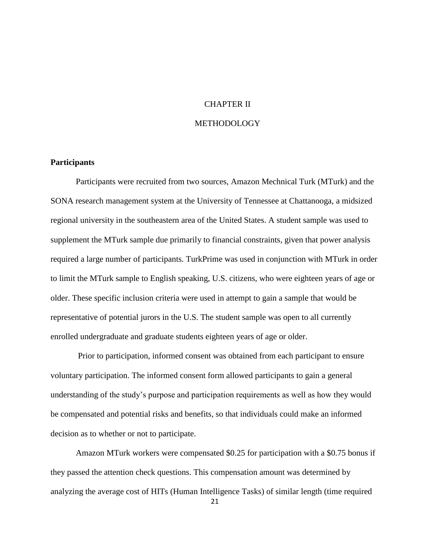## CHAPTER II

## METHODOLOGY

## **Participants**

Participants were recruited from two sources, Amazon Mechnical Turk (MTurk) and the SONA research management system at the University of Tennessee at Chattanooga, a midsized regional university in the southeastern area of the United States. A student sample was used to supplement the MTurk sample due primarily to financial constraints, given that power analysis required a large number of participants. TurkPrime was used in conjunction with MTurk in order to limit the MTurk sample to English speaking, U.S. citizens, who were eighteen years of age or older. These specific inclusion criteria were used in attempt to gain a sample that would be representative of potential jurors in the U.S. The student sample was open to all currently enrolled undergraduate and graduate students eighteen years of age or older.

Prior to participation, informed consent was obtained from each participant to ensure voluntary participation. The informed consent form allowed participants to gain a general understanding of the study's purpose and participation requirements as well as how they would be compensated and potential risks and benefits, so that individuals could make an informed decision as to whether or not to participate.

21 Amazon MTurk workers were compensated \$0.25 for participation with a \$0.75 bonus if they passed the attention check questions. This compensation amount was determined by analyzing the average cost of HITs (Human Intelligence Tasks) of similar length (time required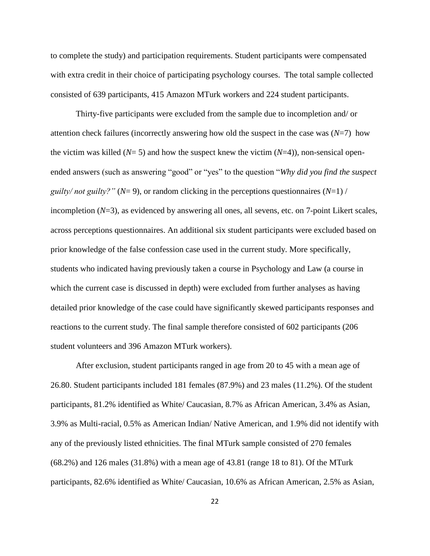to complete the study) and participation requirements. Student participants were compensated with extra credit in their choice of participating psychology courses. The total sample collected consisted of 639 participants, 415 Amazon MTurk workers and 224 student participants.

Thirty-five participants were excluded from the sample due to incompletion and/ or attention check failures (incorrectly answering how old the suspect in the case was (*N*=7) how the victim was killed (*N*= 5) and how the suspect knew the victim (*N*=4)), non-sensical openended answers (such as answering "good" or "yes" to the question "*Why did you find the suspect guilty/ not guilty?"* ( $N=9$ ), or random clicking in the perceptions questionnaires ( $N=1$ )/ incompletion (*N*=3), as evidenced by answering all ones, all sevens, etc. on 7-point Likert scales, across perceptions questionnaires. An additional six student participants were excluded based on prior knowledge of the false confession case used in the current study. More specifically, students who indicated having previously taken a course in Psychology and Law (a course in which the current case is discussed in depth) were excluded from further analyses as having detailed prior knowledge of the case could have significantly skewed participants responses and reactions to the current study. The final sample therefore consisted of 602 participants (206 student volunteers and 396 Amazon MTurk workers).

After exclusion, student participants ranged in age from 20 to 45 with a mean age of 26.80. Student participants included 181 females (87.9%) and 23 males (11.2%). Of the student participants, 81.2% identified as White/ Caucasian, 8.7% as African American, 3.4% as Asian, 3.9% as Multi-racial, 0.5% as American Indian/ Native American, and 1.9% did not identify with any of the previously listed ethnicities. The final MTurk sample consisted of 270 females (68.2%) and 126 males (31.8%) with a mean age of 43.81 (range 18 to 81). Of the MTurk participants, 82.6% identified as White/ Caucasian, 10.6% as African American, 2.5% as Asian,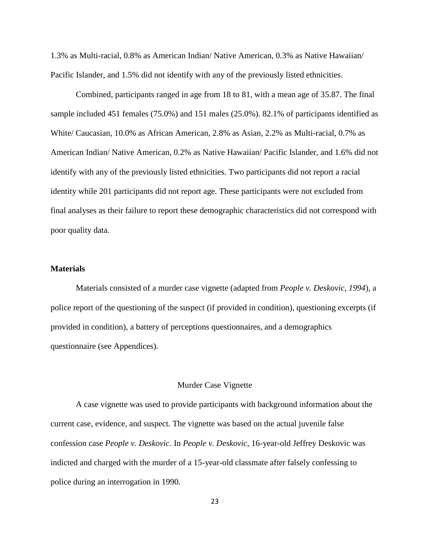1.3% as Multi-racial, 0.8% as American Indian/ Native American, 0.3% as Native Hawaiian/ Pacific Islander, and 1.5% did not identify with any of the previously listed ethnicities.

Combined, participants ranged in age from 18 to 81, with a mean age of 35.87. The final sample included 451 females (75.0%) and 151 males (25.0%). 82.1% of participants identified as White/ Caucasian, 10.0% as African American, 2.8% as Asian, 2.2% as Multi-racial, 0.7% as American Indian/ Native American, 0.2% as Native Hawaiian/ Pacific Islander, and 1.6% did not identify with any of the previously listed ethnicities. Two participants did not report a racial identity while 201 participants did not report age. These participants were not excluded from final analyses as their failure to report these demographic characteristics did not correspond with poor quality data.

## **Materials**

Materials consisted of a murder case vignette (adapted from *People v. Deskovic, 1994*), a police report of the questioning of the suspect (if provided in condition), questioning excerpts (if provided in condition), a battery of perceptions questionnaires, and a demographics questionnaire (see Appendices).

#### Murder Case Vignette

A case vignette was used to provide participants with background information about the current case, evidence, and suspect. The vignette was based on the actual juvenile false confession case *People v. Deskovic*. In *People v. Deskovic,* 16-year-old Jeffrey Deskovic was indicted and charged with the murder of a 15-year-old classmate after falsely confessing to police during an interrogation in 1990.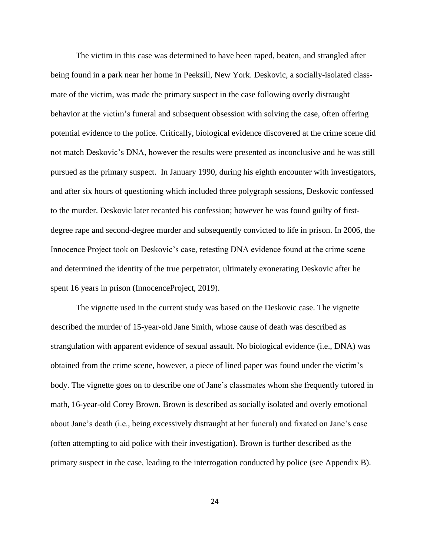The victim in this case was determined to have been raped, beaten, and strangled after being found in a park near her home in Peeksill, New York. Deskovic, a socially-isolated classmate of the victim, was made the primary suspect in the case following overly distraught behavior at the victim's funeral and subsequent obsession with solving the case, often offering potential evidence to the police. Critically, biological evidence discovered at the crime scene did not match Deskovic's DNA, however the results were presented as inconclusive and he was still pursued as the primary suspect. In January 1990, during his eighth encounter with investigators, and after six hours of questioning which included three polygraph sessions, Deskovic confessed to the murder. Deskovic later recanted his confession; however he was found guilty of firstdegree rape and second-degree murder and subsequently convicted to life in prison. In 2006, the Innocence Project took on Deskovic's case, retesting DNA evidence found at the crime scene and determined the identity of the true perpetrator, ultimately exonerating Deskovic after he spent 16 years in prison (InnocenceProject, 2019).

The vignette used in the current study was based on the Deskovic case. The vignette described the murder of 15-year-old Jane Smith, whose cause of death was described as strangulation with apparent evidence of sexual assault. No biological evidence (i.e., DNA) was obtained from the crime scene, however, a piece of lined paper was found under the victim's body. The vignette goes on to describe one of Jane's classmates whom she frequently tutored in math, 16-year-old Corey Brown. Brown is described as socially isolated and overly emotional about Jane's death (i.e., being excessively distraught at her funeral) and fixated on Jane's case (often attempting to aid police with their investigation). Brown is further described as the primary suspect in the case, leading to the interrogation conducted by police (see Appendix B).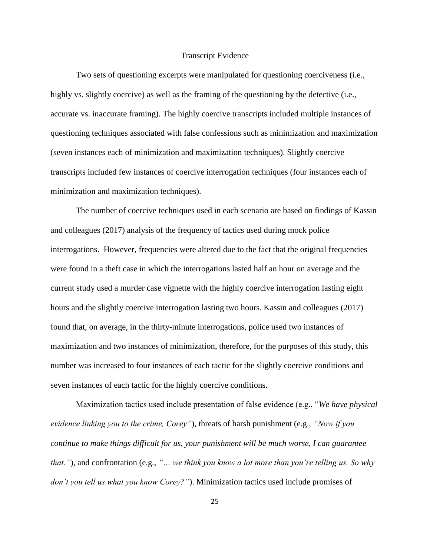#### Transcript Evidence

Two sets of questioning excerpts were manipulated for questioning coerciveness (i.e., highly vs. slightly coercive) as well as the framing of the questioning by the detective (i.e., accurate vs. inaccurate framing). The highly coercive transcripts included multiple instances of questioning techniques associated with false confessions such as minimization and maximization (seven instances each of minimization and maximization techniques). Slightly coercive transcripts included few instances of coercive interrogation techniques (four instances each of minimization and maximization techniques).

The number of coercive techniques used in each scenario are based on findings of Kassin and colleagues (2017) analysis of the frequency of tactics used during mock police interrogations. However, frequencies were altered due to the fact that the original frequencies were found in a theft case in which the interrogations lasted half an hour on average and the current study used a murder case vignette with the highly coercive interrogation lasting eight hours and the slightly coercive interrogation lasting two hours. Kassin and colleagues (2017) found that, on average, in the thirty-minute interrogations, police used two instances of maximization and two instances of minimization, therefore, for the purposes of this study, this number was increased to four instances of each tactic for the slightly coercive conditions and seven instances of each tactic for the highly coercive conditions.

Maximization tactics used include presentation of false evidence (e.g., "*We have physical evidence linking you to the crime, Corey"*), threats of harsh punishment (e.g., *"Now if you continue to make things difficult for us, your punishment will be much worse, I can guarantee that."*), and confrontation (e.g., *"… we think you know a lot more than you're telling us. So why don't you tell us what you know Corey?"*). Minimization tactics used include promises of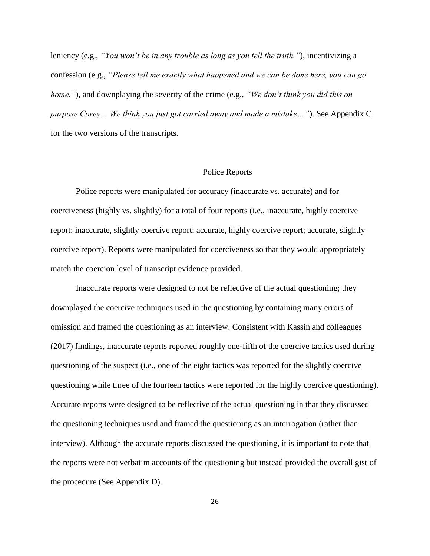leniency (e.g., *"You won't be in any trouble as long as you tell the truth."*), incentivizing a confession (e.g., *"Please tell me exactly what happened and we can be done here, you can go home."*), and downplaying the severity of the crime (e.g., *"We don't think you did this on purpose Corey… We think you just got carried away and made a mistake…"*). See Appendix C for the two versions of the transcripts.

#### Police Reports

Police reports were manipulated for accuracy (inaccurate vs. accurate) and for coerciveness (highly vs. slightly) for a total of four reports (i.e., inaccurate, highly coercive report; inaccurate, slightly coercive report; accurate, highly coercive report; accurate, slightly coercive report). Reports were manipulated for coerciveness so that they would appropriately match the coercion level of transcript evidence provided.

Inaccurate reports were designed to not be reflective of the actual questioning; they downplayed the coercive techniques used in the questioning by containing many errors of omission and framed the questioning as an interview. Consistent with Kassin and colleagues (2017) findings, inaccurate reports reported roughly one-fifth of the coercive tactics used during questioning of the suspect (i.e., one of the eight tactics was reported for the slightly coercive questioning while three of the fourteen tactics were reported for the highly coercive questioning). Accurate reports were designed to be reflective of the actual questioning in that they discussed the questioning techniques used and framed the questioning as an interrogation (rather than interview). Although the accurate reports discussed the questioning, it is important to note that the reports were not verbatim accounts of the questioning but instead provided the overall gist of the procedure (See Appendix D).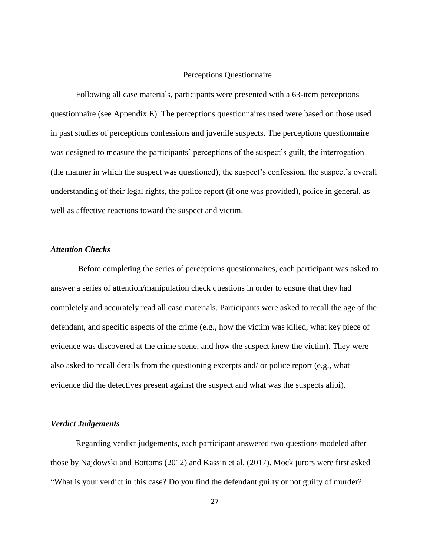## Perceptions Questionnaire

Following all case materials, participants were presented with a 63-item perceptions questionnaire (see Appendix E). The perceptions questionnaires used were based on those used in past studies of perceptions confessions and juvenile suspects. The perceptions questionnaire was designed to measure the participants' perceptions of the suspect's guilt, the interrogation (the manner in which the suspect was questioned), the suspect's confession, the suspect's overall understanding of their legal rights, the police report (if one was provided), police in general, as well as affective reactions toward the suspect and victim.

## *Attention Checks*

Before completing the series of perceptions questionnaires, each participant was asked to answer a series of attention/manipulation check questions in order to ensure that they had completely and accurately read all case materials. Participants were asked to recall the age of the defendant, and specific aspects of the crime (e.g., how the victim was killed, what key piece of evidence was discovered at the crime scene, and how the suspect knew the victim). They were also asked to recall details from the questioning excerpts and/ or police report (e.g., what evidence did the detectives present against the suspect and what was the suspects alibi).

#### *Verdict Judgements*

Regarding verdict judgements, each participant answered two questions modeled after those by Najdowski and Bottoms (2012) and Kassin et al. (2017). Mock jurors were first asked "What is your verdict in this case? Do you find the defendant guilty or not guilty of murder?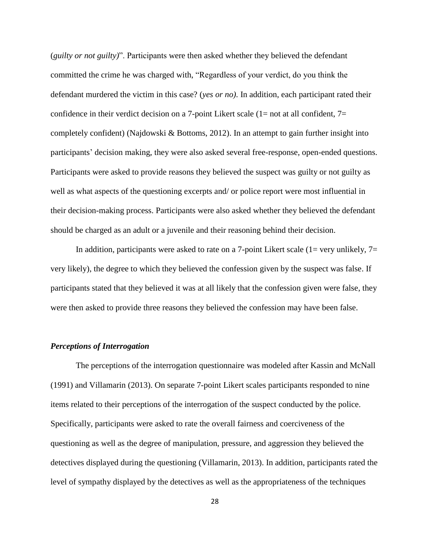(*guilty or not guilty)*". Participants were then asked whether they believed the defendant committed the crime he was charged with, "Regardless of your verdict, do you think the defendant murdered the victim in this case? (*yes or no)*. In addition, each participant rated their confidence in their verdict decision on a 7-point Likert scale ( $1=$  not at all confident,  $7=$ completely confident) (Najdowski & Bottoms, 2012). In an attempt to gain further insight into participants' decision making, they were also asked several free-response, open-ended questions. Participants were asked to provide reasons they believed the suspect was guilty or not guilty as well as what aspects of the questioning excerpts and/ or police report were most influential in their decision-making process. Participants were also asked whether they believed the defendant should be charged as an adult or a juvenile and their reasoning behind their decision.

In addition, participants were asked to rate on a 7-point Likert scale ( $1=$  very unlikely,  $7=$ very likely), the degree to which they believed the confession given by the suspect was false. If participants stated that they believed it was at all likely that the confession given were false, they were then asked to provide three reasons they believed the confession may have been false.

#### *Perceptions of Interrogation*

The perceptions of the interrogation questionnaire was modeled after Kassin and McNall (1991) and Villamarin (2013). On separate 7-point Likert scales participants responded to nine items related to their perceptions of the interrogation of the suspect conducted by the police. Specifically, participants were asked to rate the overall fairness and coerciveness of the questioning as well as the degree of manipulation, pressure, and aggression they believed the detectives displayed during the questioning (Villamarin, 2013). In addition, participants rated the level of sympathy displayed by the detectives as well as the appropriateness of the techniques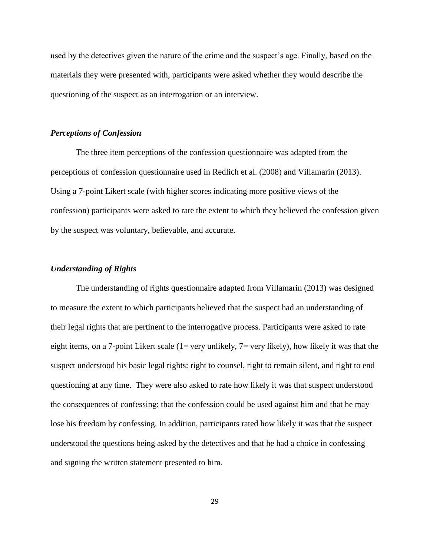used by the detectives given the nature of the crime and the suspect's age. Finally, based on the materials they were presented with, participants were asked whether they would describe the questioning of the suspect as an interrogation or an interview.

## *Perceptions of Confession*

The three item perceptions of the confession questionnaire was adapted from the perceptions of confession questionnaire used in Redlich et al. (2008) and Villamarin (2013). Using a 7-point Likert scale (with higher scores indicating more positive views of the confession) participants were asked to rate the extent to which they believed the confession given by the suspect was voluntary, believable, and accurate.

#### *Understanding of Rights*

The understanding of rights questionnaire adapted from Villamarin (2013) was designed to measure the extent to which participants believed that the suspect had an understanding of their legal rights that are pertinent to the interrogative process. Participants were asked to rate eight items, on a 7-point Likert scale (1= very unlikely, 7= very likely), how likely it was that the suspect understood his basic legal rights: right to counsel, right to remain silent, and right to end questioning at any time. They were also asked to rate how likely it was that suspect understood the consequences of confessing: that the confession could be used against him and that he may lose his freedom by confessing. In addition, participants rated how likely it was that the suspect understood the questions being asked by the detectives and that he had a choice in confessing and signing the written statement presented to him.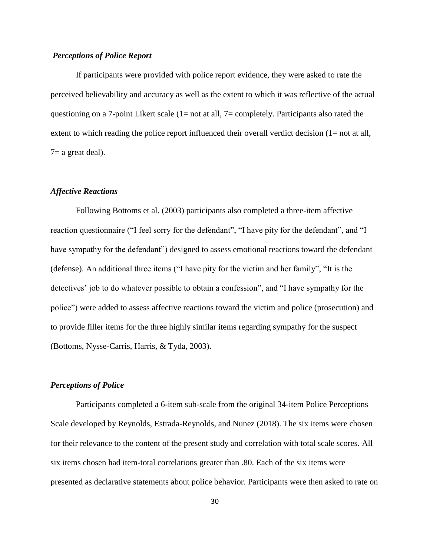## *Perceptions of Police Report*

If participants were provided with police report evidence, they were asked to rate the perceived believability and accuracy as well as the extent to which it was reflective of the actual questioning on a 7-point Likert scale (1= not at all, 7= completely. Participants also rated the extent to which reading the police report influenced their overall verdict decision (1= not at all,  $7=$  a great deal).

### *Affective Reactions*

Following Bottoms et al. (2003) participants also completed a three-item affective reaction questionnaire ("I feel sorry for the defendant", "I have pity for the defendant", and "I have sympathy for the defendant") designed to assess emotional reactions toward the defendant (defense). An additional three items ("I have pity for the victim and her family", "It is the detectives' job to do whatever possible to obtain a confession", and "I have sympathy for the police") were added to assess affective reactions toward the victim and police (prosecution) and to provide filler items for the three highly similar items regarding sympathy for the suspect (Bottoms, Nysse-Carris, Harris, & Tyda, 2003).

## *Perceptions of Police*

Participants completed a 6-item sub-scale from the original 34-item Police Perceptions Scale developed by Reynolds, Estrada-Reynolds, and Nunez (2018). The six items were chosen for their relevance to the content of the present study and correlation with total scale scores. All six items chosen had item-total correlations greater than .80. Each of the six items were presented as declarative statements about police behavior. Participants were then asked to rate on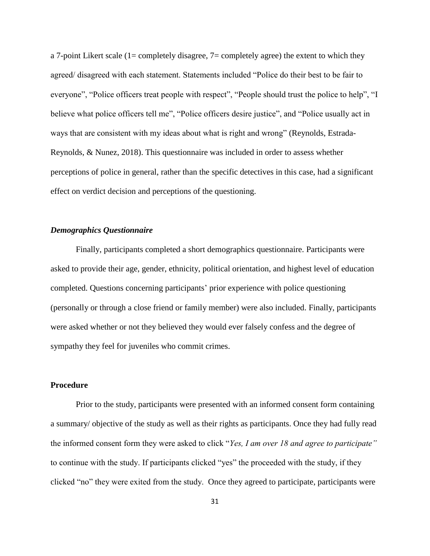a 7-point Likert scale (1= completely disagree,  $7=$  completely agree) the extent to which they agreed/ disagreed with each statement. Statements included "Police do their best to be fair to everyone", "Police officers treat people with respect", "People should trust the police to help", "I believe what police officers tell me", "Police officers desire justice", and "Police usually act in ways that are consistent with my ideas about what is right and wrong" (Reynolds, Estrada-Reynolds, & Nunez, 2018). This questionnaire was included in order to assess whether perceptions of police in general, rather than the specific detectives in this case, had a significant effect on verdict decision and perceptions of the questioning.

## *Demographics Questionnaire*

Finally, participants completed a short demographics questionnaire. Participants were asked to provide their age, gender, ethnicity, political orientation, and highest level of education completed. Questions concerning participants' prior experience with police questioning (personally or through a close friend or family member) were also included. Finally, participants were asked whether or not they believed they would ever falsely confess and the degree of sympathy they feel for juveniles who commit crimes.

## **Procedure**

Prior to the study, participants were presented with an informed consent form containing a summary/ objective of the study as well as their rights as participants. Once they had fully read the informed consent form they were asked to click "*Yes, I am over 18 and agree to participate"*  to continue with the study. If participants clicked "yes" the proceeded with the study, if they clicked "no" they were exited from the study. Once they agreed to participate, participants were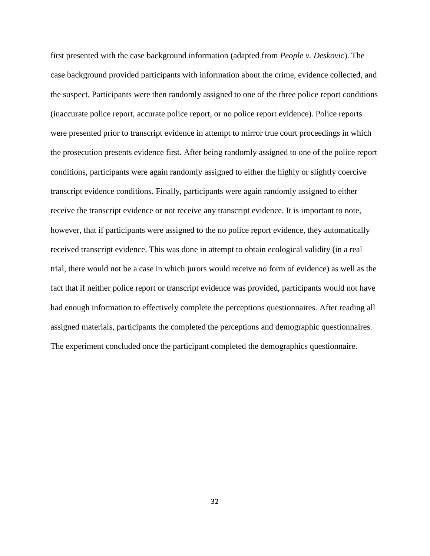first presented with the case background information (adapted from *People v. Deskovic*). The case background provided participants with information about the crime, evidence collected, and the suspect. Participants were then randomly assigned to one of the three police report conditions (inaccurate police report, accurate police report, or no police report evidence). Police reports were presented prior to transcript evidence in attempt to mirror true court proceedings in which the prosecution presents evidence first. After being randomly assigned to one of the police report conditions, participants were again randomly assigned to either the highly or slightly coercive transcript evidence conditions. Finally, participants were again randomly assigned to either receive the transcript evidence or not receive any transcript evidence. It is important to note, however, that if participants were assigned to the no police report evidence, they automatically received transcript evidence. This was done in attempt to obtain ecological validity (in a real trial, there would not be a case in which jurors would receive no form of evidence) as well as the fact that if neither police report or transcript evidence was provided, participants would not have had enough information to effectively complete the perceptions questionnaires. After reading all assigned materials, participants the completed the perceptions and demographic questionnaires. The experiment concluded once the participant completed the demographics questionnaire.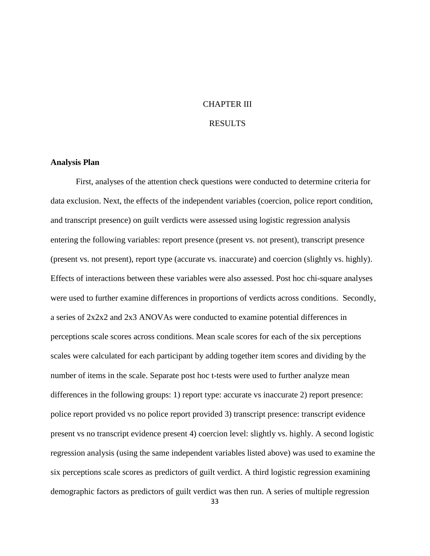# CHAPTER III

## RESULTS

## **Analysis Plan**

First, analyses of the attention check questions were conducted to determine criteria for data exclusion. Next, the effects of the independent variables (coercion, police report condition, and transcript presence) on guilt verdicts were assessed using logistic regression analysis entering the following variables: report presence (present vs. not present), transcript presence (present vs. not present), report type (accurate vs. inaccurate) and coercion (slightly vs. highly). Effects of interactions between these variables were also assessed. Post hoc chi-square analyses were used to further examine differences in proportions of verdicts across conditions. Secondly, a series of 2x2x2 and 2x3 ANOVAs were conducted to examine potential differences in perceptions scale scores across conditions. Mean scale scores for each of the six perceptions scales were calculated for each participant by adding together item scores and dividing by the number of items in the scale. Separate post hoc t-tests were used to further analyze mean differences in the following groups: 1) report type: accurate vs inaccurate 2) report presence: police report provided vs no police report provided 3) transcript presence: transcript evidence present vs no transcript evidence present 4) coercion level: slightly vs. highly. A second logistic regression analysis (using the same independent variables listed above) was used to examine the six perceptions scale scores as predictors of guilt verdict. A third logistic regression examining demographic factors as predictors of guilt verdict was then run. A series of multiple regression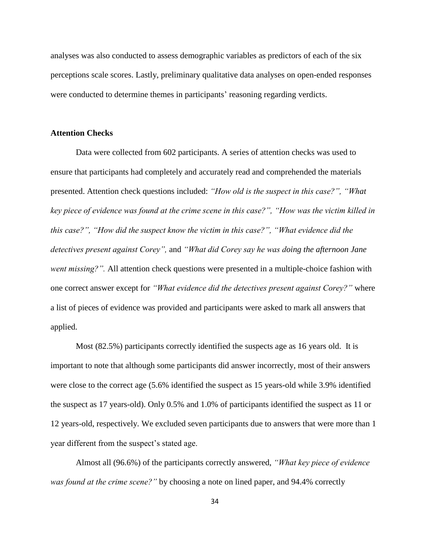analyses was also conducted to assess demographic variables as predictors of each of the six perceptions scale scores. Lastly, preliminary qualitative data analyses on open-ended responses were conducted to determine themes in participants' reasoning regarding verdicts.

## **Attention Checks**

Data were collected from 602 participants. A series of attention checks was used to ensure that participants had completely and accurately read and comprehended the materials presented. Attention check questions included: *"How old is the suspect in this case?", "What key piece of evidence was found at the crime scene in this case?", "How was the victim killed in this case?", "How did the suspect know the victim in this case?", "What evidence did the detectives present against Corey",* and *"What did Corey say he was doing the afternoon Jane went missing?".* All attention check questions were presented in a multiple-choice fashion with one correct answer except for *"What evidence did the detectives present against Corey?"* where a list of pieces of evidence was provided and participants were asked to mark all answers that applied.

Most (82.5%) participants correctly identified the suspects age as 16 years old. It is important to note that although some participants did answer incorrectly, most of their answers were close to the correct age (5.6% identified the suspect as 15 years-old while 3.9% identified the suspect as 17 years-old). Only 0.5% and 1.0% of participants identified the suspect as 11 or 12 years-old, respectively. We excluded seven participants due to answers that were more than 1 year different from the suspect's stated age.

Almost all (96.6%) of the participants correctly answered, *"What key piece of evidence was found at the crime scene?"* by choosing a note on lined paper, and 94.4% correctly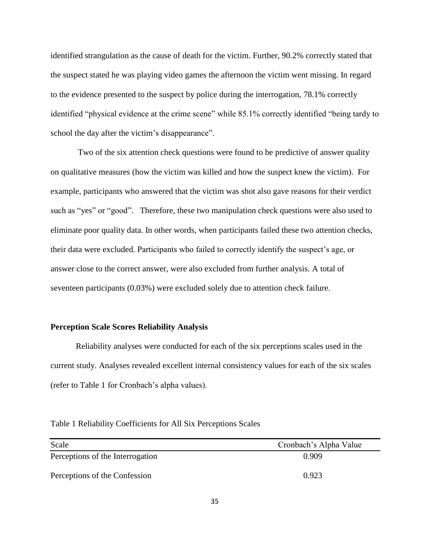identified strangulation as the cause of death for the victim. Further, 90.2% correctly stated that the suspect stated he was playing video games the afternoon the victim went missing. In regard to the evidence presented to the suspect by police during the interrogation, 78.1% correctly identified "physical evidence at the crime scene" while 85.1% correctly identified "being tardy to school the day after the victim's disappearance".

Two of the six attention check questions were found to be predictive of answer quality on qualitative measures (how the victim was killed and how the suspect knew the victim). For example, participants who answered that the victim was shot also gave reasons for their verdict such as "yes" or "good". Therefore, these two manipulation check questions were also used to eliminate poor quality data. In other words, when participants failed these two attention checks, their data were excluded. Participants who failed to correctly identify the suspect's age, or answer close to the correct answer, were also excluded from further analysis. A total of seventeen participants (0.03%) were excluded solely due to attention check failure.

## **Perception Scale Scores Reliability Analysis**

Reliability analyses were conducted for each of the six perceptions scales used in the current study. Analyses revealed excellent internal consistency values for each of the six scales (refer to Table 1 for Cronbach's alpha values).

| Table 1 Reliability Coefficients for All Six Perceptions Scales |
|-----------------------------------------------------------------|
|-----------------------------------------------------------------|

| Scale                            | Cronbach's Alpha Value |
|----------------------------------|------------------------|
| Perceptions of the Interrogation | 0.909                  |
| Perceptions of the Confession    | 0.923                  |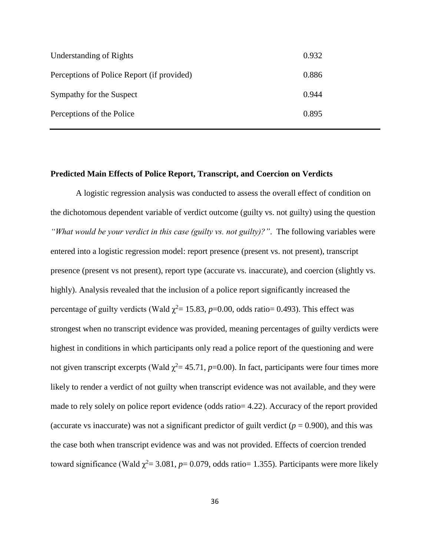| Understanding of Rights                    | 0.932 |
|--------------------------------------------|-------|
| Perceptions of Police Report (if provided) | 0.886 |
| Sympathy for the Suspect                   | 0.944 |
| Perceptions of the Police                  | 0.895 |

### **Predicted Main Effects of Police Report, Transcript, and Coercion on Verdicts**

A logistic regression analysis was conducted to assess the overall effect of condition on the dichotomous dependent variable of verdict outcome (guilty vs. not guilty) using the question *"What would be your verdict in this case (guilty vs. not guilty)?"*. The following variables were entered into a logistic regression model: report presence (present vs. not present), transcript presence (present vs not present), report type (accurate vs. inaccurate), and coercion (slightly vs. highly). Analysis revealed that the inclusion of a police report significantly increased the percentage of guilty verdicts (Wald  $\chi^2$  = 15.83, *p*=0.00, odds ratio = 0.493). This effect was strongest when no transcript evidence was provided, meaning percentages of guilty verdicts were highest in conditions in which participants only read a police report of the questioning and were not given transcript excerpts (Wald  $\chi^2$  = 45.71, *p*=0.00). In fact, participants were four times more likely to render a verdict of not guilty when transcript evidence was not available, and they were made to rely solely on police report evidence (odds ratio= 4.22). Accuracy of the report provided (accurate vs inaccurate) was not a significant predictor of guilt verdict  $(p = 0.900)$ , and this was the case both when transcript evidence was and was not provided. Effects of coercion trended toward significance (Wald  $\chi^2$  = 3.081, *p*= 0.079, odds ratio = 1.355). Participants were more likely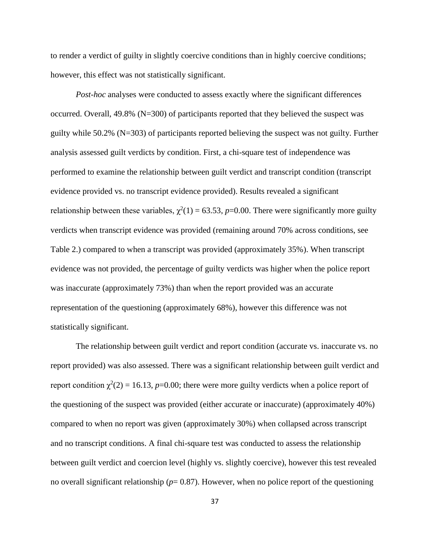to render a verdict of guilty in slightly coercive conditions than in highly coercive conditions; however, this effect was not statistically significant.

*Post-hoc* analyses were conducted to assess exactly where the significant differences occurred. Overall, 49.8% (N=300) of participants reported that they believed the suspect was guilty while 50.2% (N=303) of participants reported believing the suspect was not guilty. Further analysis assessed guilt verdicts by condition. First, a chi-square test of independence was performed to examine the relationship between guilt verdict and transcript condition (transcript evidence provided vs. no transcript evidence provided). Results revealed a significant relationship between these variables,  $\chi^2(1) = 63.53$ ,  $p=0.00$ . There were significantly more guilty verdicts when transcript evidence was provided (remaining around 70% across conditions, see Table 2.) compared to when a transcript was provided (approximately 35%). When transcript evidence was not provided, the percentage of guilty verdicts was higher when the police report was inaccurate (approximately 73%) than when the report provided was an accurate representation of the questioning (approximately 68%), however this difference was not statistically significant.

The relationship between guilt verdict and report condition (accurate vs. inaccurate vs. no report provided) was also assessed. There was a significant relationship between guilt verdict and report condition  $\chi^2(2) = 16.13$ ,  $p=0.00$ ; there were more guilty verdicts when a police report of the questioning of the suspect was provided (either accurate or inaccurate) (approximately 40%) compared to when no report was given (approximately 30%) when collapsed across transcript and no transcript conditions. A final chi-square test was conducted to assess the relationship between guilt verdict and coercion level (highly vs. slightly coercive), however this test revealed no overall significant relationship ( $p= 0.87$ ). However, when no police report of the questioning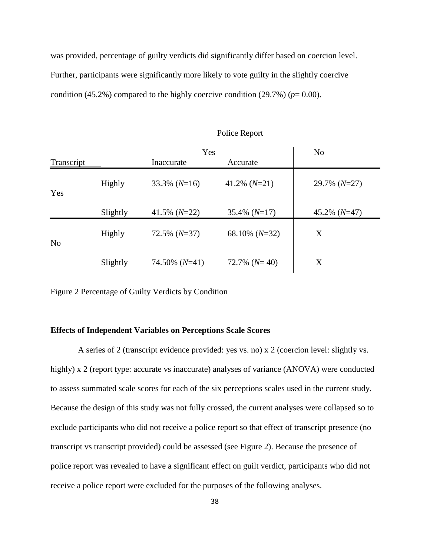was provided, percentage of guilty verdicts did significantly differ based on coercion level. Further, participants were significantly more likely to vote guilty in the slightly coercive condition (45.2%) compared to the highly coercive condition (29.7%) ( $p=0.00$ ).

#### Police Report

|                   |                           |                  | Yes                 |                 |  |  |  |  |  |
|-------------------|---------------------------|------------------|---------------------|-----------------|--|--|--|--|--|
| <b>Transcript</b> |                           | Inaccurate       | Accurate            |                 |  |  |  |  |  |
| Yes               | Highly<br>$33.3\%$ (N=16) |                  | 41.2% $(N=21)$      | $29.7\%$ (N=27) |  |  |  |  |  |
|                   | Slightly                  | 41.5% $(N=22)$   | $35.4\%$ (N=17)     | $45.2\%$ (N=47) |  |  |  |  |  |
| N <sub>o</sub>    | Highly                    | $72.5\%$ (N=37)  | 68.10% $(N=32)$     | X               |  |  |  |  |  |
|                   | Slightly                  | $74.50\%$ (N=41) | $72.7\%$ ( $N=40$ ) | X               |  |  |  |  |  |

Figure 2 Percentage of Guilty Verdicts by Condition

#### **Effects of Independent Variables on Perceptions Scale Scores**

A series of 2 (transcript evidence provided: yes vs. no) x 2 (coercion level: slightly vs. highly) x 2 (report type: accurate vs inaccurate) analyses of variance (ANOVA) were conducted to assess summated scale scores for each of the six perceptions scales used in the current study. Because the design of this study was not fully crossed, the current analyses were collapsed so to exclude participants who did not receive a police report so that effect of transcript presence (no transcript vs transcript provided) could be assessed (see Figure 2). Because the presence of police report was revealed to have a significant effect on guilt verdict, participants who did not receive a police report were excluded for the purposes of the following analyses.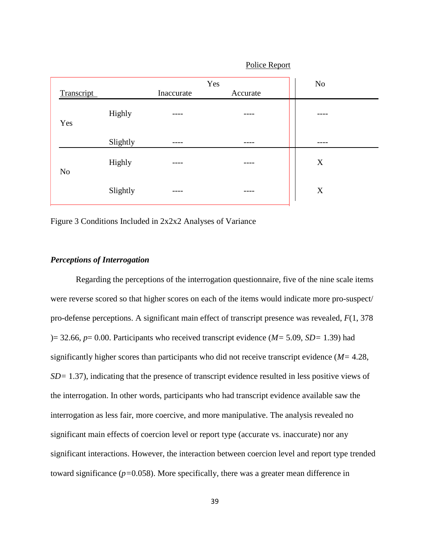|                |          | Yes        | No       |   |
|----------------|----------|------------|----------|---|
| Transcript     |          | Inaccurate | Accurate |   |
| Yes            | Highly   |            |          |   |
|                | Slightly |            |          |   |
| N <sub>o</sub> | Highly   | ----       | ____     | X |
|                | Slightly | ----       |          | X |

### Police Report

Figure 3 Conditions Included in 2x2x2 Analyses of Variance

## *Perceptions of Interrogation*

Regarding the perceptions of the interrogation questionnaire, five of the nine scale items were reverse scored so that higher scores on each of the items would indicate more pro-suspect/ pro-defense perceptions. A significant main effect of transcript presence was revealed, *F*(1, 378 )= 32.66, *p*= 0.00. Participants who received transcript evidence (*M=* 5.09, *SD=* 1.39) had significantly higher scores than participants who did not receive transcript evidence (*M=* 4.28, *SD=* 1.37), indicating that the presence of transcript evidence resulted in less positive views of the interrogation. In other words, participants who had transcript evidence available saw the interrogation as less fair, more coercive, and more manipulative. The analysis revealed no significant main effects of coercion level or report type (accurate vs. inaccurate) nor any significant interactions. However, the interaction between coercion level and report type trended toward significance (*p=*0.058). More specifically, there was a greater mean difference in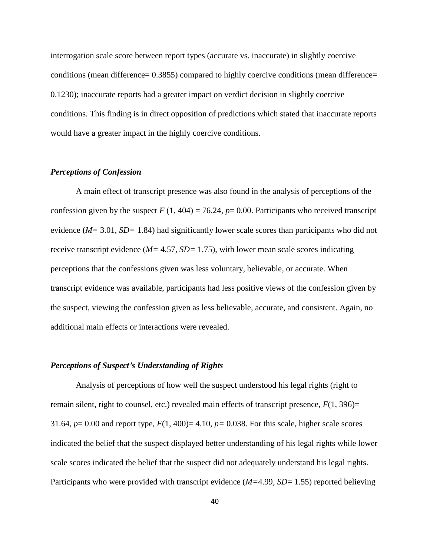interrogation scale score between report types (accurate vs. inaccurate) in slightly coercive conditions (mean difference= 0.3855) compared to highly coercive conditions (mean difference= 0.1230); inaccurate reports had a greater impact on verdict decision in slightly coercive conditions. This finding is in direct opposition of predictions which stated that inaccurate reports would have a greater impact in the highly coercive conditions.

## *Perceptions of Confession*

A main effect of transcript presence was also found in the analysis of perceptions of the confession given by the suspect  $F(1, 404) = 76.24$ ,  $p= 0.00$ . Participants who received transcript evidence (*M=* 3.01, *SD=* 1.84) had significantly lower scale scores than participants who did not receive transcript evidence (*M=* 4.57, *SD=* 1.75), with lower mean scale scores indicating perceptions that the confessions given was less voluntary, believable, or accurate. When transcript evidence was available, participants had less positive views of the confession given by the suspect, viewing the confession given as less believable, accurate, and consistent. Again, no additional main effects or interactions were revealed.

## *Perceptions of Suspect's Understanding of Rights*

Analysis of perceptions of how well the suspect understood his legal rights (right to remain silent, right to counsel, etc.) revealed main effects of transcript presence, *F*(1, 396)= 31.64, *p*= 0.00 and report type, *F*(1, 400)= 4.10, *p=* 0.038. For this scale, higher scale scores indicated the belief that the suspect displayed better understanding of his legal rights while lower scale scores indicated the belief that the suspect did not adequately understand his legal rights. Participants who were provided with transcript evidence (*M=*4.99, *SD*= 1.55) reported believing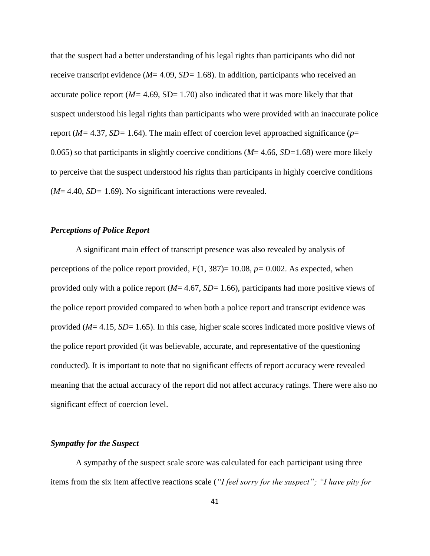that the suspect had a better understanding of his legal rights than participants who did not receive transcript evidence (*M*= 4.09, *SD=* 1.68). In addition, participants who received an accurate police report  $(M= 4.69, SD= 1.70)$  also indicated that it was more likely that that suspect understood his legal rights than participants who were provided with an inaccurate police report (*M=* 4.37, *SD=* 1.64). The main effect of coercion level approached significance (*p*= 0.065) so that participants in slightly coercive conditions (*M*= 4.66, *SD=*1.68) were more likely to perceive that the suspect understood his rights than participants in highly coercive conditions (*M*= 4.40, *SD=* 1.69). No significant interactions were revealed.

## *Perceptions of Police Report*

A significant main effect of transcript presence was also revealed by analysis of perceptions of the police report provided,  $F(1, 387) = 10.08$ ,  $p = 0.002$ . As expected, when provided only with a police report (*M*= 4.67, *SD*= 1.66), participants had more positive views of the police report provided compared to when both a police report and transcript evidence was provided (*M*= 4.15, *SD*= 1.65). In this case, higher scale scores indicated more positive views of the police report provided (it was believable, accurate, and representative of the questioning conducted). It is important to note that no significant effects of report accuracy were revealed meaning that the actual accuracy of the report did not affect accuracy ratings. There were also no significant effect of coercion level.

#### *Sympathy for the Suspect*

A sympathy of the suspect scale score was calculated for each participant using three items from the six item affective reactions scale (*"I feel sorry for the suspect"; "I have pity for*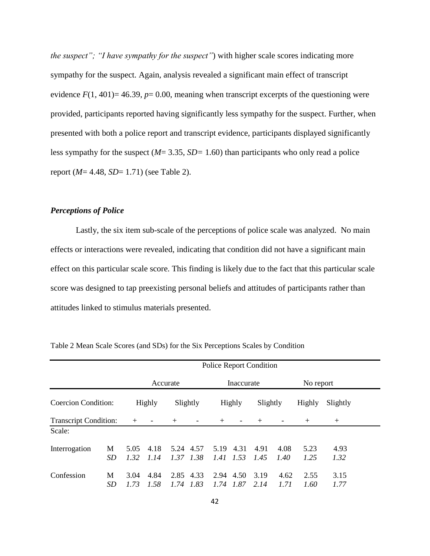*the suspect"; "I have sympathy for the suspect"*) with higher scale scores indicating more sympathy for the suspect. Again, analysis revealed a significant main effect of transcript evidence  $F(1, 401) = 46.39$ ,  $p = 0.00$ , meaning when transcript excerpts of the questioning were provided, participants reported having significantly less sympathy for the suspect. Further, when presented with both a police report and transcript evidence, participants displayed significantly less sympathy for the suspect (*M*= 3.35, *SD=* 1.60) than participants who only read a police report (*M*= 4.48, *SD*= 1.71) (see Table 2).

### *Perceptions of Police*

Lastly, the six item sub-scale of the perceptions of police scale was analyzed. No main effects or interactions were revealed, indicating that condition did not have a significant main effect on this particular scale score. This finding is likely due to the fact that this particular scale score was designed to tap preexisting personal beliefs and attitudes of participants rather than attitudes linked to stimulus materials presented.

|                                      |         |              | <b>Police Report Condition</b> |                                |                   |              |              |              |              |              |              |  |
|--------------------------------------|---------|--------------|--------------------------------|--------------------------------|-------------------|--------------|--------------|--------------|--------------|--------------|--------------|--|
|                                      |         |              | Accurate                       |                                |                   |              | Inaccurate   |              |              | No report    |              |  |
| <b>Coercion Condition:</b><br>Highly |         |              |                                | Slightly<br>Highly<br>Slightly |                   |              | Highly       | Slightly     |              |              |              |  |
| <b>Transcript Condition:</b>         |         | $\mathrm{+}$ |                                | $^{+}$                         |                   | $^{+}$       |              | $^{+}$       |              | $^{+}$       | $^{+}$       |  |
| Scale:                               |         |              |                                |                                |                   |              |              |              |              |              |              |  |
| Interrogation                        | М<br>SD | 5.05<br>1.32 | 4.18<br>1.14                   | 5.24                           | 4.57<br>1.37 1.38 | 5.19<br>1.41 | 4.31<br>1.53 | 4.91<br>1.45 | 4.08<br>1.40 | 5.23<br>1.25 | 4.93<br>1.32 |  |
| Confession                           | M<br>SD | 3.04<br>1.73 | 4.84<br>1.58                   | 2.85<br>1.74                   | 4.33<br>1.83      | 2.94<br>1.74 | 4.50<br>1.87 | 3.19<br>2.14 | 4.62<br>1.71 | 2.55<br>1.60 | 3.15<br>1.77 |  |

Table 2 Mean Scale Scores (and SDs) for the Six Perceptions Scales by Condition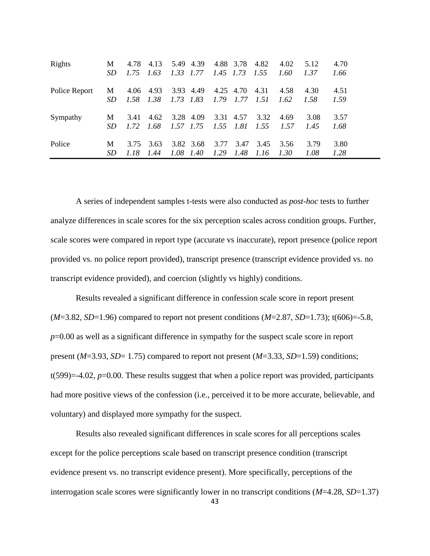| Rights        | M<br>SD.       | 4.78<br>175  | 4.13<br>1.63   | 5.49 4.39<br>1.33 1.77 | 4.88 3.78              | 1.45 1.73 1.55 | 4.82         | 4.02<br>1.60 | 5.12<br>1.37 | 4.70<br>1.66 |
|---------------|----------------|--------------|----------------|------------------------|------------------------|----------------|--------------|--------------|--------------|--------------|
| Police Report | M<br><i>SD</i> | 4.06<br>1.58 | 4.93<br>- 1.38 | 3.93 4.49<br>1.73 1.83 | 4.25 4.70<br>1.79      | 1.77           | 4.31<br>1.51 | 4.58<br>1.62 | 4.30<br>1.58 | 4.51<br>1.59 |
| Sympathy      | M<br>SD.       | 3.41<br>1.72 | 4.62<br>-1.68  | 3.28 4.09<br>1.57 1.75 | 3.31 4.57<br>1.55 1.81 |                | 3.32<br>1.55 | 4.69<br>1.57 | 3.08<br>1.45 | 3.57<br>1.68 |
| Police        | M<br>SD        | 3.75<br>1.18 | 3.63<br>1.44   | 3.82 3.68<br>1.08 1.40 | 3.77<br>1.29           | 3.47<br>1.48   | 3.45<br>1.16 | 3.56<br>1.30 | 3.79<br>1.08 | 3.80<br>1.28 |

A series of independent samples t-tests were also conducted as *post-hoc* tests to further analyze differences in scale scores for the six perception scales across condition groups. Further, scale scores were compared in report type (accurate vs inaccurate), report presence (police report provided vs. no police report provided), transcript presence (transcript evidence provided vs. no transcript evidence provided), and coercion (slightly vs highly) conditions.

Results revealed a significant difference in confession scale score in report present (*M*=3.82, *SD*=1.96) compared to report not present conditions (*M*=2.87, *SD*=1.73); t(606)=-5.8, *p*=0.00 as well as a significant difference in sympathy for the suspect scale score in report present (*M*=3.93, *SD*= 1.75) compared to report not present (*M*=3.33, *SD*=1.59) conditions; t(599)=-4.02, *p*=0.00. These results suggest that when a police report was provided, participants had more positive views of the confession (i.e., perceived it to be more accurate, believable, and voluntary) and displayed more sympathy for the suspect.

Results also revealed significant differences in scale scores for all perceptions scales except for the police perceptions scale based on transcript presence condition (transcript evidence present vs. no transcript evidence present). More specifically, perceptions of the interrogation scale scores were significantly lower in no transcript conditions (*M*=4.28, *SD*=1.37)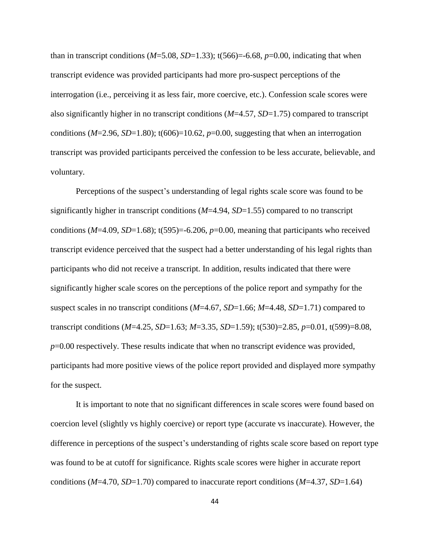than in transcript conditions ( $M=5.08$ ,  $SD=1.33$ ); t(566)=-6.68,  $p=0.00$ , indicating that when transcript evidence was provided participants had more pro-suspect perceptions of the interrogation (i.e., perceiving it as less fair, more coercive, etc.). Confession scale scores were also significantly higher in no transcript conditions (*M*=4.57, *SD*=1.75) compared to transcript conditions ( $M=2.96$ ,  $SD=1.80$ ); t( $606$ )=10.62,  $p=0.00$ , suggesting that when an interrogation transcript was provided participants perceived the confession to be less accurate, believable, and voluntary.

Perceptions of the suspect's understanding of legal rights scale score was found to be significantly higher in transcript conditions (*M*=4.94, *SD*=1.55) compared to no transcript conditions ( $M=4.09$ ,  $SD=1.68$ ); t(595)=-6.206,  $p=0.00$ , meaning that participants who received transcript evidence perceived that the suspect had a better understanding of his legal rights than participants who did not receive a transcript. In addition, results indicated that there were significantly higher scale scores on the perceptions of the police report and sympathy for the suspect scales in no transcript conditions (*M*=4.67, *SD*=1.66; *M*=4.48, *SD*=1.71) compared to transcript conditions (*M*=4.25, *SD*=1.63; *M*=3.35, *SD*=1.59); t(530)=2.85, *p*=0.01, t(599)=8.08, *p*=0.00 respectively. These results indicate that when no transcript evidence was provided, participants had more positive views of the police report provided and displayed more sympathy for the suspect.

It is important to note that no significant differences in scale scores were found based on coercion level (slightly vs highly coercive) or report type (accurate vs inaccurate). However, the difference in perceptions of the suspect's understanding of rights scale score based on report type was found to be at cutoff for significance. Rights scale scores were higher in accurate report conditions (*M*=4.70, *SD*=1.70) compared to inaccurate report conditions (*M*=4.37, *SD*=1.64)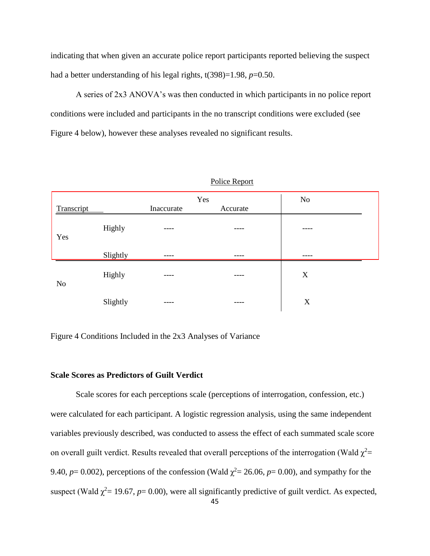indicating that when given an accurate police report participants reported believing the suspect had a better understanding of his legal rights, t(398)=1.98, *p*=0.50.

A series of 2x3 ANOVA's was then conducted in which participants in no police report conditions were included and participants in the no transcript conditions were excluded (see Figure 4 below), however these analyses revealed no significant results.

|            |          |            | Yes      | N <sub>o</sub> |  |
|------------|----------|------------|----------|----------------|--|
| Transcript |          | Inaccurate | Accurate |                |  |
| Yes        | Highly   | ----       |          | ----           |  |
|            | Slightly | ----       | ----     | ----           |  |
| No         | Highly   | ----       |          | X              |  |
|            | Slightly | ----       | ----     | X              |  |

Police Report

Figure 4 Conditions Included in the 2x3 Analyses of Variance

## **Scale Scores as Predictors of Guilt Verdict**

Scale scores for each perceptions scale (perceptions of interrogation, confession, etc.) were calculated for each participant. A logistic regression analysis, using the same independent variables previously described, was conducted to assess the effect of each summated scale score on overall guilt verdict. Results revealed that overall perceptions of the interrogation (Wald  $\chi^2$ = 9.40,  $p = 0.002$ ), perceptions of the confession (Wald  $\chi^2 = 26.06$ ,  $p = 0.00$ ), and sympathy for the suspect (Wald  $\chi^2$  = 19.67, *p*= 0.00), were all significantly predictive of guilt verdict. As expected,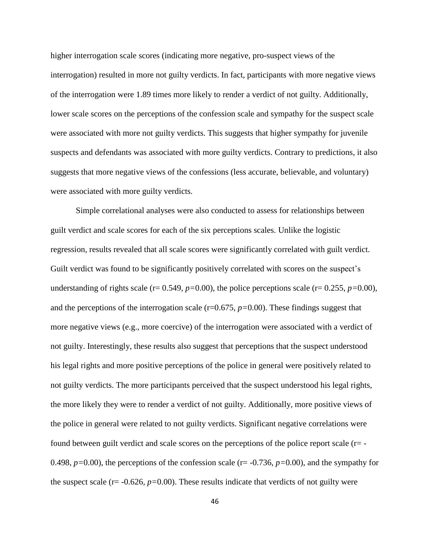higher interrogation scale scores (indicating more negative, pro-suspect views of the interrogation) resulted in more not guilty verdicts. In fact, participants with more negative views of the interrogation were 1.89 times more likely to render a verdict of not guilty. Additionally, lower scale scores on the perceptions of the confession scale and sympathy for the suspect scale were associated with more not guilty verdicts. This suggests that higher sympathy for juvenile suspects and defendants was associated with more guilty verdicts. Contrary to predictions, it also suggests that more negative views of the confessions (less accurate, believable, and voluntary) were associated with more guilty verdicts.

Simple correlational analyses were also conducted to assess for relationships between guilt verdict and scale scores for each of the six perceptions scales. Unlike the logistic regression, results revealed that all scale scores were significantly correlated with guilt verdict. Guilt verdict was found to be significantly positively correlated with scores on the suspect's understanding of rights scale (r= 0.549, *p=*0.00), the police perceptions scale (r= 0.255, *p=*0.00), and the perceptions of the interrogation scale (r=0.675, *p=*0.00). These findings suggest that more negative views (e.g., more coercive) of the interrogation were associated with a verdict of not guilty. Interestingly, these results also suggest that perceptions that the suspect understood his legal rights and more positive perceptions of the police in general were positively related to not guilty verdicts. The more participants perceived that the suspect understood his legal rights, the more likely they were to render a verdict of not guilty. Additionally, more positive views of the police in general were related to not guilty verdicts. Significant negative correlations were found between guilt verdict and scale scores on the perceptions of the police report scale (r= - 0.498, *p=*0.00), the perceptions of the confession scale (r= -0.736, *p=*0.00), and the sympathy for the suspect scale ( $r = -0.626$ ,  $p = 0.00$ ). These results indicate that verdicts of not guilty were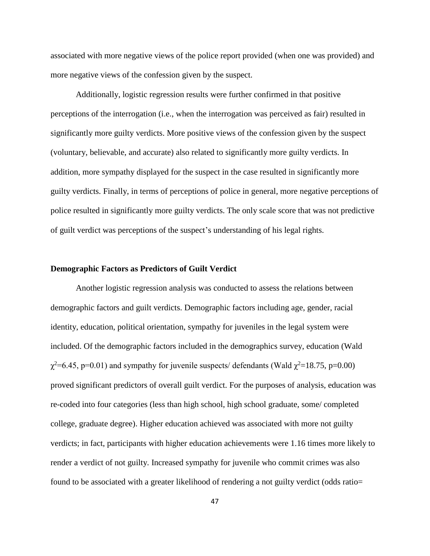associated with more negative views of the police report provided (when one was provided) and more negative views of the confession given by the suspect.

Additionally, logistic regression results were further confirmed in that positive perceptions of the interrogation (i.e., when the interrogation was perceived as fair) resulted in significantly more guilty verdicts. More positive views of the confession given by the suspect (voluntary, believable, and accurate) also related to significantly more guilty verdicts. In addition, more sympathy displayed for the suspect in the case resulted in significantly more guilty verdicts. Finally, in terms of perceptions of police in general, more negative perceptions of police resulted in significantly more guilty verdicts. The only scale score that was not predictive of guilt verdict was perceptions of the suspect's understanding of his legal rights.

### **Demographic Factors as Predictors of Guilt Verdict**

Another logistic regression analysis was conducted to assess the relations between demographic factors and guilt verdicts. Demographic factors including age, gender, racial identity, education, political orientation, sympathy for juveniles in the legal system were included. Of the demographic factors included in the demographics survey, education (Wald  $\chi^2$ =6.45, p=0.01) and sympathy for juvenile suspects/ defendants (Wald  $\chi^2$ =18.75, p=0.00) proved significant predictors of overall guilt verdict. For the purposes of analysis, education was re-coded into four categories (less than high school, high school graduate, some/ completed college, graduate degree). Higher education achieved was associated with more not guilty verdicts; in fact, participants with higher education achievements were 1.16 times more likely to render a verdict of not guilty. Increased sympathy for juvenile who commit crimes was also found to be associated with a greater likelihood of rendering a not guilty verdict (odds ratio=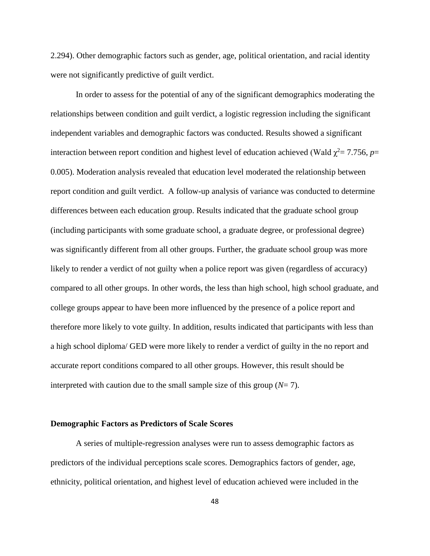2.294). Other demographic factors such as gender, age, political orientation, and racial identity were not significantly predictive of guilt verdict.

In order to assess for the potential of any of the significant demographics moderating the relationships between condition and guilt verdict, a logistic regression including the significant independent variables and demographic factors was conducted. Results showed a significant interaction between report condition and highest level of education achieved (Wald  $\chi^2$  = 7.756, *p*= 0.005). Moderation analysis revealed that education level moderated the relationship between report condition and guilt verdict. A follow-up analysis of variance was conducted to determine differences between each education group. Results indicated that the graduate school group (including participants with some graduate school, a graduate degree, or professional degree) was significantly different from all other groups. Further, the graduate school group was more likely to render a verdict of not guilty when a police report was given (regardless of accuracy) compared to all other groups. In other words, the less than high school, high school graduate, and college groups appear to have been more influenced by the presence of a police report and therefore more likely to vote guilty. In addition, results indicated that participants with less than a high school diploma/ GED were more likely to render a verdict of guilty in the no report and accurate report conditions compared to all other groups. However, this result should be interpreted with caution due to the small sample size of this group  $(N=7)$ .

#### **Demographic Factors as Predictors of Scale Scores**

A series of multiple-regression analyses were run to assess demographic factors as predictors of the individual perceptions scale scores. Demographics factors of gender, age, ethnicity, political orientation, and highest level of education achieved were included in the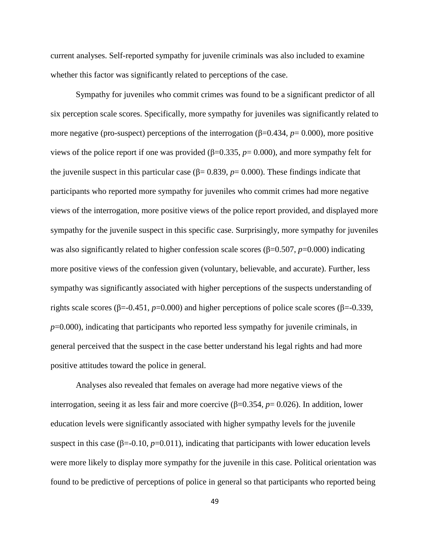current analyses. Self-reported sympathy for juvenile criminals was also included to examine whether this factor was significantly related to perceptions of the case.

Sympathy for juveniles who commit crimes was found to be a significant predictor of all six perception scale scores. Specifically, more sympathy for juveniles was significantly related to more negative (pro-suspect) perceptions of the interrogation ( $\beta$ =0.434,  $p$ = 0.000), more positive views of the police report if one was provided ( $\beta$ =0.335,  $p$ = 0.000), and more sympathy felt for the juvenile suspect in this particular case ( $\beta$ = 0.839,  $p$ = 0.000). These findings indicate that participants who reported more sympathy for juveniles who commit crimes had more negative views of the interrogation, more positive views of the police report provided, and displayed more sympathy for the juvenile suspect in this specific case. Surprisingly, more sympathy for juveniles was also significantly related to higher confession scale scores (β=0.507, *p*=0.000) indicating more positive views of the confession given (voluntary, believable, and accurate). Further, less sympathy was significantly associated with higher perceptions of the suspects understanding of rights scale scores (β=-0.451, *p*=0.000) and higher perceptions of police scale scores (β=-0.339, *p*=0.000), indicating that participants who reported less sympathy for juvenile criminals, in general perceived that the suspect in the case better understand his legal rights and had more positive attitudes toward the police in general.

Analyses also revealed that females on average had more negative views of the interrogation, seeing it as less fair and more coercive  $(β=0.354, p= 0.026)$ . In addition, lower education levels were significantly associated with higher sympathy levels for the juvenile suspect in this case  $(\beta = 0.10, p = 0.011)$ , indicating that participants with lower education levels were more likely to display more sympathy for the juvenile in this case. Political orientation was found to be predictive of perceptions of police in general so that participants who reported being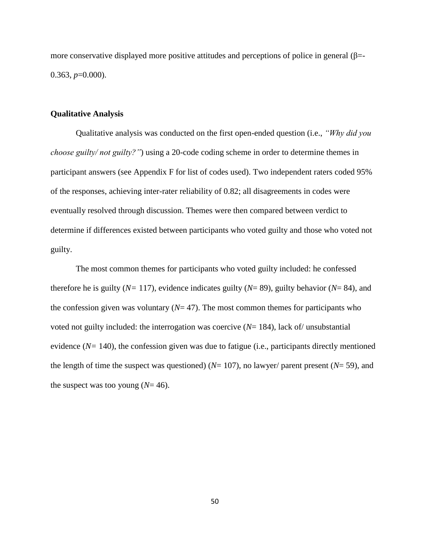more conservative displayed more positive attitudes and perceptions of police in general ( $\beta$ =-0.363, *p*=0.000).

## **Qualitative Analysis**

Qualitative analysis was conducted on the first open-ended question (i.e., *"Why did you choose guilty/ not guilty?"*) using a 20-code coding scheme in order to determine themes in participant answers (see Appendix F for list of codes used). Two independent raters coded 95% of the responses, achieving inter-rater reliability of 0.82; all disagreements in codes were eventually resolved through discussion. Themes were then compared between verdict to determine if differences existed between participants who voted guilty and those who voted not guilty.

The most common themes for participants who voted guilty included: he confessed therefore he is guilty (*N=* 117), evidence indicates guilty (*N*= 89), guilty behavior (*N*= 84), and the confession given was voluntary  $(N=47)$ . The most common themes for participants who voted not guilty included: the interrogation was coercive (*N*= 184), lack of/ unsubstantial evidence (*N=* 140), the confession given was due to fatigue (i.e., participants directly mentioned the length of time the suspect was questioned) (*N*= 107), no lawyer/ parent present (*N*= 59), and the suspect was too young  $(N=46)$ .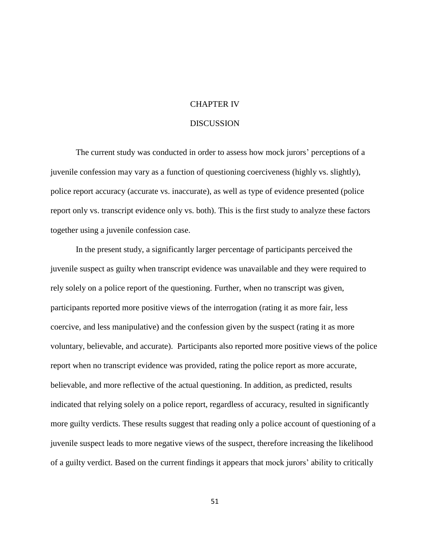# CHAPTER IV

## DISCUSSION

The current study was conducted in order to assess how mock jurors' perceptions of a juvenile confession may vary as a function of questioning coerciveness (highly vs. slightly), police report accuracy (accurate vs. inaccurate), as well as type of evidence presented (police report only vs. transcript evidence only vs. both). This is the first study to analyze these factors together using a juvenile confession case.

In the present study, a significantly larger percentage of participants perceived the juvenile suspect as guilty when transcript evidence was unavailable and they were required to rely solely on a police report of the questioning. Further, when no transcript was given, participants reported more positive views of the interrogation (rating it as more fair, less coercive, and less manipulative) and the confession given by the suspect (rating it as more voluntary, believable, and accurate). Participants also reported more positive views of the police report when no transcript evidence was provided, rating the police report as more accurate, believable, and more reflective of the actual questioning. In addition, as predicted, results indicated that relying solely on a police report, regardless of accuracy, resulted in significantly more guilty verdicts. These results suggest that reading only a police account of questioning of a juvenile suspect leads to more negative views of the suspect, therefore increasing the likelihood of a guilty verdict. Based on the current findings it appears that mock jurors' ability to critically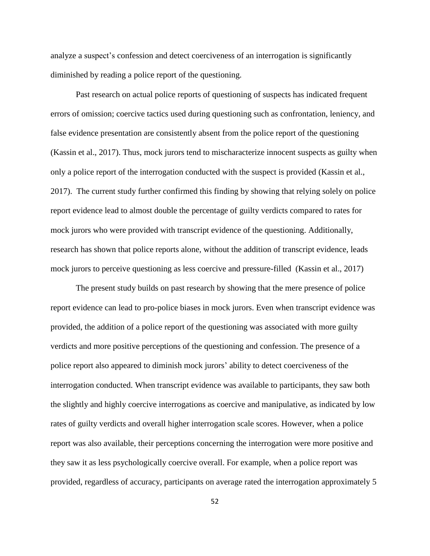analyze a suspect's confession and detect coerciveness of an interrogation is significantly diminished by reading a police report of the questioning.

Past research on actual police reports of questioning of suspects has indicated frequent errors of omission; coercive tactics used during questioning such as confrontation, leniency, and false evidence presentation are consistently absent from the police report of the questioning (Kassin et al., 2017). Thus, mock jurors tend to mischaracterize innocent suspects as guilty when only a police report of the interrogation conducted with the suspect is provided (Kassin et al., 2017). The current study further confirmed this finding by showing that relying solely on police report evidence lead to almost double the percentage of guilty verdicts compared to rates for mock jurors who were provided with transcript evidence of the questioning. Additionally, research has shown that police reports alone, without the addition of transcript evidence, leads mock jurors to perceive questioning as less coercive and pressure-filled (Kassin et al., 2017)

The present study builds on past research by showing that the mere presence of police report evidence can lead to pro-police biases in mock jurors. Even when transcript evidence was provided, the addition of a police report of the questioning was associated with more guilty verdicts and more positive perceptions of the questioning and confession. The presence of a police report also appeared to diminish mock jurors' ability to detect coerciveness of the interrogation conducted. When transcript evidence was available to participants, they saw both the slightly and highly coercive interrogations as coercive and manipulative, as indicated by low rates of guilty verdicts and overall higher interrogation scale scores. However, when a police report was also available, their perceptions concerning the interrogation were more positive and they saw it as less psychologically coercive overall. For example, when a police report was provided, regardless of accuracy, participants on average rated the interrogation approximately 5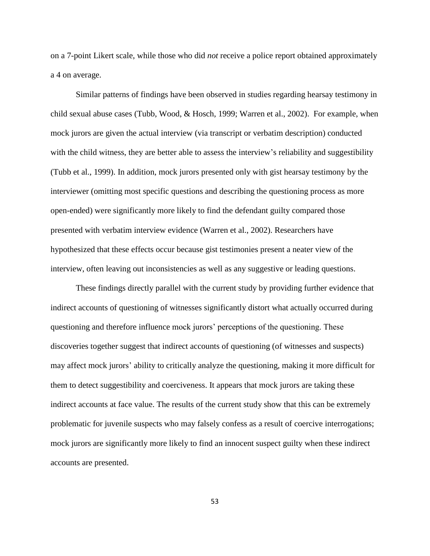on a 7-point Likert scale, while those who did *not* receive a police report obtained approximately a 4 on average.

Similar patterns of findings have been observed in studies regarding hearsay testimony in child sexual abuse cases (Tubb, Wood, & Hosch, 1999; Warren et al., 2002). For example, when mock jurors are given the actual interview (via transcript or verbatim description) conducted with the child witness, they are better able to assess the interview's reliability and suggestibility (Tubb et al., 1999). In addition, mock jurors presented only with gist hearsay testimony by the interviewer (omitting most specific questions and describing the questioning process as more open-ended) were significantly more likely to find the defendant guilty compared those presented with verbatim interview evidence (Warren et al., 2002). Researchers have hypothesized that these effects occur because gist testimonies present a neater view of the interview, often leaving out inconsistencies as well as any suggestive or leading questions.

These findings directly parallel with the current study by providing further evidence that indirect accounts of questioning of witnesses significantly distort what actually occurred during questioning and therefore influence mock jurors' perceptions of the questioning. These discoveries together suggest that indirect accounts of questioning (of witnesses and suspects) may affect mock jurors' ability to critically analyze the questioning, making it more difficult for them to detect suggestibility and coerciveness. It appears that mock jurors are taking these indirect accounts at face value. The results of the current study show that this can be extremely problematic for juvenile suspects who may falsely confess as a result of coercive interrogations; mock jurors are significantly more likely to find an innocent suspect guilty when these indirect accounts are presented.

53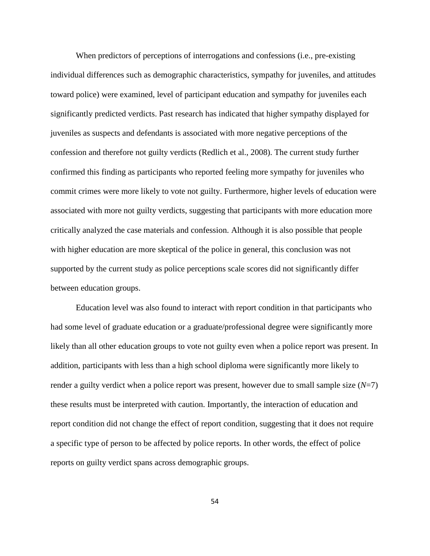When predictors of perceptions of interrogations and confessions (i.e., pre-existing individual differences such as demographic characteristics, sympathy for juveniles, and attitudes toward police) were examined, level of participant education and sympathy for juveniles each significantly predicted verdicts. Past research has indicated that higher sympathy displayed for juveniles as suspects and defendants is associated with more negative perceptions of the confession and therefore not guilty verdicts (Redlich et al., 2008). The current study further confirmed this finding as participants who reported feeling more sympathy for juveniles who commit crimes were more likely to vote not guilty. Furthermore, higher levels of education were associated with more not guilty verdicts, suggesting that participants with more education more critically analyzed the case materials and confession. Although it is also possible that people with higher education are more skeptical of the police in general, this conclusion was not supported by the current study as police perceptions scale scores did not significantly differ between education groups.

Education level was also found to interact with report condition in that participants who had some level of graduate education or a graduate/professional degree were significantly more likely than all other education groups to vote not guilty even when a police report was present. In addition, participants with less than a high school diploma were significantly more likely to render a guilty verdict when a police report was present, however due to small sample size (*N*=7) these results must be interpreted with caution. Importantly, the interaction of education and report condition did not change the effect of report condition, suggesting that it does not require a specific type of person to be affected by police reports. In other words, the effect of police reports on guilty verdict spans across demographic groups.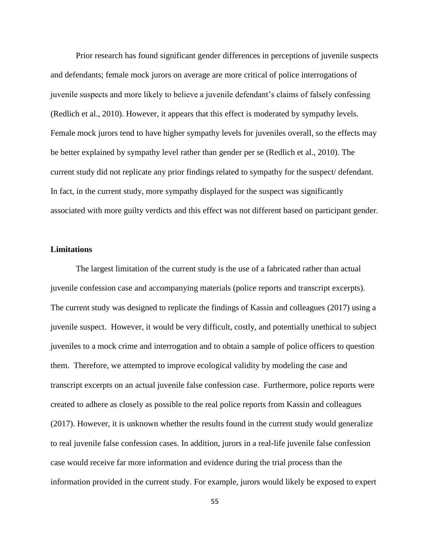Prior research has found significant gender differences in perceptions of juvenile suspects and defendants; female mock jurors on average are more critical of police interrogations of juvenile suspects and more likely to believe a juvenile defendant's claims of falsely confessing (Redlich et al., 2010). However, it appears that this effect is moderated by sympathy levels. Female mock jurors tend to have higher sympathy levels for juveniles overall, so the effects may be better explained by sympathy level rather than gender per se (Redlich et al., 2010). The current study did not replicate any prior findings related to sympathy for the suspect/ defendant. In fact, in the current study, more sympathy displayed for the suspect was significantly associated with more guilty verdicts and this effect was not different based on participant gender.

### **Limitations**

The largest limitation of the current study is the use of a fabricated rather than actual juvenile confession case and accompanying materials (police reports and transcript excerpts). The current study was designed to replicate the findings of Kassin and colleagues (2017) using a juvenile suspect. However, it would be very difficult, costly, and potentially unethical to subject juveniles to a mock crime and interrogation and to obtain a sample of police officers to question them. Therefore, we attempted to improve ecological validity by modeling the case and transcript excerpts on an actual juvenile false confession case. Furthermore, police reports were created to adhere as closely as possible to the real police reports from Kassin and colleagues (2017). However, it is unknown whether the results found in the current study would generalize to real juvenile false confession cases. In addition, jurors in a real-life juvenile false confession case would receive far more information and evidence during the trial process than the information provided in the current study. For example, jurors would likely be exposed to expert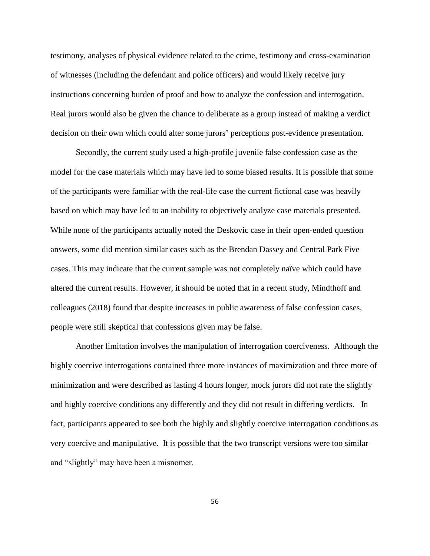testimony, analyses of physical evidence related to the crime, testimony and cross-examination of witnesses (including the defendant and police officers) and would likely receive jury instructions concerning burden of proof and how to analyze the confession and interrogation. Real jurors would also be given the chance to deliberate as a group instead of making a verdict decision on their own which could alter some jurors' perceptions post-evidence presentation.

Secondly, the current study used a high-profile juvenile false confession case as the model for the case materials which may have led to some biased results. It is possible that some of the participants were familiar with the real-life case the current fictional case was heavily based on which may have led to an inability to objectively analyze case materials presented. While none of the participants actually noted the Deskovic case in their open-ended question answers, some did mention similar cases such as the Brendan Dassey and Central Park Five cases. This may indicate that the current sample was not completely naïve which could have altered the current results. However, it should be noted that in a recent study, Mindthoff and colleagues (2018) found that despite increases in public awareness of false confession cases, people were still skeptical that confessions given may be false.

Another limitation involves the manipulation of interrogation coerciveness. Although the highly coercive interrogations contained three more instances of maximization and three more of minimization and were described as lasting 4 hours longer, mock jurors did not rate the slightly and highly coercive conditions any differently and they did not result in differing verdicts. In fact, participants appeared to see both the highly and slightly coercive interrogation conditions as very coercive and manipulative. It is possible that the two transcript versions were too similar and "slightly" may have been a misnomer.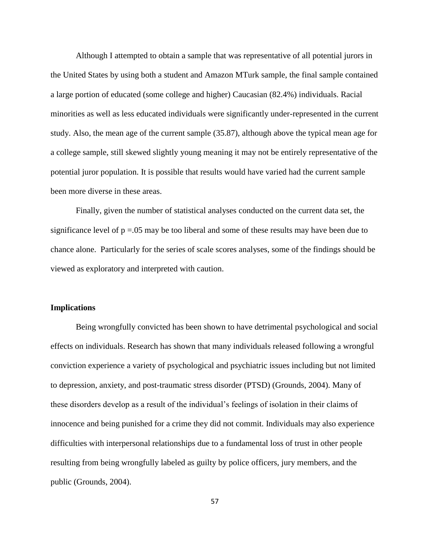Although I attempted to obtain a sample that was representative of all potential jurors in the United States by using both a student and Amazon MTurk sample, the final sample contained a large portion of educated (some college and higher) Caucasian (82.4%) individuals. Racial minorities as well as less educated individuals were significantly under-represented in the current study. Also, the mean age of the current sample (35.87), although above the typical mean age for a college sample, still skewed slightly young meaning it may not be entirely representative of the potential juror population. It is possible that results would have varied had the current sample been more diverse in these areas.

Finally, given the number of statistical analyses conducted on the current data set, the significance level of  $p = 0.05$  may be too liberal and some of these results may have been due to chance alone. Particularly for the series of scale scores analyses, some of the findings should be viewed as exploratory and interpreted with caution.

### **Implications**

Being wrongfully convicted has been shown to have detrimental psychological and social effects on individuals. Research has shown that many individuals released following a wrongful conviction experience a variety of psychological and psychiatric issues including but not limited to depression, anxiety, and post-traumatic stress disorder (PTSD) (Grounds, 2004). Many of these disorders develop as a result of the individual's feelings of isolation in their claims of innocence and being punished for a crime they did not commit. Individuals may also experience difficulties with interpersonal relationships due to a fundamental loss of trust in other people resulting from being wrongfully labeled as guilty by police officers, jury members, and the public (Grounds, 2004).

57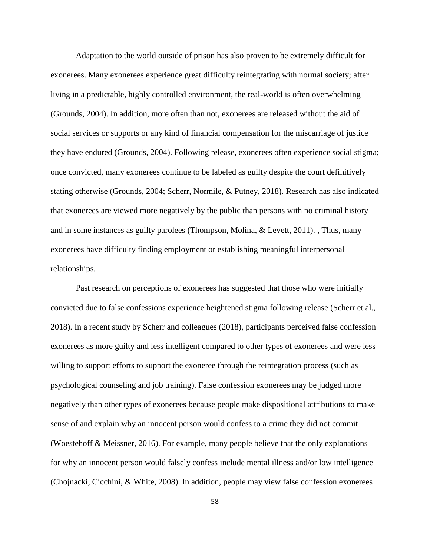Adaptation to the world outside of prison has also proven to be extremely difficult for exonerees. Many exonerees experience great difficulty reintegrating with normal society; after living in a predictable, highly controlled environment, the real-world is often overwhelming (Grounds, 2004). In addition, more often than not, exonerees are released without the aid of social services or supports or any kind of financial compensation for the miscarriage of justice they have endured (Grounds, 2004). Following release, exonerees often experience social stigma; once convicted, many exonerees continue to be labeled as guilty despite the court definitively stating otherwise (Grounds, 2004; Scherr, Normile, & Putney, 2018). Research has also indicated that exonerees are viewed more negatively by the public than persons with no criminal history and in some instances as guilty parolees (Thompson, Molina, & Levett, 2011). , Thus, many exonerees have difficulty finding employment or establishing meaningful interpersonal relationships.

Past research on perceptions of exonerees has suggested that those who were initially convicted due to false confessions experience heightened stigma following release (Scherr et al., 2018). In a recent study by Scherr and colleagues (2018), participants perceived false confession exonerees as more guilty and less intelligent compared to other types of exonerees and were less willing to support efforts to support the exoneree through the reintegration process (such as psychological counseling and job training). False confession exonerees may be judged more negatively than other types of exonerees because people make dispositional attributions to make sense of and explain why an innocent person would confess to a crime they did not commit (Woestehoff & Meissner, 2016). For example, many people believe that the only explanations for why an innocent person would falsely confess include mental illness and/or low intelligence (Chojnacki, Cicchini, & White, 2008). In addition, people may view false confession exonerees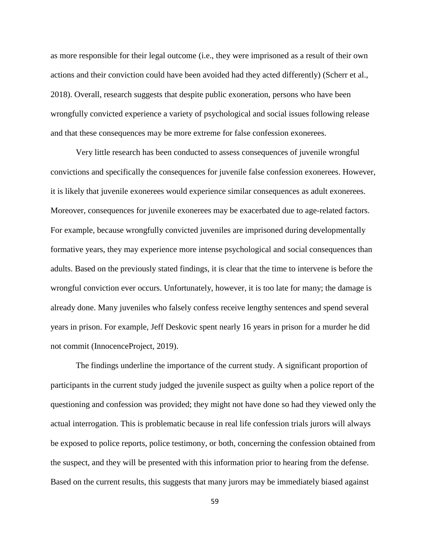as more responsible for their legal outcome (i.e., they were imprisoned as a result of their own actions and their conviction could have been avoided had they acted differently) (Scherr et al., 2018). Overall, research suggests that despite public exoneration, persons who have been wrongfully convicted experience a variety of psychological and social issues following release and that these consequences may be more extreme for false confession exonerees.

Very little research has been conducted to assess consequences of juvenile wrongful convictions and specifically the consequences for juvenile false confession exonerees. However, it is likely that juvenile exonerees would experience similar consequences as adult exonerees. Moreover, consequences for juvenile exonerees may be exacerbated due to age-related factors. For example, because wrongfully convicted juveniles are imprisoned during developmentally formative years, they may experience more intense psychological and social consequences than adults. Based on the previously stated findings, it is clear that the time to intervene is before the wrongful conviction ever occurs. Unfortunately, however, it is too late for many; the damage is already done. Many juveniles who falsely confess receive lengthy sentences and spend several years in prison. For example, Jeff Deskovic spent nearly 16 years in prison for a murder he did not commit (InnocenceProject, 2019).

The findings underline the importance of the current study. A significant proportion of participants in the current study judged the juvenile suspect as guilty when a police report of the questioning and confession was provided; they might not have done so had they viewed only the actual interrogation. This is problematic because in real life confession trials jurors will always be exposed to police reports, police testimony, or both, concerning the confession obtained from the suspect, and they will be presented with this information prior to hearing from the defense. Based on the current results, this suggests that many jurors may be immediately biased against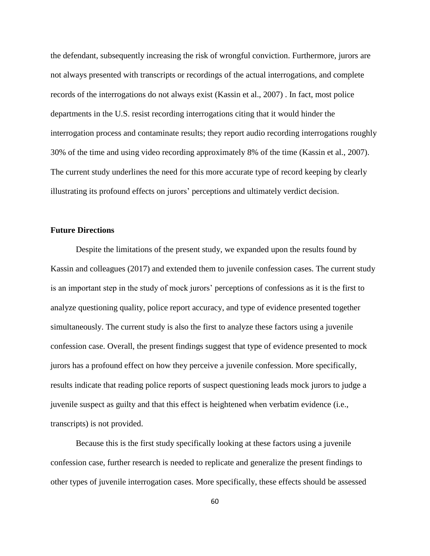the defendant, subsequently increasing the risk of wrongful conviction. Furthermore, jurors are not always presented with transcripts or recordings of the actual interrogations, and complete records of the interrogations do not always exist (Kassin et al., 2007) . In fact, most police departments in the U.S. resist recording interrogations citing that it would hinder the interrogation process and contaminate results; they report audio recording interrogations roughly 30% of the time and using video recording approximately 8% of the time (Kassin et al., 2007). The current study underlines the need for this more accurate type of record keeping by clearly illustrating its profound effects on jurors' perceptions and ultimately verdict decision.

## **Future Directions**

Despite the limitations of the present study, we expanded upon the results found by Kassin and colleagues (2017) and extended them to juvenile confession cases. The current study is an important step in the study of mock jurors' perceptions of confessions as it is the first to analyze questioning quality, police report accuracy, and type of evidence presented together simultaneously. The current study is also the first to analyze these factors using a juvenile confession case. Overall, the present findings suggest that type of evidence presented to mock jurors has a profound effect on how they perceive a juvenile confession. More specifically, results indicate that reading police reports of suspect questioning leads mock jurors to judge a juvenile suspect as guilty and that this effect is heightened when verbatim evidence (i.e., transcripts) is not provided.

Because this is the first study specifically looking at these factors using a juvenile confession case, further research is needed to replicate and generalize the present findings to other types of juvenile interrogation cases. More specifically, these effects should be assessed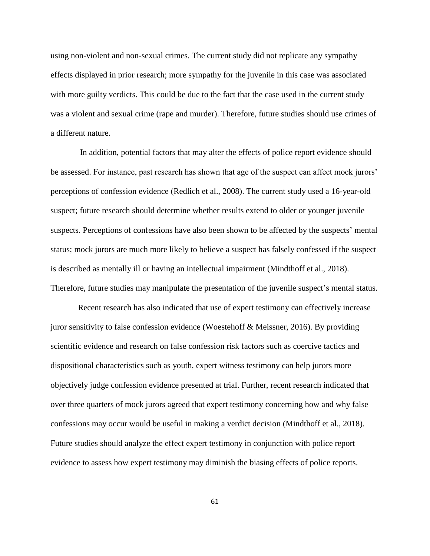using non-violent and non-sexual crimes. The current study did not replicate any sympathy effects displayed in prior research; more sympathy for the juvenile in this case was associated with more guilty verdicts. This could be due to the fact that the case used in the current study was a violent and sexual crime (rape and murder). Therefore, future studies should use crimes of a different nature.

 In addition, potential factors that may alter the effects of police report evidence should be assessed. For instance, past research has shown that age of the suspect can affect mock jurors' perceptions of confession evidence (Redlich et al., 2008). The current study used a 16-year-old suspect; future research should determine whether results extend to older or younger juvenile suspects. Perceptions of confessions have also been shown to be affected by the suspects' mental status; mock jurors are much more likely to believe a suspect has falsely confessed if the suspect is described as mentally ill or having an intellectual impairment (Mindthoff et al., 2018). Therefore, future studies may manipulate the presentation of the juvenile suspect's mental status.

Recent research has also indicated that use of expert testimony can effectively increase juror sensitivity to false confession evidence (Woestehoff & Meissner, 2016). By providing scientific evidence and research on false confession risk factors such as coercive tactics and dispositional characteristics such as youth, expert witness testimony can help jurors more objectively judge confession evidence presented at trial. Further, recent research indicated that over three quarters of mock jurors agreed that expert testimony concerning how and why false confessions may occur would be useful in making a verdict decision (Mindthoff et al., 2018). Future studies should analyze the effect expert testimony in conjunction with police report evidence to assess how expert testimony may diminish the biasing effects of police reports.

61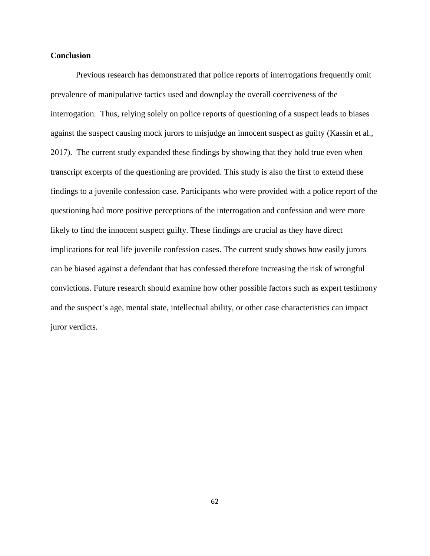## **Conclusion**

Previous research has demonstrated that police reports of interrogations frequently omit prevalence of manipulative tactics used and downplay the overall coerciveness of the interrogation. Thus, relying solely on police reports of questioning of a suspect leads to biases against the suspect causing mock jurors to misjudge an innocent suspect as guilty (Kassin et al., 2017). The current study expanded these findings by showing that they hold true even when transcript excerpts of the questioning are provided. This study is also the first to extend these findings to a juvenile confession case. Participants who were provided with a police report of the questioning had more positive perceptions of the interrogation and confession and were more likely to find the innocent suspect guilty. These findings are crucial as they have direct implications for real life juvenile confession cases. The current study shows how easily jurors can be biased against a defendant that has confessed therefore increasing the risk of wrongful convictions. Future research should examine how other possible factors such as expert testimony and the suspect's age, mental state, intellectual ability, or other case characteristics can impact juror verdicts.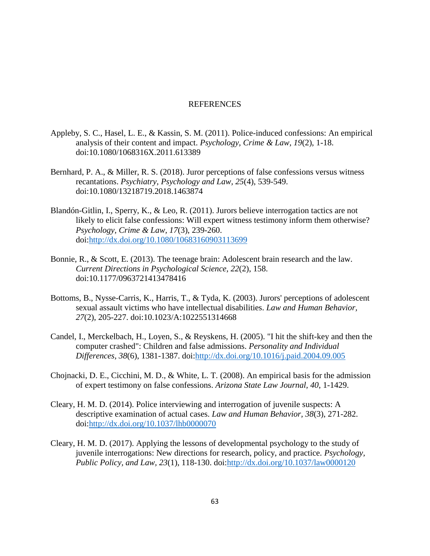### REFERENCES

- Appleby, S. C., Hasel, L. E., & Kassin, S. M. (2011). Police-induced confessions: An empirical analysis of their content and impact. *Psychology, Crime & Law, 19*(2), 1-18. doi:10.1080/1068316X.2011.613389
- Bernhard, P. A., & Miller, R. S. (2018). Juror perceptions of false confessions versus witness recantations. *Psychiatry, Psychology and Law, 25*(4), 539-549. doi:10.1080/13218719.2018.1463874
- Blandón-Gitlin, I., Sperry, K., & Leo, R. (2011). Jurors believe interrogation tactics are not likely to elicit false confessions: Will expert witness testimony inform them otherwise? *Psychology, Crime & Law, 17*(3), 239-260. doi[:http://dx.doi.org/10.1080/10683160903113699](http://dx.doi.org/10.1080/10683160903113699)
- Bonnie, R., & Scott, E. (2013). The teenage brain: Adolescent brain research and the law. *Current Directions in Psychological Science, 22*(2), 158. doi:10.1177/0963721413478416
- Bottoms, B., Nysse-Carris, K., Harris, T., & Tyda, K. (2003). Jurors' perceptions of adolescent sexual assault victims who have intellectual disabilities. *Law and Human Behavior, 27*(2), 205-227. doi:10.1023/A:1022551314668
- Candel, I., Merckelbach, H., Loyen, S., & Reyskens, H. (2005). "I hit the shift-key and then the computer crashed": Children and false admissions. *Personality and Individual Differences, 38*(6), 1381-1387. doi[:http://dx.doi.org/10.1016/j.paid.2004.09.005](http://dx.doi.org/10.1016/j.paid.2004.09.005)
- Chojnacki, D. E., Cicchini, M. D., & White, L. T. (2008). An empirical basis for the admission of expert testimony on false confessions. *Arizona State Law Journal, 40*, 1-1429.
- Cleary, H. M. D. (2014). Police interviewing and interrogation of juvenile suspects: A descriptive examination of actual cases. *Law and Human Behavior, 38*(3), 271-282. doi[:http://dx.doi.org/10.1037/lhb0000070](http://dx.doi.org/10.1037/lhb0000070)
- Cleary, H. M. D. (2017). Applying the lessons of developmental psychology to the study of juvenile interrogations: New directions for research, policy, and practice. *Psychology, Public Policy, and Law, 23*(1), 118-130. doi[:http://dx.doi.org/10.1037/law0000120](http://dx.doi.org/10.1037/law0000120)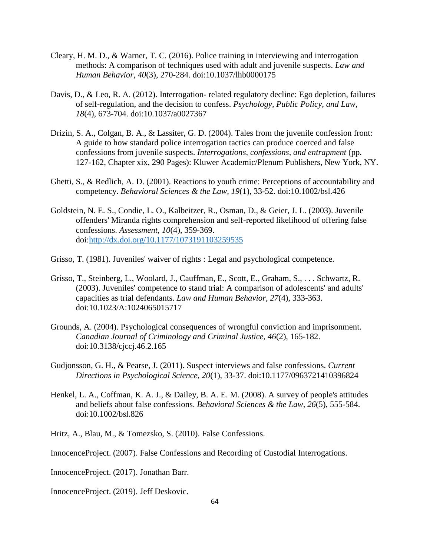- Cleary, H. M. D., & Warner, T. C. (2016). Police training in interviewing and interrogation methods: A comparison of techniques used with adult and juvenile suspects. *Law and Human Behavior, 40*(3), 270-284. doi:10.1037/lhb0000175
- Davis, D., & Leo, R. A. (2012). Interrogation- related regulatory decline: Ego depletion, failures of self-regulation, and the decision to confess. *Psychology, Public Policy, and Law, 18*(4), 673-704. doi:10.1037/a0027367
- Drizin, S. A., Colgan, B. A., & Lassiter, G. D. (2004). Tales from the juvenile confession front: A guide to how standard police interrogation tactics can produce coerced and false confessions from juvenile suspects. *Interrogations, confessions, and entrapment* (pp. 127-162, Chapter xix, 290 Pages): Kluwer Academic/Plenum Publishers, New York, NY.
- Ghetti, S., & Redlich, A. D. (2001). Reactions to youth crime: Perceptions of accountability and competency. *Behavioral Sciences & the Law, 19*(1), 33-52. doi:10.1002/bsl.426
- Goldstein, N. E. S., Condie, L. O., Kalbeitzer, R., Osman, D., & Geier, J. L. (2003). Juvenile offenders' Miranda rights comprehension and self-reported likelihood of offering false confessions. *Assessment, 10*(4), 359-369. doi[:http://dx.doi.org/10.1177/1073191103259535](http://dx.doi.org/10.1177/1073191103259535)
- Grisso, T. (1981). Juveniles' waiver of rights : Legal and psychological competence.
- Grisso, T., Steinberg, L., Woolard, J., Cauffman, E., Scott, E., Graham, S., . . . Schwartz, R. (2003). Juveniles' competence to stand trial: A comparison of adolescents' and adults' capacities as trial defendants. *Law and Human Behavior, 27*(4), 333-363. doi:10.1023/A:1024065015717
- Grounds, A. (2004). Psychological consequences of wrongful conviction and imprisonment. *Canadian Journal of Criminology and Criminal Justice, 46*(2), 165-182. doi:10.3138/cjccj.46.2.165
- Gudjonsson, G. H., & Pearse, J. (2011). Suspect interviews and false confessions. *Current Directions in Psychological Science, 20*(1), 33-37. doi:10.1177/0963721410396824
- Henkel, L. A., Coffman, K. A. J., & Dailey, B. A. E. M. (2008). A survey of people's attitudes and beliefs about false confessions. *Behavioral Sciences & the Law, 26*(5), 555-584. doi:10.1002/bsl.826

Hritz, A., Blau, M., & Tomezsko, S. (2010). False Confessions.

InnocenceProject. (2007). False Confessions and Recording of Custodial Interrogations.

InnocenceProject. (2017). Jonathan Barr.

InnocenceProject. (2019). Jeff Deskovic.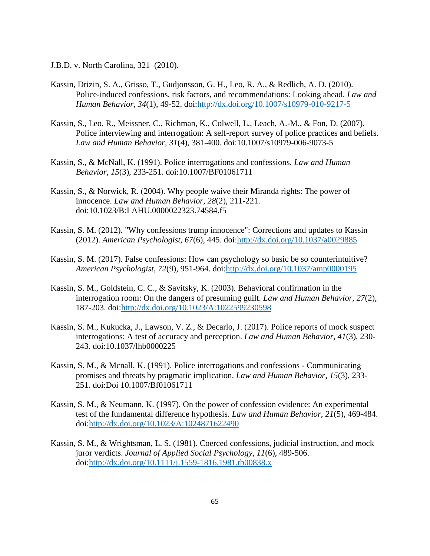J.B.D. v. North Carolina, 321 (2010).

- Kassin, Drizin, S. A., Grisso, T., Gudjonsson, G. H., Leo, R. A., & Redlich, A. D. (2010). Police-induced confessions, risk factors, and recommendations: Looking ahead. *Law and Human Behavior, 34*(1), 49-52. doi[:http://dx.doi.org/10.1007/s10979-010-9217-5](http://dx.doi.org/10.1007/s10979-010-9217-5)
- Kassin, S., Leo, R., Meissner, C., Richman, K., Colwell, L., Leach, A.-M., & Fon, D. (2007). Police interviewing and interrogation: A self-report survey of police practices and beliefs. *Law and Human Behavior, 31*(4), 381-400. doi:10.1007/s10979-006-9073-5
- Kassin, S., & McNall, K. (1991). Police interrogations and confessions. *Law and Human Behavior, 15*(3), 233-251. doi:10.1007/BF01061711
- Kassin, S., & Norwick, R. (2004). Why people waive their Miranda rights: The power of innocence. *Law and Human Behavior, 28*(2), 211-221. doi:10.1023/B:LAHU.0000022323.74584.f5
- Kassin, S. M. (2012). "Why confessions trump innocence": Corrections and updates to Kassin (2012). *American Psychologist, 67*(6), 445. doi[:http://dx.doi.org/10.1037/a0029885](http://dx.doi.org/10.1037/a0029885)
- Kassin, S. M. (2017). False confessions: How can psychology so basic be so counterintuitive? *American Psychologist, 72*(9), 951-964. doi[:http://dx.doi.org/10.1037/amp0000195](http://dx.doi.org/10.1037/amp0000195)
- Kassin, S. M., Goldstein, C. C., & Savitsky, K. (2003). Behavioral confirmation in the interrogation room: On the dangers of presuming guilt. *Law and Human Behavior, 27*(2), 187-203. doi[:http://dx.doi.org/10.1023/A:1022599230598](http://dx.doi.org/10.1023/A:1022599230598)
- Kassin, S. M., Kukucka, J., Lawson, V. Z., & Decarlo, J. (2017). Police reports of mock suspect interrogations: A test of accuracy and perception. *Law and Human Behavior, 41*(3), 230- 243. doi:10.1037/lhb0000225
- Kassin, S. M., & Mcnall, K. (1991). Police interrogations and confessions Communicating promises and threats by pragmatic implication. *Law and Human Behavior, 15*(3), 233- 251. doi:Doi 10.1007/Bf01061711
- Kassin, S. M., & Neumann, K. (1997). On the power of confession evidence: An experimental test of the fundamental difference hypothesis. *Law and Human Behavior, 21*(5), 469-484. doi[:http://dx.doi.org/10.1023/A:1024871622490](http://dx.doi.org/10.1023/A:1024871622490)
- Kassin, S. M., & Wrightsman, L. S. (1981). Coerced confessions, judicial instruction, and mock juror verdicts. *Journal of Applied Social Psychology, 11*(6), 489-506. doi[:http://dx.doi.org/10.1111/j.1559-1816.1981.tb00838.x](http://dx.doi.org/10.1111/j.1559-1816.1981.tb00838.x)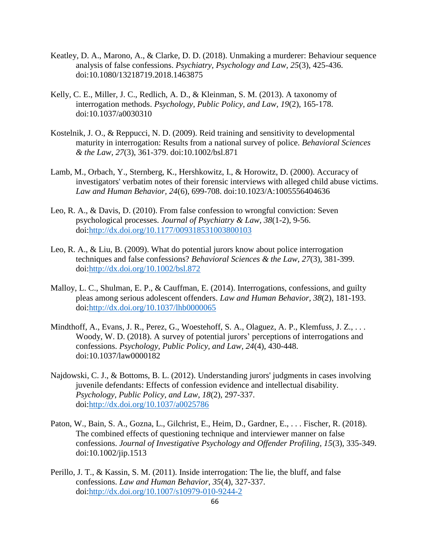- Keatley, D. A., Marono, A., & Clarke, D. D. (2018). Unmaking a murderer: Behaviour sequence analysis of false confessions. *Psychiatry, Psychology and Law, 25*(3), 425-436. doi:10.1080/13218719.2018.1463875
- Kelly, C. E., Miller, J. C., Redlich, A. D., & Kleinman, S. M. (2013). A taxonomy of interrogation methods. *Psychology, Public Policy, and Law, 19*(2), 165-178. doi:10.1037/a0030310
- Kostelnik, J. O., & Reppucci, N. D. (2009). Reid training and sensitivity to developmental maturity in interrogation: Results from a national survey of police. *Behavioral Sciences & the Law, 27*(3), 361-379. doi:10.1002/bsl.871
- Lamb, M., Orbach, Y., Sternberg, K., Hershkowitz, I., & Horowitz, D. (2000). Accuracy of investigators' verbatim notes of their forensic interviews with alleged child abuse victims. *Law and Human Behavior, 24*(6), 699-708. doi:10.1023/A:1005556404636
- Leo, R. A., & Davis, D. (2010). From false confession to wrongful conviction: Seven psychological processes. *Journal of Psychiatry & Law, 38*(1-2), 9-56. doi[:http://dx.doi.org/10.1177/009318531003800103](http://dx.doi.org/10.1177/009318531003800103)
- Leo, R. A., & Liu, B. (2009). What do potential jurors know about police interrogation techniques and false confessions? *Behavioral Sciences & the Law, 27*(3), 381-399. doi[:http://dx.doi.org/10.1002/bsl.872](http://dx.doi.org/10.1002/bsl.872)
- Malloy, L. C., Shulman, E. P., & Cauffman, E. (2014). Interrogations, confessions, and guilty pleas among serious adolescent offenders. *Law and Human Behavior, 38*(2), 181-193. doi[:http://dx.doi.org/10.1037/lhb0000065](http://dx.doi.org/10.1037/lhb0000065)
- Mindthoff, A., Evans, J. R., Perez, G., Woestehoff, S. A., Olaguez, A. P., Klemfuss, J. Z., . . . Woody, W. D. (2018). A survey of potential jurors' perceptions of interrogations and confessions. *Psychology, Public Policy, and Law, 24*(4), 430-448. doi:10.1037/law0000182
- Najdowski, C. J., & Bottoms, B. L. (2012). Understanding jurors' judgments in cases involving juvenile defendants: Effects of confession evidence and intellectual disability. *Psychology, Public Policy, and Law, 18*(2), 297-337. doi[:http://dx.doi.org/10.1037/a0025786](http://dx.doi.org/10.1037/a0025786)
- Paton, W., Bain, S. A., Gozna, L., Gilchrist, E., Heim, D., Gardner, E., . . . Fischer, R. (2018). The combined effects of questioning technique and interviewer manner on false confessions. *Journal of Investigative Psychology and Offender Profiling, 15*(3), 335-349. doi:10.1002/jip.1513
- Perillo, J. T., & Kassin, S. M. (2011). Inside interrogation: The lie, the bluff, and false confessions. *Law and Human Behavior, 35*(4), 327-337. doi[:http://dx.doi.org/10.1007/s10979-010-9244-2](http://dx.doi.org/10.1007/s10979-010-9244-2)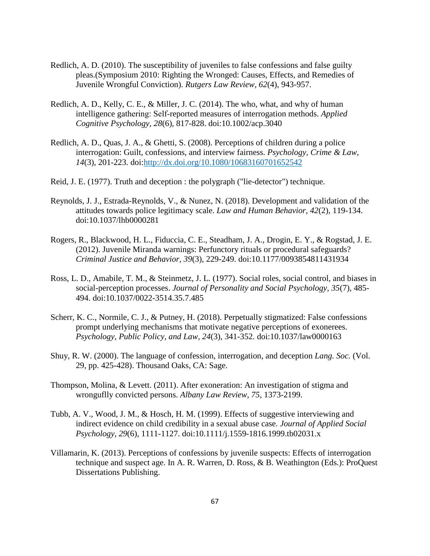- Redlich, A. D. (2010). The susceptibility of juveniles to false confessions and false guilty pleas.(Symposium 2010: Righting the Wronged: Causes, Effects, and Remedies of Juvenile Wrongful Conviction). *Rutgers Law Review, 62*(4), 943-957.
- Redlich, A. D., Kelly, C. E., & Miller, J. C. (2014). The who, what, and why of human intelligence gathering: Self‐reported measures of interrogation methods. *Applied Cognitive Psychology, 28*(6), 817-828. doi:10.1002/acp.3040
- Redlich, A. D., Quas, J. A., & Ghetti, S. (2008). Perceptions of children during a police interrogation: Guilt, confessions, and interview fairness. *Psychology, Crime & Law, 14*(3), 201-223. doi[:http://dx.doi.org/10.1080/10683160701652542](http://dx.doi.org/10.1080/10683160701652542)
- Reid, J. E. (1977). Truth and deception : the polygraph ("lie-detector") technique.
- Reynolds, J. J., Estrada-Reynolds, V., & Nunez, N. (2018). Development and validation of the attitudes towards police legitimacy scale. *Law and Human Behavior, 42*(2), 119-134. doi:10.1037/lhb0000281
- Rogers, R., Blackwood, H. L., Fiduccia, C. E., Steadham, J. A., Drogin, E. Y., & Rogstad, J. E. (2012). Juvenile Miranda warnings: Perfunctory rituals or procedural safeguards? *Criminal Justice and Behavior, 39*(3), 229-249. doi:10.1177/0093854811431934
- Ross, L. D., Amabile, T. M., & Steinmetz, J. L. (1977). Social roles, social control, and biases in social-perception processes. *Journal of Personality and Social Psychology, 35*(7), 485- 494. doi:10.1037/0022-3514.35.7.485
- Scherr, K. C., Normile, C. J., & Putney, H. (2018). Perpetually stigmatized: False confessions prompt underlying mechanisms that motivate negative perceptions of exonerees. *Psychology, Public Policy, and Law, 24*(3), 341-352. doi:10.1037/law0000163
- Shuy, R. W. (2000). The language of confession, interrogation, and deception *Lang. Soc.* (Vol. 29, pp. 425-428). Thousand Oaks, CA: Sage.
- Thompson, Molina, & Levett. (2011). After exoneration: An investigation of stigma and wronguflly convicted persons. *Albany Law Review, 75*, 1373-2199.
- Tubb, A. V., Wood, J. M., & Hosch, H. M. (1999). Effects of suggestive interviewing and indirect evidence on child credibility in a sexual abuse case. *Journal of Applied Social Psychology, 29*(6), 1111-1127. doi:10.1111/j.1559-1816.1999.tb02031.x
- Villamarin, K. (2013). Perceptions of confessions by juvenile suspects: Effects of interrogation technique and suspect age. In A. R. Warren, D. Ross, & B. Weathington (Eds.): ProQuest Dissertations Publishing.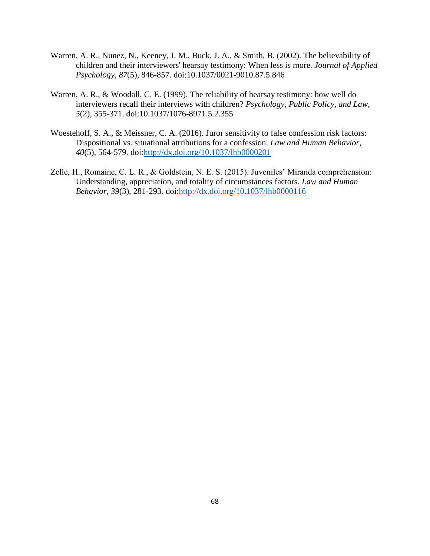- Warren, A. R., Nunez, N., Keeney, J. M., Buck, J. A., & Smith, B. (2002). The believability of children and their interviewers' hearsay testimony: When less is more. *Journal of Applied Psychology, 87*(5), 846-857. doi:10.1037/0021-9010.87.5.846
- Warren, A. R., & Woodall, C. E. (1999). The reliability of hearsay testimony: how well do interviewers recall their interviews with children? *Psychology, Public Policy, and Law, 5*(2), 355-371. doi:10.1037/1076-8971.5.2.355
- Woestehoff, S. A., & Meissner, C. A. (2016). Juror sensitivity to false confession risk factors: Dispositional vs. situational attributions for a confession. *Law and Human Behavior, 40*(5), 564-579. doi[:http://dx.doi.org/10.1037/lhb0000201](http://dx.doi.org/10.1037/lhb0000201)
- Zelle, H., Romaine, C. L. R., & Goldstein, N. E. S. (2015). Juveniles' Miranda comprehension: Understanding, appreciation, and totality of circumstances factors. *Law and Human Behavior, 39*(3), 281-293. doi[:http://dx.doi.org/10.1037/lhb0000116](http://dx.doi.org/10.1037/lhb0000116)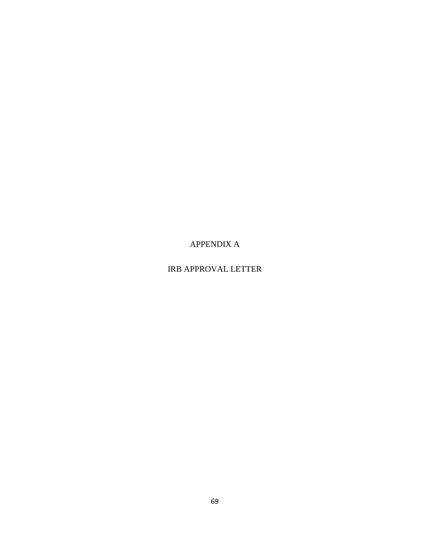## APPENDIX A

## IRB APPROVAL LETTER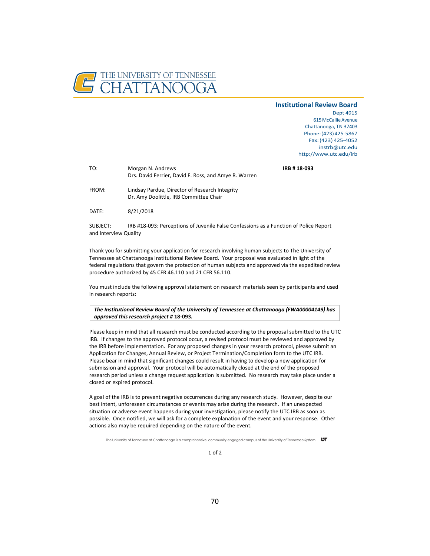

#### **Institutional Review Board**

Dept 4915 615McCallieAvenue Chattanooga, TN 37403 Phone:(423)425-5867 Fax:(423) 425-4052 instrb@utc.edu http://www.utc.edu/irb

| TO:   | Morgan N. Andrews                                     | IRB #18-093 |
|-------|-------------------------------------------------------|-------------|
|       | Drs. David Ferrier, David F. Ross, and Amye R. Warren |             |
| FROM: | Lindsay Pardue, Director of Research Integrity        |             |
|       | Dr. Amy Doolittle, IRB Committee Chair                |             |

DATE: 8/21/2018

SUBJECT: IRB #18-093: Perceptions of Juvenile False Confessions as a Function of Police Report and Interview Quality

Thank you for submitting your application for research involving human subjects to The University of Tennessee at Chattanooga Institutional Review Board. Your proposal was evaluated in light of the federal regulations that govern the protection of human subjects and approved via the expedited review procedure authorized by 45 CFR 46.110 and 21 CFR 56.110.

You must include the following approval statement on research materials seen by participants and used in research reports:

*The Institutional Review Board of the University of Tennessee at Chattanooga (FWA00004149) has approved this research project #* **18-093***.*

Please keep in mind that all research must be conducted according to the proposal submitted to the UTC IRB. If changes to the approved protocol occur, a revised protocol must be reviewed and approved by the IRB before implementation. For any proposed changes in your research protocol, please submit an Application for Changes, Annual Review, or Project Termination/Completion form to the UTC IRB. Please bear in mind that significant changes could result in having to develop a new application for submission and approval. Your protocol will be automatically closed at the end of the proposed research period unless a change request application is submitted. No research may take place under a closed or expired protocol.

A goal of the IRB is to prevent negative occurrences during any research study. However, despite our best intent, unforeseen circumstances or events may arise during the research. If an unexpected situation or adverse event happens during your investigation, please notify the UTC IRB as soon as possible. Once notified, we will ask for a complete explanation of the event and your response. Other actions also may be required depending on the nature of the event.

The University of Tennessee at Chattanooga is a comprehensive, community-engaged campus of the University of Tennessee System.  $\mathbf{U}\mathbf{F}$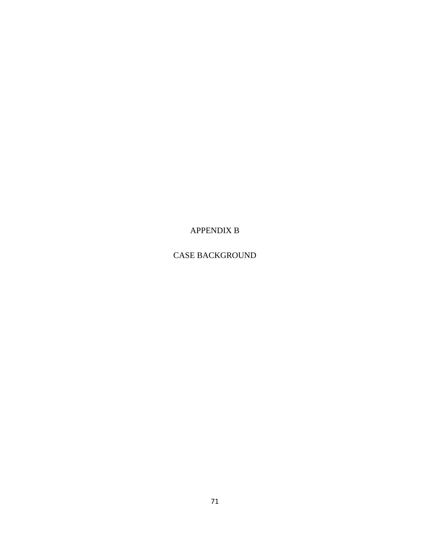APPENDIX B

CASE BACKGROUND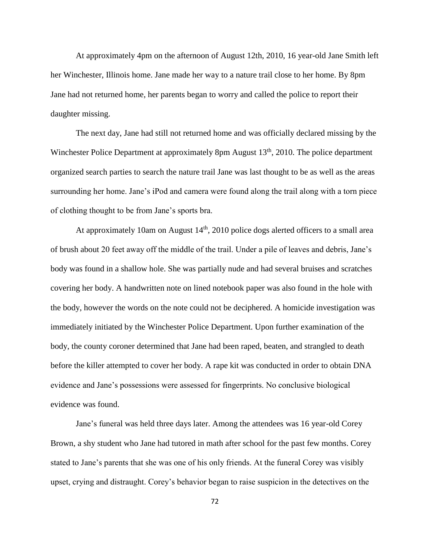At approximately 4pm on the afternoon of August 12th, 2010, 16 year-old Jane Smith left her Winchester, Illinois home. Jane made her way to a nature trail close to her home. By 8pm Jane had not returned home, her parents began to worry and called the police to report their daughter missing.

The next day, Jane had still not returned home and was officially declared missing by the Winchester Police Department at approximately 8pm August 13<sup>th</sup>, 2010. The police department organized search parties to search the nature trail Jane was last thought to be as well as the areas surrounding her home. Jane's iPod and camera were found along the trail along with a torn piece of clothing thought to be from Jane's sports bra.

At approximately 10am on August  $14<sup>th</sup>$ , 2010 police dogs alerted officers to a small area of brush about 20 feet away off the middle of the trail. Under a pile of leaves and debris, Jane's body was found in a shallow hole. She was partially nude and had several bruises and scratches covering her body. A handwritten note on lined notebook paper was also found in the hole with the body, however the words on the note could not be deciphered. A homicide investigation was immediately initiated by the Winchester Police Department. Upon further examination of the body, the county coroner determined that Jane had been raped, beaten, and strangled to death before the killer attempted to cover her body. A rape kit was conducted in order to obtain DNA evidence and Jane's possessions were assessed for fingerprints. No conclusive biological evidence was found.

Jane's funeral was held three days later. Among the attendees was 16 year-old Corey Brown, a shy student who Jane had tutored in math after school for the past few months. Corey stated to Jane's parents that she was one of his only friends. At the funeral Corey was visibly upset, crying and distraught. Corey's behavior began to raise suspicion in the detectives on the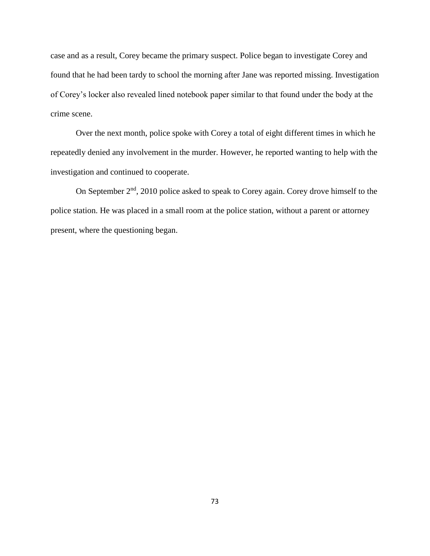case and as a result, Corey became the primary suspect. Police began to investigate Corey and found that he had been tardy to school the morning after Jane was reported missing. Investigation of Corey's locker also revealed lined notebook paper similar to that found under the body at the crime scene.

Over the next month, police spoke with Corey a total of eight different times in which he repeatedly denied any involvement in the murder. However, he reported wanting to help with the investigation and continued to cooperate.

On September 2<sup>nd</sup>, 2010 police asked to speak to Corey again. Corey drove himself to the police station. He was placed in a small room at the police station, without a parent or attorney present, where the questioning began.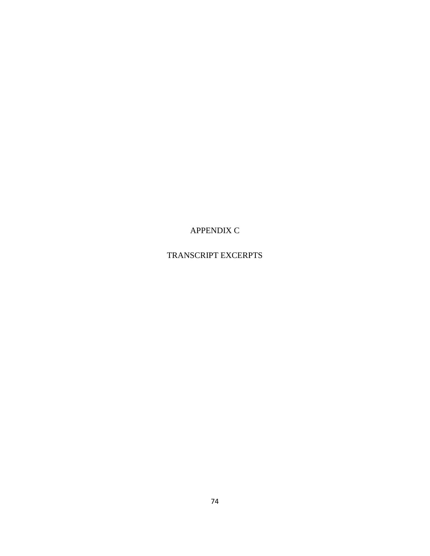APPENDIX C

TRANSCRIPT EXCERPTS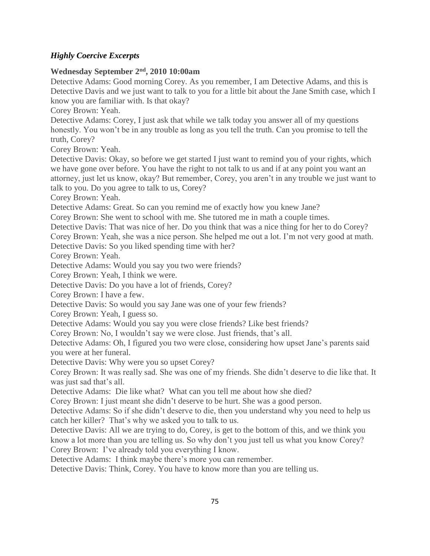## *Highly Coercive Excerpts*

## **Wednesday September 2nd, 2010 10:00am**

Detective Adams: Good morning Corey. As you remember, I am Detective Adams, and this is Detective Davis and we just want to talk to you for a little bit about the Jane Smith case, which I know you are familiar with. Is that okay?

Corey Brown: Yeah.

Detective Adams: Corey, I just ask that while we talk today you answer all of my questions honestly. You won't be in any trouble as long as you tell the truth. Can you promise to tell the truth, Corey?

Corey Brown: Yeah.

Detective Davis: Okay, so before we get started I just want to remind you of your rights, which we have gone over before. You have the right to not talk to us and if at any point you want an attorney, just let us know, okay? But remember, Corey, you aren't in any trouble we just want to talk to you. Do you agree to talk to us, Corey?

Corey Brown: Yeah.

Detective Adams: Great. So can you remind me of exactly how you knew Jane?

Corey Brown: She went to school with me. She tutored me in math a couple times.

Detective Davis: That was nice of her. Do you think that was a nice thing for her to do Corey?

Corey Brown: Yeah, she was a nice person. She helped me out a lot. I'm not very good at math.

Detective Davis: So you liked spending time with her?

Corey Brown: Yeah.

Detective Adams: Would you say you two were friends?

Corey Brown: Yeah, I think we were.

Detective Davis: Do you have a lot of friends, Corey?

Corey Brown: I have a few.

Detective Davis: So would you say Jane was one of your few friends?

Corey Brown: Yeah, I guess so.

Detective Adams: Would you say you were close friends? Like best friends?

Corey Brown: No, I wouldn't say we were close. Just friends, that's all.

Detective Adams: Oh, I figured you two were close, considering how upset Jane's parents said you were at her funeral.

Detective Davis: Why were you so upset Corey?

Corey Brown: It was really sad. She was one of my friends. She didn't deserve to die like that. It was just sad that's all.

Detective Adams: Die like what? What can you tell me about how she died?

Corey Brown: I just meant she didn't deserve to be hurt. She was a good person.

Detective Adams: So if she didn't deserve to die, then you understand why you need to help us catch her killer? That's why we asked you to talk to us.

Detective Davis: All we are trying to do, Corey, is get to the bottom of this, and we think you know a lot more than you are telling us. So why don't you just tell us what you know Corey? Corey Brown: I've already told you everything I know.

Detective Adams: I think maybe there's more you can remember.

Detective Davis: Think, Corey. You have to know more than you are telling us.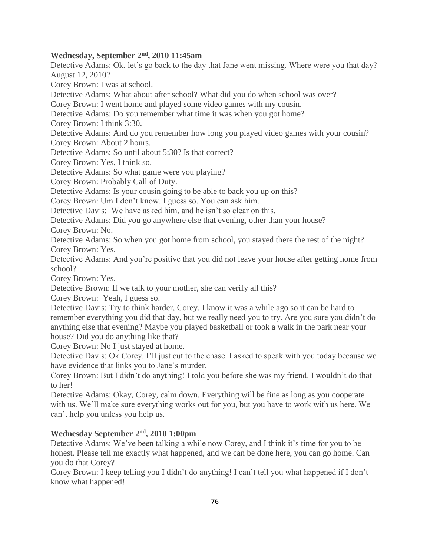### **Wednesday, September 2nd, 2010 11:45am**

Detective Adams: Ok, let's go back to the day that Jane went missing. Where were you that day? August 12, 2010?

Corey Brown: I was at school.

Detective Adams: What about after school? What did you do when school was over?

Corey Brown: I went home and played some video games with my cousin.

Detective Adams: Do you remember what time it was when you got home?

Corey Brown: I think 3:30.

Detective Adams: And do you remember how long you played video games with your cousin? Corey Brown: About 2 hours.

Detective Adams: So until about 5:30? Is that correct?

Corey Brown: Yes, I think so.

Detective Adams: So what game were you playing?

Corey Brown: Probably Call of Duty.

Detective Adams: Is your cousin going to be able to back you up on this?

Corey Brown: Um I don't know. I guess so. You can ask him.

Detective Davis: We have asked him, and he isn't so clear on this.

Detective Adams: Did you go anywhere else that evening, other than your house?

Corey Brown: No.

Detective Adams: So when you got home from school, you stayed there the rest of the night? Corey Brown: Yes.

Detective Adams: And you're positive that you did not leave your house after getting home from school?

Corey Brown: Yes.

Detective Brown: If we talk to your mother, she can verify all this?

Corey Brown: Yeah, I guess so.

Detective Davis: Try to think harder, Corey. I know it was a while ago so it can be hard to remember everything you did that day, but we really need you to try. Are you sure you didn't do anything else that evening? Maybe you played basketball or took a walk in the park near your house? Did you do anything like that?

Corey Brown: No I just stayed at home.

Detective Davis: Ok Corey. I'll just cut to the chase. I asked to speak with you today because we have evidence that links you to Jane's murder.

Corey Brown: But I didn't do anything! I told you before she was my friend. I wouldn't do that to her!

Detective Adams: Okay, Corey, calm down. Everything will be fine as long as you cooperate with us. We'll make sure everything works out for you, but you have to work with us here. We can't help you unless you help us.

## **Wednesday September 2 nd, 2010 1:00pm**

Detective Adams: We've been talking a while now Corey, and I think it's time for you to be honest. Please tell me exactly what happened, and we can be done here, you can go home. Can you do that Corey?

Corey Brown: I keep telling you I didn't do anything! I can't tell you what happened if I don't know what happened!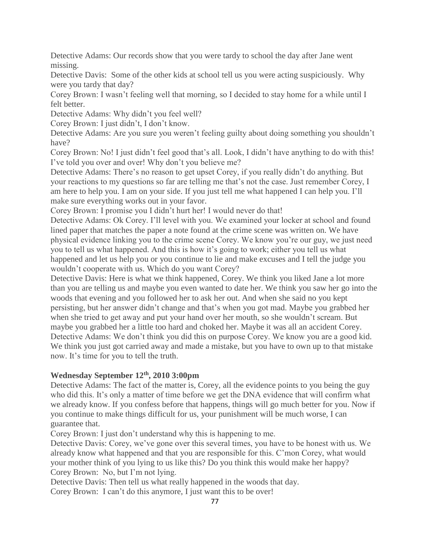Detective Adams: Our records show that you were tardy to school the day after Jane went missing.

Detective Davis: Some of the other kids at school tell us you were acting suspiciously. Why were you tardy that day?

Corey Brown: I wasn't feeling well that morning, so I decided to stay home for a while until I felt better.

Detective Adams: Why didn't you feel well?

Corey Brown: I just didn't, I don't know.

Detective Adams: Are you sure you weren't feeling guilty about doing something you shouldn't have?

Corey Brown: No! I just didn't feel good that's all. Look, I didn't have anything to do with this! I've told you over and over! Why don't you believe me?

Detective Adams: There's no reason to get upset Corey, if you really didn't do anything. But your reactions to my questions so far are telling me that's not the case. Just remember Corey, I am here to help you. I am on your side. If you just tell me what happened I can help you. I'll make sure everything works out in your favor.

Corey Brown: I promise you I didn't hurt her! I would never do that!

Detective Adams: Ok Corey. I'll level with you. We examined your locker at school and found lined paper that matches the paper a note found at the crime scene was written on. We have physical evidence linking you to the crime scene Corey. We know you're our guy, we just need you to tell us what happened. And this is how it's going to work; either you tell us what happened and let us help you or you continue to lie and make excuses and I tell the judge you wouldn't cooperate with us. Which do you want Corey?

Detective Davis: Here is what we think happened, Corey. We think you liked Jane a lot more than you are telling us and maybe you even wanted to date her. We think you saw her go into the woods that evening and you followed her to ask her out. And when she said no you kept persisting, but her answer didn't change and that's when you got mad. Maybe you grabbed her when she tried to get away and put your hand over her mouth, so she wouldn't scream. But maybe you grabbed her a little too hard and choked her. Maybe it was all an accident Corey. Detective Adams: We don't think you did this on purpose Corey. We know you are a good kid. We think you just got carried away and made a mistake, but you have to own up to that mistake now. It's time for you to tell the truth.

## **Wednesday September 12th, 2010 3:00pm**

Detective Adams: The fact of the matter is, Corey, all the evidence points to you being the guy who did this. It's only a matter of time before we get the DNA evidence that will confirm what we already know. If you confess before that happens, things will go much better for you. Now if you continue to make things difficult for us, your punishment will be much worse, I can guarantee that.

Corey Brown: I just don't understand why this is happening to me.

Detective Davis: Corey, we've gone over this several times, you have to be honest with us. We already know what happened and that you are responsible for this. C'mon Corey, what would your mother think of you lying to us like this? Do you think this would make her happy? Corey Brown: No, but I'm not lying.

Detective Davis: Then tell us what really happened in the woods that day.

Corey Brown: I can't do this anymore, I just want this to be over!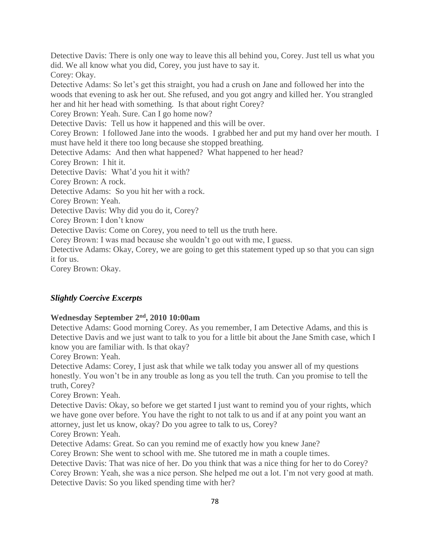Detective Davis: There is only one way to leave this all behind you, Corey. Just tell us what you did. We all know what you did, Corey, you just have to say it. Corey: Okay. Detective Adams: So let's get this straight, you had a crush on Jane and followed her into the woods that evening to ask her out. She refused, and you got angry and killed her. You strangled her and hit her head with something. Is that about right Corey? Corey Brown: Yeah. Sure. Can I go home now? Detective Davis: Tell us how it happened and this will be over. Corey Brown: I followed Jane into the woods. I grabbed her and put my hand over her mouth. I must have held it there too long because she stopped breathing. Detective Adams: And then what happened? What happened to her head? Corey Brown: I hit it. Detective Davis: What'd you hit it with? Corey Brown: A rock. Detective Adams: So you hit her with a rock. Corey Brown: Yeah. Detective Davis: Why did you do it, Corey? Corey Brown: I don't know Detective Davis: Come on Corey, you need to tell us the truth here. Corey Brown: I was mad because she wouldn't go out with me, I guess. Detective Adams: Okay, Corey, we are going to get this statement typed up so that you can sign it for us. Corey Brown: Okay.

## *Slightly Coercive Excerpts*

### **Wednesday September 2nd, 2010 10:00am**

Detective Adams: Good morning Corey. As you remember, I am Detective Adams, and this is Detective Davis and we just want to talk to you for a little bit about the Jane Smith case, which I know you are familiar with. Is that okay?

Corey Brown: Yeah.

Detective Adams: Corey, I just ask that while we talk today you answer all of my questions honestly. You won't be in any trouble as long as you tell the truth. Can you promise to tell the truth, Corey?

Corey Brown: Yeah.

Detective Davis: Okay, so before we get started I just want to remind you of your rights, which we have gone over before. You have the right to not talk to us and if at any point you want an attorney, just let us know, okay? Do you agree to talk to us, Corey?

Corey Brown: Yeah.

Detective Adams: Great. So can you remind me of exactly how you knew Jane?

Corey Brown: She went to school with me. She tutored me in math a couple times.

Detective Davis: That was nice of her. Do you think that was a nice thing for her to do Corey? Corey Brown: Yeah, she was a nice person. She helped me out a lot. I'm not very good at math. Detective Davis: So you liked spending time with her?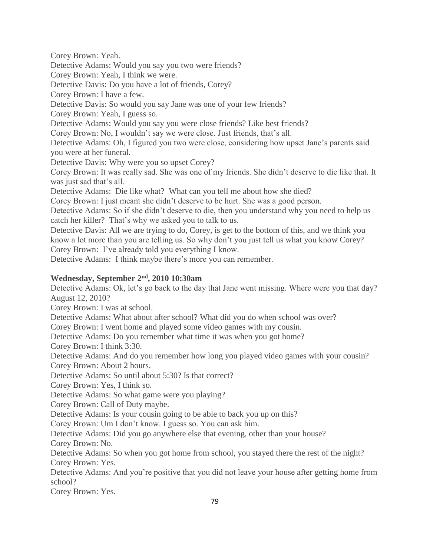Corey Brown: Yeah.

Detective Adams: Would you say you two were friends?

Corey Brown: Yeah, I think we were.

Detective Davis: Do you have a lot of friends, Corey?

Corey Brown: I have a few.

Detective Davis: So would you say Jane was one of your few friends?

Corey Brown: Yeah, I guess so.

Detective Adams: Would you say you were close friends? Like best friends?

Corey Brown: No, I wouldn't say we were close. Just friends, that's all.

Detective Adams: Oh, I figured you two were close, considering how upset Jane's parents said you were at her funeral.

Detective Davis: Why were you so upset Corey?

Corey Brown: It was really sad. She was one of my friends. She didn't deserve to die like that. It was just sad that's all.

Detective Adams: Die like what? What can you tell me about how she died?

Corey Brown: I just meant she didn't deserve to be hurt. She was a good person.

Detective Adams: So if she didn't deserve to die, then you understand why you need to help us catch her killer? That's why we asked you to talk to us.

Detective Davis: All we are trying to do, Corey, is get to the bottom of this, and we think you know a lot more than you are telling us. So why don't you just tell us what you know Corey? Corey Brown: I've already told you everything I know.

Detective Adams: I think maybe there's more you can remember.

## **Wednesday, September 2nd, 2010 10:30am**

Detective Adams: Ok, let's go back to the day that Jane went missing. Where were you that day? August 12, 2010?

Corey Brown: I was at school.

Detective Adams: What about after school? What did you do when school was over?

Corey Brown: I went home and played some video games with my cousin.

Detective Adams: Do you remember what time it was when you got home?

Corey Brown: I think 3:30.

Detective Adams: And do you remember how long you played video games with your cousin? Corey Brown: About 2 hours.

Detective Adams: So until about 5:30? Is that correct?

Corey Brown: Yes, I think so.

Detective Adams: So what game were you playing?

Corey Brown: Call of Duty maybe.

Detective Adams: Is your cousin going to be able to back you up on this?

Corey Brown: Um I don't know. I guess so. You can ask him.

Detective Adams: Did you go anywhere else that evening, other than your house? Corey Brown: No.

Detective Adams: So when you got home from school, you stayed there the rest of the night? Corey Brown: Yes.

Detective Adams: And you're positive that you did not leave your house after getting home from school?

Corey Brown: Yes.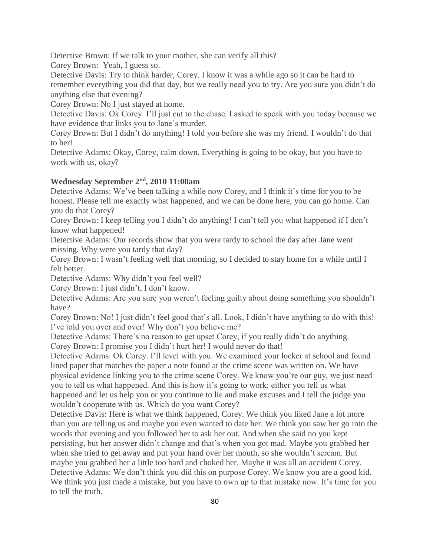Detective Brown: If we talk to your mother, she can verify all this?

Corey Brown: Yeah, I guess so.

Detective Davis: Try to think harder, Corey. I know it was a while ago so it can be hard to remember everything you did that day, but we really need you to try. Are you sure you didn't do anything else that evening?

Corey Brown: No I just stayed at home.

Detective Davis: Ok Corey. I'll just cut to the chase. I asked to speak with you today because we have evidence that links you to Jane's murder.

Corey Brown: But I didn't do anything! I told you before she was my friend. I wouldn't do that to her!

Detective Adams: Okay, Corey, calm down. Everything is going to be okay, but you have to work with us, okay?

## **Wednesday September 2nd, 2010 11:00am**

Detective Adams: We've been talking a while now Corey, and I think it's time for you to be honest. Please tell me exactly what happened, and we can be done here, you can go home. Can you do that Corey?

Corey Brown: I keep telling you I didn't do anything! I can't tell you what happened if I don't know what happened!

Detective Adams: Our records show that you were tardy to school the day after Jane went missing. Why were you tardy that day?

Corey Brown: I wasn't feeling well that morning, so I decided to stay home for a while until I felt better.

Detective Adams: Why didn't you feel well?

Corey Brown: I just didn't, I don't know.

Detective Adams: Are you sure you weren't feeling guilty about doing something you shouldn't have?

Corey Brown: No! I just didn't feel good that's all. Look, I didn't have anything to do with this! I've told you over and over! Why don't you believe me?

Detective Adams: There's no reason to get upset Corey, if you really didn't do anything. Corey Brown: I promise you I didn't hurt her! I would never do that!

Detective Adams: Ok Corey. I'll level with you. We examined your locker at school and found lined paper that matches the paper a note found at the crime scene was written on. We have physical evidence linking you to the crime scene Corey. We know you're our guy, we just need you to tell us what happened. And this is how it's going to work; either you tell us what happened and let us help you or you continue to lie and make excuses and I tell the judge you wouldn't cooperate with us. Which do you want Corey?

Detective Davis: Here is what we think happened, Corey. We think you liked Jane a lot more than you are telling us and maybe you even wanted to date her. We think you saw her go into the woods that evening and you followed her to ask her out. And when she said no you kept persisting, but her answer didn't change and that's when you got mad. Maybe you grabbed her when she tried to get away and put your hand over her mouth, so she wouldn't scream. But maybe you grabbed her a little too hard and choked her. Maybe it was all an accident Corey. Detective Adams: We don't think you did this on purpose Corey. We know you are a good kid. We think you just made a mistake, but you have to own up to that mistake now. It's time for you to tell the truth.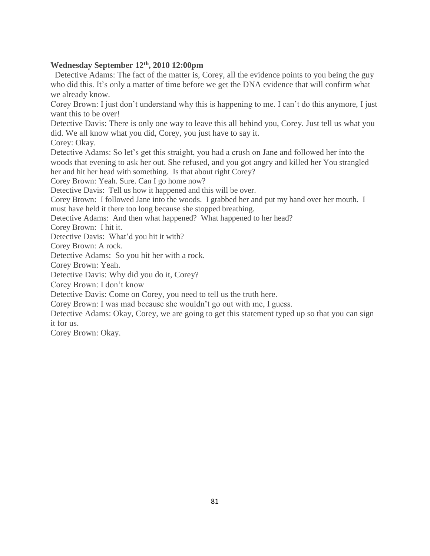## **Wednesday September 12th, 2010 12:00pm**

Detective Adams: The fact of the matter is, Corey, all the evidence points to you being the guy who did this. It's only a matter of time before we get the DNA evidence that will confirm what we already know.

Corey Brown: I just don't understand why this is happening to me. I can't do this anymore, I just want this to be over!

Detective Davis: There is only one way to leave this all behind you, Corey. Just tell us what you did. We all know what you did, Corey, you just have to say it.

Corey: Okay.

Detective Adams: So let's get this straight, you had a crush on Jane and followed her into the woods that evening to ask her out. She refused, and you got angry and killed her You strangled her and hit her head with something. Is that about right Corey?

Corey Brown: Yeah. Sure. Can I go home now?

Detective Davis: Tell us how it happened and this will be over.

Corey Brown: I followed Jane into the woods. I grabbed her and put my hand over her mouth. I must have held it there too long because she stopped breathing.

Detective Adams: And then what happened? What happened to her head?

Corey Brown: I hit it.

Detective Davis: What'd you hit it with?

Corey Brown: A rock.

Detective Adams: So you hit her with a rock.

Corey Brown: Yeah.

Detective Davis: Why did you do it, Corey?

Corey Brown: I don't know

Detective Davis: Come on Corey, you need to tell us the truth here.

Corey Brown: I was mad because she wouldn't go out with me, I guess.

Detective Adams: Okay, Corey, we are going to get this statement typed up so that you can sign it for us.

Corey Brown: Okay.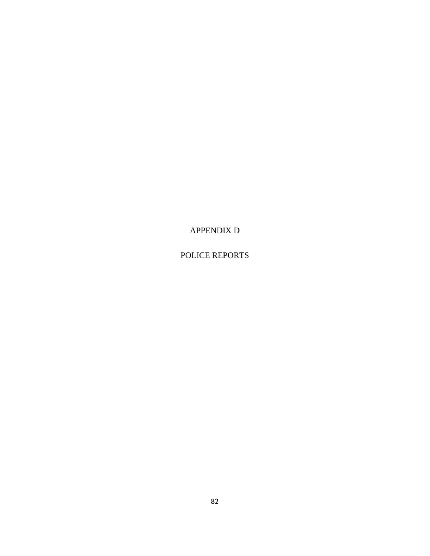APPENDIX D

POLICE REPORTS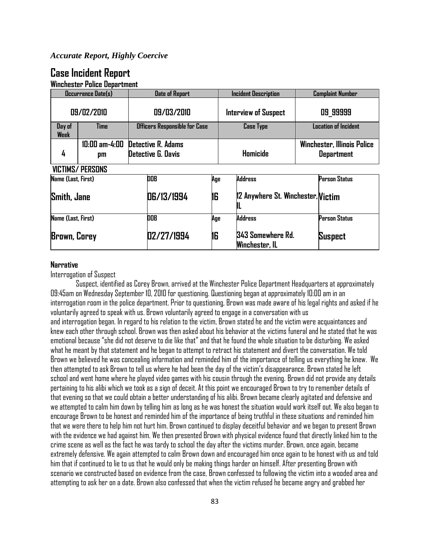#### *Accurate Report, Highly Coercive*

## **Case Incident Report Winchester Police Department**

|                     | Occurrence Date(s)     | <b>Date of Report</b>         |     | <b>Incident Description</b> |                                     | <b>Complaint Number</b>            |
|---------------------|------------------------|-------------------------------|-----|-----------------------------|-------------------------------------|------------------------------------|
|                     | 09/02/2010             | 09/03/2010                    |     |                             | Interview of Suspect                | 09 99999                           |
| Day of<br>Week      | <b>Time</b>            | Officers Responsible for Case |     |                             | <b>Case Type</b>                    | Location of Incident               |
|                     | 10:00 am-4:00          | <b>Detective R. Adams</b>     |     |                             |                                     | <b>Winchester, Illinois Police</b> |
| 4                   | pm                     | Detective G. Davis            |     |                             | Homicide                            | <b>Department</b>                  |
|                     | <b>VICTIMS/PERSONS</b> |                               |     |                             |                                     |                                    |
| Name (Last, First)  |                        | DOB                           | Age |                             | Address                             | <b>Person Status</b>               |
| Smith, Jane         |                        | 06/13/1994                    | 16  |                             | 12 Anywhere St. Winchester, Victim  |                                    |
| Name (Last, First)  |                        | <b>DOB</b>                    | Age |                             | <b>Address</b>                      | <b>Person Status</b>               |
| <b>Brown, Corey</b> |                        | 02/27/1994                    | 16  |                             | 343 Somewhere Rd.<br>Winchester, IL | <b>Suspect</b>                     |

#### **Narrative**

Interrogation of Suspect

Suspect, identified as Corey Brown, arrived at the Winchester Police Department Headquarters at approximately 09:45am on Wednesday September 10, 2010 for questioning. Questioning began at approximately 10:00 am in an interrogation room in the police department. Prior to questioning, Brown was made aware of his legal rights and asked if he voluntarily agreed to speak with us. Brown voluntarily agreed to engage in a conversation with us and interrogation began. In regard to his relation to the victim, Brown stated he and the victim were acquaintances and knew each other through school. Brown was then asked about his behavior at the victims funeral and he stated that he was emotional because "she did not deserve to die like that" and that he found the whole situation to be disturbing. We asked what he meant by that statement and he began to attempt to retract his statement and divert the conversation. We told Brown we believed he was concealing information and reminded him of the importance of telling us everything he knew. We then attempted to ask Brown to tell us where he had been the day of the victim's disappearance. Brown stated he left school and went home where he played video games with his cousin through the evening. Browndid not provide any details pertaining to his alibi which we took as a sign of deceit. At this point we encouraged Brown to try to remember details of that evening so that we could obtain a better understanding of his alibi. Brown became clearly agitated and defensive and we attempted to calm him down by telling him as long as he was honest the situation would work itself out. We also began to encourage Brown to be honest and reminded him of the importance of being truthful in these situations and reminded him that we were there to help him not hurt him. Brown continued to display deceitful behavior and we began to present Brown with the evidence we had against him. We then presented Brown with physical evidence found that directly linked him to the crime scene as well as the fact he was tardy to school the day after the victims murder. Brown, once again, became extremely defensive. We again attempted to calm Brown down and encouraged him once again to be honest with us and told him that if continued to lie to us that he would only be making things harder on himself. After presenting Brown with scenario we constructed based on evidence from the case, Brown confessed to following the victim into a wooded area and attempting to ask her on a date. Brown also confessed that when the victim refused he became angry and grabbed her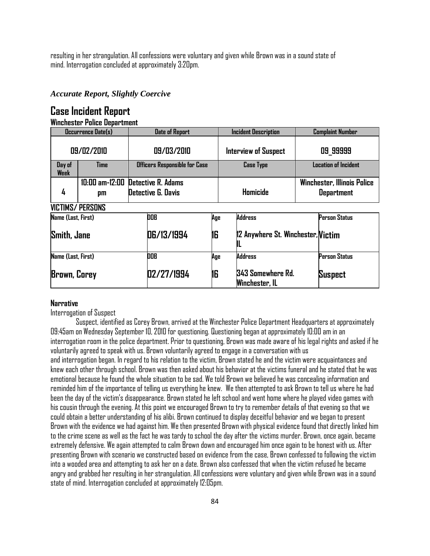resulting in her strangulation. All confessions were voluntary and given while Brown was in a sound state of mind. Interrogation concluded at approximately 3:20pm.

## *Accurate Report, Slightly Coercive*

## **Case Incident Report**

#### **Winchester Police Department**

|                     | Occurrence Date(s)        | <b>Date of Report</b>                           |     | <b>Incident Description</b> |                                     | <b>Complaint Number</b>                                 |
|---------------------|---------------------------|-------------------------------------------------|-----|-----------------------------|-------------------------------------|---------------------------------------------------------|
|                     | 09/02/2010                | 09/03/2010                                      |     |                             | Interview of Suspect                | 09 99999                                                |
| Day of<br>Week      | <b>Time</b>               | Officers Responsible for Case                   |     |                             | <b>Case Type</b>                    | <b>Location of Incident</b>                             |
| 4                   | $10:00$ am- $12:00$<br>pm | <b>Detective R. Adams</b><br>Detective G. Davis |     |                             | Homicide                            | <b>Winchester, Illinois Police</b><br><b>Department</b> |
|                     | <b>VICTIMS/PERSONS</b>    |                                                 |     |                             |                                     |                                                         |
| Name (Last, First)  |                           | <b>DOB</b>                                      | Age |                             | <b>Address</b>                      | Person Status                                           |
| Smith, Jane         |                           | 06/13/1994                                      | 16  |                             | 12 Anywhere St. Winchester, Victim  |                                                         |
| Name (Last, First)  |                           | <b>DOB</b>                                      | Age |                             | <b>Address</b>                      | Person Status                                           |
| <b>Brown, Corey</b> |                           | 02/27/1994                                      | 16  |                             | 343 Somewhere Rd.<br>Winchester, IL | <b>Suspect</b>                                          |

#### **Narrative**

Interrogation of Suspect

Suspect, identified as Corey Brown, arrived at the Winchester Police Department Headquarters at approximately 09:45am on Wednesday September 10, 2010 for questioning. Questioning began at approximately 10:00 am in an interrogation room in the police department. Prior to questioning, Brown was made aware of his legal rights and asked if he voluntarily agreed to speak with us. Brown voluntarily agreed to engage in a conversation with us and interrogation began. In regard to his relation to the victim, Brown stated he and the victim were acquaintances and knew each other through school. Brown was then asked about his behavior at the victims funeral and he stated that he was emotional because he found the whole situation to be sad. We told Brown we believed he was concealing information and reminded him of the importance of telling us everything he knew. We then attempted to ask Brown to tell us where he had been the day of the victim's disappearance. Brown stated he left school and went home where he played video games with his cousin through the evening. At this point we encouraged Brown to try to remember details of that evening so that we could obtain a better understanding of his alibi. Brown continued to display deceitful behavior and we began to present Brown with the evidence we had against him. We then presented Brown with physical evidence found that directly linked him to the crime scene as well as the fact he was tardy to school the day after the victims murder. Brown, once again, became extremely defensive. We again attempted to calm Brown down and encouraged him once again to be honest with us. After presenting Brown with scenario we constructed based on evidence from the case, Brown confessed to following the victim into a wooded area and attempting to ask her on a date. Brown also confessed that when the victim refused he became angry and grabbed her resulting in her strangulation. All confessions were voluntary and given while Brown was in a sound state of mind. Interrogation concluded at approximately 12:05pm.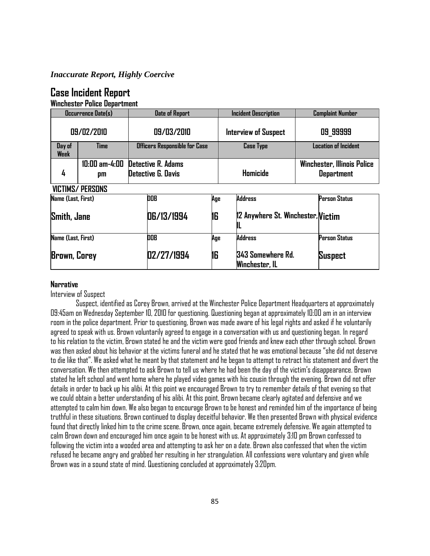#### *Inaccurate Report, Highly Coercive*

## **Case Incident Report**

#### **Winchester Police Department**

|                       | Occurrence Date(s)     | <b>Date of Report</b>                           |     | <b>Incident Description</b>                | <b>Complaint Number</b>                                 |  |
|-----------------------|------------------------|-------------------------------------------------|-----|--------------------------------------------|---------------------------------------------------------|--|
|                       | 09/02/2010             | 09/03/2010                                      |     | Interview of Suspect                       | 09 99999                                                |  |
| Day of<br><b>Week</b> | <b>Time</b>            | Officers Responsible for Case                   |     | <b>Case Type</b>                           | <b>Location of Incident</b>                             |  |
| 4                     | 10:00 am-4:00<br>pm    | <b>Detective R. Adams</b><br>Detective G. Davis |     | Hamicide                                   | <b>Winchester, Illinois Police</b><br><b>Department</b> |  |
|                       | <b>VICTIMS/PERSONS</b> |                                                 |     |                                            |                                                         |  |
| Name (Last, First)    |                        | DOB                                             | Age | <b>Address</b>                             | Person Status                                           |  |
| Smith, Jane           |                        | 06/13/1994                                      | 16  | 12 Anywhere St. Winchester, Victim         |                                                         |  |
| Name (Last, First)    |                        | DOB                                             | Age | Address                                    | <b>Person Status</b>                                    |  |
| <b>Brown, Corey</b>   |                        | 02/27/1994                                      | 16  | 343 Somewhere Rd.<br><b>Winchester, IL</b> | <b>Suspect</b>                                          |  |

#### **Narrative**

Interview of Suspect

Suspect, identified as Corey Brown, arrived at the Winchester Police Department Headquarters at approximately 09:45am on Wednesday September 10, 2010 for questioning. Questioning began at approximately 10:00 am in an interview room in the police department. Prior to questioning, Brown was made aware of his legal rights and asked if he voluntarily agreed to speak with us. Brown voluntarily agreed to engage in a conversation with us and questioning began. In regard to his relation to the victim, Brown stated he and the victim were good friends and knew each other through school. Brown was then asked about his behavior at the victims funeral and he stated that he was emotional because "she did not deserve to die like that". We asked what he meant by that statement and he began to attempt to retract his statement and divert the conversation. We then attempted to ask Brown to tell us where he had been the day of the victim's disappearance. Brown stated he left school and went home where he played video games with his cousin through the evening. Brown did not offer details in order to back up his alibi. At this point we encouraged Brown to try to remember details of that evening so that we could obtain a better understanding of his alibi. At this point, Brown became clearly agitated and defensive and we attempted to calm him down. We also began to encourage Brown to be honest and reminded him of the importance of being truthful in these situations. Brown continued to display deceitful behavior. We then presented Brown with physical evidence found that directly linked him to the crime scene. Brown, once again, became extremely defensive. We again attempted to calm Brown down and encouraged him once again to be honest with us. At approximately 3:10 pm Brown confessed to following the victim into a wooded area and attempting to ask her on a date. Brown also confessed that when the victim refused he became angry and grabbed her resulting in her strangulation. All confessions were voluntary and given while Brown was in a sound state of mind. Questioning concluded at approximately 3:20pm.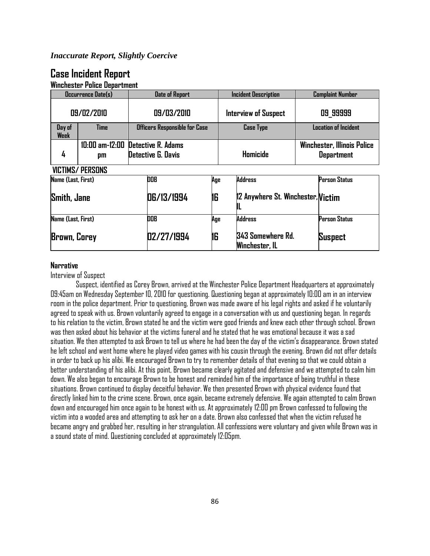#### *Inaccurate Report, Slightly Coercive*

# **Case Incident Report**

|                       | Occurrence Date(s)                      | <b>Date of Report</b>         |     | <b>Incident Description</b>         | <b>Complaint Number</b>                                 |
|-----------------------|-----------------------------------------|-------------------------------|-----|-------------------------------------|---------------------------------------------------------|
|                       | 09/02/2010                              | 09/03/2010                    |     | Interview of Suspect                | 09 99999                                                |
| Day of<br><b>Week</b> | <b>Time</b>                             | Officers Responsible for Case |     | <b>Case Type</b>                    | <b>Location of Incident</b>                             |
| 4                     | 10:00 am-12:00 Detective R. Adams<br>pm | Detective G. Davis            |     | Homicide                            | <b>Winchester, Illinois Police</b><br><b>Department</b> |
|                       | <b>VICTIMS/PERSONS</b>                  |                               |     |                                     |                                                         |
| Name (Last, First)    |                                         | <b>DOB</b>                    | Age | <b>Address</b>                      | Person Status                                           |
| Smith, Jane           |                                         | 06/13/1994                    | 16  | 12 Anywhere St. Winchester, Victim  |                                                         |
| Name (Last, First)    |                                         | DOB                           | Age | Address                             | Person Status                                           |
| <b>Brown, Corey</b>   |                                         | 02/27/1994                    | 16  | 343 Somewhere Rd.<br>Winchester, IL | Suspect                                                 |

## **Winchester Police Department**

#### **Narrative**

Interview of Suspect

Suspect, identified as Corey Brown, arrived at the Winchester Police Department Headquarters at approximately 09:45am on Wednesday September 10, 2010 for questioning. Questioning began at approximately 10:00 am in an interview room in the police department. Prior to questioning, Brown was made aware of his legal rights and asked if he voluntarily agreed to speak with us. Brown voluntarily agreed to engage in a conversation with us and questioning began. In regards to his relation to the victim, Brown stated he and the victim were good friends and knew each other through school. Brown was then asked about his behavior at the victims funeral and he stated that he was emotional because it was a sad situation. We then attempted to ask Brown to tell us where he had been the day of the victim's disappearance. Brown stated he left school and went home where he played video games with his cousin through the evening. Brown did not offer details in order to back up his alibi. We encouraged Brown to try to remember details of that evening so that we could obtain a better understanding of his alibi. At this point, Brown became clearly agitated and defensive and we attempted to calm him down. We also began to encourage Brown to be honest and reminded him of the importance of being truthful in these situations. Brown continued to display deceitful behavior. We then presented Brown with physical evidence found that directly linked him to the crime scene. Brown, once again, became extremely defensive. We again attempted to calm Brown down and encouraged him once again to be honest with us. At approximately 12:00 pm Brown confessed to following the victim into a wooded area and attempting to ask her on a date. Brown also confessed that when the victim refused he became angry and grabbed her, resulting in her strangulation. All confessions were voluntary and given while Brown was in a sound state of mind. Questioning concluded at approximately 12:05pm.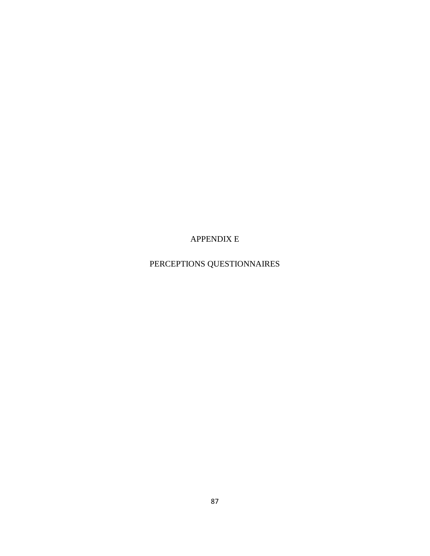APPENDIX E

PERCEPTIONS QUESTIONNAIRES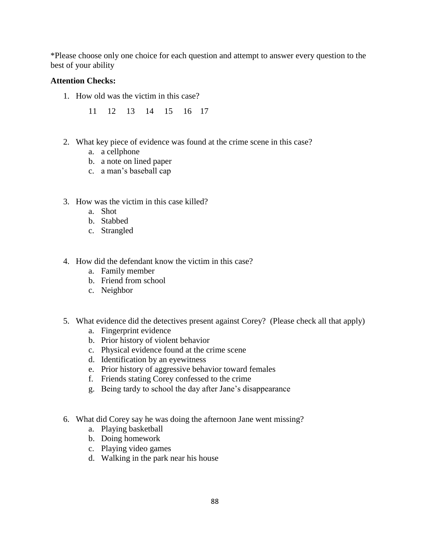\*Please choose only one choice for each question and attempt to answer every question to the best of your ability

#### **Attention Checks:**

1. How old was the victim in this case?

11 12 13 14 15 16 17

- 2. What key piece of evidence was found at the crime scene in this case?
	- a. a cellphone
	- b. a note on lined paper
	- c. a man's baseball cap
- 3. How was the victim in this case killed?
	- a. Shot
	- b. Stabbed
	- c. Strangled
- 4. How did the defendant know the victim in this case?
	- a. Family member
	- b. Friend from school
	- c. Neighbor
- 5. What evidence did the detectives present against Corey? (Please check all that apply)
	- a. Fingerprint evidence
	- b. Prior history of violent behavior
	- c. Physical evidence found at the crime scene
	- d. Identification by an eyewitness
	- e. Prior history of aggressive behavior toward females
	- f. Friends stating Corey confessed to the crime
	- g. Being tardy to school the day after Jane's disappearance
- 6. What did Corey say he was doing the afternoon Jane went missing?
	- a. Playing basketball
	- b. Doing homework
	- c. Playing video games
	- d. Walking in the park near his house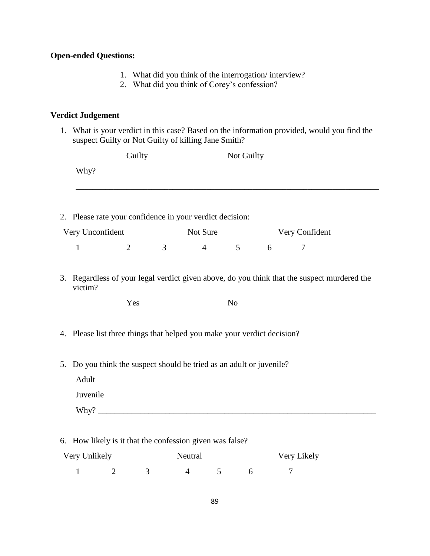## **Open-ended Questions:**

- 1. What did you think of the interrogation/ interview?
- 2. What did you think of Corey's confession?

## **Verdict Judgement**

1. What is your verdict in this case? Based on the information provided, would you find the suspect Guilty or Not Guilty of killing Jane Smith?

|                                                                                    | Guilty         |   |                | Not Guilty     |   |                                                                                             |  |
|------------------------------------------------------------------------------------|----------------|---|----------------|----------------|---|---------------------------------------------------------------------------------------------|--|
| Why?                                                                               |                |   |                |                |   |                                                                                             |  |
| 2. Please rate your confidence in your verdict decision:                           |                |   |                |                |   |                                                                                             |  |
| Very Unconfident                                                                   |                |   | Not Sure       |                |   | Very Confident                                                                              |  |
| $\mathbf{1}$                                                                       | $\overline{2}$ | 3 | $\overline{4}$ | 5 <sup>5</sup> | 6 | $\overline{7}$                                                                              |  |
| victim?<br>4. Please list three things that helped you make your verdict decision? | Yes            |   |                | N <sub>o</sub> |   | 3. Regardless of your legal verdict given above, do you think that the suspect murdered the |  |
|                                                                                    |                |   |                |                |   |                                                                                             |  |

| Very Unlikely |  | Neutral |  | Very Likely |
|---------------|--|---------|--|-------------|
|               |  |         |  |             |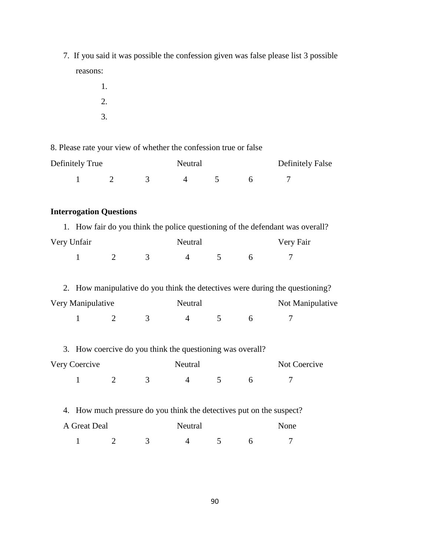- 7. If you said it was possible the confession given was false please list 3 possible reasons:
	- 1. 2. 3.

8. Please rate your view of whether the confession true or false

| Definitely True |  | Neutral |  | <b>Definitely False</b> |  |
|-----------------|--|---------|--|-------------------------|--|
|                 |  |         |  |                         |  |

## **Interrogation Questions**

|               |          |                |               |   | 1. How fair do you think the police questioning of the defendant was overall? |
|---------------|----------|----------------|---------------|---|-------------------------------------------------------------------------------|
| Very Unfair   |          | Neutral        |               |   | Very Fair                                                                     |
| $\frac{1}{2}$ | $\sim$ 3 | $\overline{4}$ | $\sim$ $\sim$ | 6 |                                                                               |

2. How manipulative do you think the detectives were during the questioning?

| Very Manipulative |  |  | Neutral |  |  | Not Manipulative |  |
|-------------------|--|--|---------|--|--|------------------|--|
|                   |  |  |         |  |  |                  |  |

3. How coercive do you think the questioning was overall?

| Very Coercive |  |  | Neutral |  | Not Coercive |  |
|---------------|--|--|---------|--|--------------|--|
|               |  |  |         |  |              |  |

|              |  |           |  | 4. How much pressure do you think the detectives put on the suspect? |
|--------------|--|-----------|--|----------------------------------------------------------------------|
| A Great Deal |  | Neutral   |  | <b>None</b>                                                          |
|              |  | $\Lambda$ |  |                                                                      |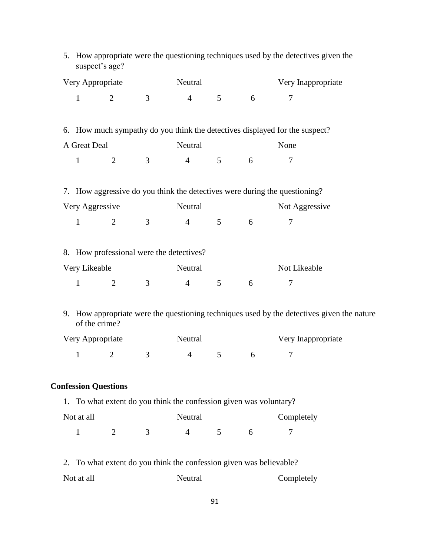|    | 5. How appropriate were the questioning techniques used by the detectives given the<br>suspect's age?    |                             |   |                                                                    |                 |   |                                                                             |  |  |
|----|----------------------------------------------------------------------------------------------------------|-----------------------------|---|--------------------------------------------------------------------|-----------------|---|-----------------------------------------------------------------------------|--|--|
|    | Very Appropriate                                                                                         |                             |   | Neutral                                                            |                 |   | Very Inappropriate                                                          |  |  |
|    | $\mathbf{1}$                                                                                             | 2                           | 3 | $\overline{4}$                                                     | $5\overline{)}$ | 6 | 7                                                                           |  |  |
|    |                                                                                                          |                             |   |                                                                    |                 |   | 6. How much sympathy do you think the detectives displayed for the suspect? |  |  |
|    | A Great Deal                                                                                             |                             |   | Neutral                                                            |                 |   | None                                                                        |  |  |
|    | $\mathbf{1}$                                                                                             | $\overline{2}$              | 3 | $\overline{4}$                                                     | $\mathfrak{S}$  | 6 | 7                                                                           |  |  |
|    |                                                                                                          |                             |   |                                                                    |                 |   | 7. How aggressive do you think the detectives were during the questioning?  |  |  |
|    | Very Aggressive                                                                                          |                             |   | Neutral                                                            |                 |   | Not Aggressive                                                              |  |  |
|    | $\mathbf{1}$                                                                                             | 2                           | 3 | $\overline{4}$                                                     | $5\overline{)}$ | 6 | $\overline{7}$                                                              |  |  |
|    |                                                                                                          |                             |   | 8. How professional were the detectives?                           |                 |   |                                                                             |  |  |
|    | Very Likeable                                                                                            |                             |   | Neutral                                                            |                 |   | Not Likeable                                                                |  |  |
|    | $\mathbf{1}$                                                                                             | $\overline{2}$              | 3 | $\overline{4}$                                                     | 5               | 6 | 7                                                                           |  |  |
| 9. | How appropriate were the questioning techniques used by the detectives given the nature<br>of the crime? |                             |   |                                                                    |                 |   |                                                                             |  |  |
|    | Very Appropriate                                                                                         |                             |   | Neutral                                                            |                 |   | Very Inappropriate                                                          |  |  |
|    | $\mathbf{1}$                                                                                             | $\overline{2}$              | 3 | $\overline{4}$                                                     | 5               | 6 | 7                                                                           |  |  |
|    |                                                                                                          | <b>Confession Questions</b> |   |                                                                    |                 |   |                                                                             |  |  |
|    |                                                                                                          |                             |   | 1. To what extent do you think the confession given was voluntary? |                 |   |                                                                             |  |  |
|    | Not at all                                                                                               |                             |   | Neutral                                                            |                 |   | Completely                                                                  |  |  |
|    | $\mathbf{1}$                                                                                             | 2                           | 3 | $\overline{4}$                                                     | 5               | 6 | 7                                                                           |  |  |
|    |                                                                                                          |                             |   |                                                                    |                 |   |                                                                             |  |  |

2. To what extent do you think the confession given was believable?

| Not at all<br>Neutral | Completely |
|-----------------------|------------|
|-----------------------|------------|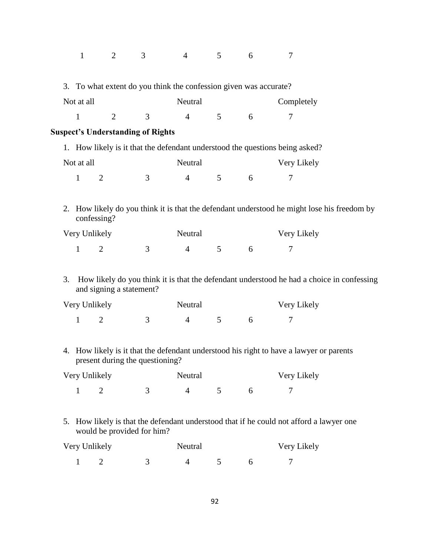|    | $\mathbf{1}$ | $\overline{2}$           | 3                                                                 | $\overline{4}$ | 5              | 6 | 7                                                                                           |  |
|----|--------------|--------------------------|-------------------------------------------------------------------|----------------|----------------|---|---------------------------------------------------------------------------------------------|--|
|    |              |                          | 3. To what extent do you think the confession given was accurate? |                |                |   |                                                                                             |  |
|    | Not at all   |                          |                                                                   | Neutral        |                |   | Completely                                                                                  |  |
|    | $\mathbf{1}$ | $\overline{2}$           | 3                                                                 | $\overline{4}$ | 5 <sup>5</sup> | 6 | 7                                                                                           |  |
|    |              |                          | <b>Suspect's Understanding of Rights</b>                          |                |                |   |                                                                                             |  |
|    |              |                          |                                                                   |                |                |   | 1. How likely is it that the defendant understood the questions being asked?                |  |
|    | Not at all   |                          |                                                                   | Neutral        |                |   | Very Likely                                                                                 |  |
|    | $\mathbf{1}$ | 2                        | 3                                                                 | $\overline{4}$ | 5 <sup>1</sup> | 6 | 7                                                                                           |  |
|    |              | confessing?              |                                                                   |                |                |   | 2. How likely do you think it is that the defendant understood he might lose his freedom by |  |
|    |              | Very Unlikely            |                                                                   | Neutral        |                |   | Very Likely                                                                                 |  |
|    | $\mathbf{1}$ | $\overline{2}$           | 3                                                                 | $\overline{4}$ | 5 <sup>5</sup> | 6 | 7                                                                                           |  |
|    |              |                          |                                                                   |                |                |   |                                                                                             |  |
| 3. |              | and signing a statement? |                                                                   |                |                |   | How likely do you think it is that the defendant understood he had a choice in confessing   |  |
|    |              | Very Unlikely            |                                                                   | Neutral        |                |   | Very Likely                                                                                 |  |
|    | $\mathbf{1}$ | $\overline{2}$           | 3                                                                 | $\overline{4}$ | 5              | 6 | 7                                                                                           |  |
|    |              |                          | present during the questioning?                                   |                |                |   | 4. How likely is it that the defendant understood his right to have a lawyer or parents     |  |
|    |              | Very Unlikely            |                                                                   | Neutral        |                |   | Very Likely                                                                                 |  |
|    | $\mathbf{1}$ | 2                        | 3                                                                 | $\overline{4}$ | 5 <sup>5</sup> | 6 | 7                                                                                           |  |
|    |              |                          | would be provided for him?                                        |                |                |   | 5. How likely is that the defendant understood that if he could not afford a lawyer one     |  |
|    |              | Very Unlikely            |                                                                   | Neutral        |                |   | Very Likely                                                                                 |  |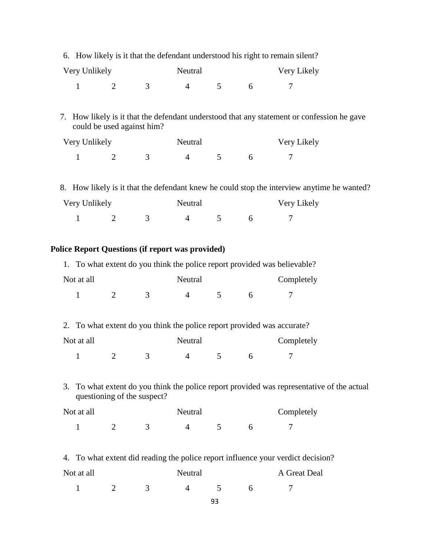|                                |                                                                                                                              |                |                            |                                                         |                |                | 6. How likely is it that the defendant understood his right to remain silent?              |  |  |  |
|--------------------------------|------------------------------------------------------------------------------------------------------------------------------|----------------|----------------------------|---------------------------------------------------------|----------------|----------------|--------------------------------------------------------------------------------------------|--|--|--|
|                                | Very Unlikely                                                                                                                |                |                            | Neutral                                                 |                |                | Very Likely                                                                                |  |  |  |
| $\mathbf{1}$<br>$\overline{2}$ |                                                                                                                              | 3              | $\overline{4}$             | 5 <sup>5</sup>                                          | 6              | $\overline{7}$ |                                                                                            |  |  |  |
| 7.                             |                                                                                                                              |                | could be used against him? |                                                         |                |                | How likely is it that the defendant understood that any statement or confession he gave    |  |  |  |
|                                | Very Unlikely                                                                                                                |                |                            | Neutral                                                 |                |                | Very Likely                                                                                |  |  |  |
|                                | $\mathbf{1}$                                                                                                                 | $\overline{2}$ | 3                          | $\overline{4}$                                          | 5              | 6              | 7                                                                                          |  |  |  |
|                                |                                                                                                                              |                |                            |                                                         |                |                | 8. How likely is it that the defendant knew he could stop the interview anytime he wanted? |  |  |  |
|                                | Very Unlikely                                                                                                                |                |                            | Neutral                                                 |                |                | Very Likely                                                                                |  |  |  |
|                                | $\mathbf{1}$                                                                                                                 | 2              | 3                          | $\overline{4}$                                          | 5              | 6              | 7                                                                                          |  |  |  |
|                                |                                                                                                                              |                |                            | <b>Police Report Questions (if report was provided)</b> |                |                |                                                                                            |  |  |  |
|                                |                                                                                                                              |                |                            |                                                         |                |                | 1. To what extent do you think the police report provided was believable?                  |  |  |  |
| Not at all                     |                                                                                                                              |                |                            | Neutral                                                 |                |                | Completely                                                                                 |  |  |  |
|                                | $\mathbf{1}$                                                                                                                 | $\overline{2}$ | 3                          | $\overline{4}$                                          | $\mathfrak{S}$ | 6              | 7                                                                                          |  |  |  |
|                                |                                                                                                                              |                |                            |                                                         |                |                | 2. To what extent do you think the police report provided was accurate?                    |  |  |  |
|                                | Not at all                                                                                                                   |                |                            | Neutral                                                 |                |                | Completely                                                                                 |  |  |  |
|                                | $\mathbf{1}$                                                                                                                 | $\overline{2}$ | 3                          | $\overline{4}$                                          | 5              | 6              | 7                                                                                          |  |  |  |
|                                | To what extent do you think the police report provided was representative of the actual<br>3.<br>questioning of the suspect? |                |                            |                                                         |                |                |                                                                                            |  |  |  |
| Not at all                     |                                                                                                                              |                |                            | Neutral                                                 |                |                | Completely                                                                                 |  |  |  |
|                                | 1                                                                                                                            | 2              | 3                          | $\overline{4}$                                          | $5^{\circ}$    | 6              | 7                                                                                          |  |  |  |
|                                |                                                                                                                              |                |                            |                                                         |                |                | 4. To what extent did reading the police report influence your verdict decision?           |  |  |  |
|                                | Not at all                                                                                                                   |                |                            | Neutral                                                 |                |                | A Great Deal                                                                               |  |  |  |
|                                | $\mathbf{1}$                                                                                                                 | $\overline{2}$ | 3                          | $\overline{4}$                                          | 5              | 6              | 7                                                                                          |  |  |  |
|                                |                                                                                                                              |                |                            |                                                         | 93             |                |                                                                                            |  |  |  |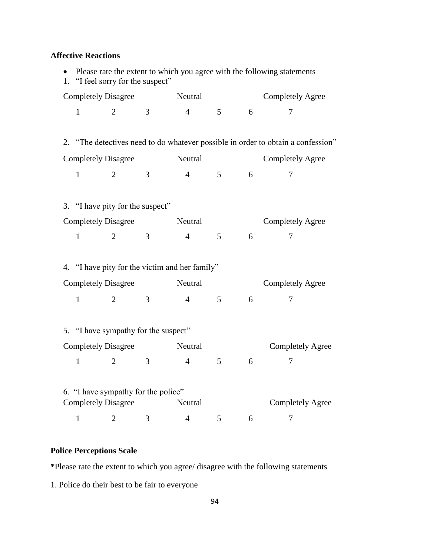## **Affective Reactions**

1. "I feel sorry for the suspect"

| <b>Completely Disagree</b> |                                      |                |                | Neutral                                        |                 |   | <b>Completely Agree</b>                                                          |
|----------------------------|--------------------------------------|----------------|----------------|------------------------------------------------|-----------------|---|----------------------------------------------------------------------------------|
|                            | $\mathbf{1}$                         | $\overline{2}$ | 3              | $\overline{4}$                                 | 5 <sup>5</sup>  | 6 | 7                                                                                |
|                            |                                      |                |                |                                                |                 |   |                                                                                  |
|                            |                                      |                |                |                                                |                 |   | 2. "The detectives need to do whatever possible in order to obtain a confession" |
|                            | <b>Completely Disagree</b>           |                |                | Neutral                                        |                 |   | <b>Completely Agree</b>                                                          |
|                            | $\mathbf{1}$                         | $\overline{2}$ | 3              | $4\overline{ }$                                | 5 <sup>5</sup>  | 6 | 7                                                                                |
|                            | 3. "I have pity for the suspect"     |                |                |                                                |                 |   |                                                                                  |
|                            | <b>Completely Disagree</b>           |                |                | Neutral                                        |                 |   | <b>Completely Agree</b>                                                          |
|                            | $\mathbf{1}$                         | $\overline{2}$ | $\overline{3}$ | $\overline{4}$                                 | 5 <sup>5</sup>  | 6 | 7                                                                                |
|                            |                                      |                |                |                                                |                 |   |                                                                                  |
|                            |                                      |                |                | 4. "I have pity for the victim and her family" |                 |   |                                                                                  |
|                            | <b>Completely Disagree</b>           |                |                | Neutral                                        |                 |   | <b>Completely Agree</b>                                                          |
|                            | $\mathbf{1}$                         | $\overline{2}$ | 3              | $\overline{4}$                                 | 5               | 6 | 7                                                                                |
|                            | 5. "I have sympathy for the suspect" |                |                |                                                |                 |   |                                                                                  |
|                            | <b>Completely Disagree</b>           |                |                | Neutral                                        |                 |   | <b>Completely Agree</b>                                                          |
|                            | $\mathbf{1}$                         | $\overline{2}$ | 3              | $\overline{4}$                                 | 5               | 6 | 7                                                                                |
|                            |                                      |                |                |                                                |                 |   |                                                                                  |
|                            | 6. "I have sympathy for the police"  |                |                |                                                |                 |   |                                                                                  |
|                            | <b>Completely Disagree</b>           |                |                | Neutral                                        |                 |   | <b>Completely Agree</b>                                                          |
|                            | $\mathbf{1}$                         | $\overline{2}$ | 3              | $\overline{4}$                                 | $5\overline{)}$ | 6 | 7                                                                                |

## **Police Perceptions Scale**

**\***Please rate the extent to which you agree/ disagree with the following statements

1. Police do their best to be fair to everyone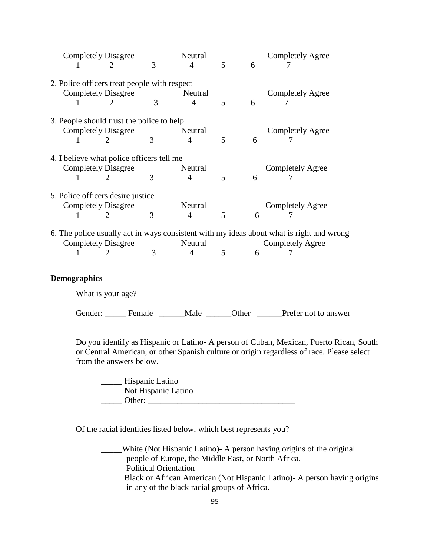|                                              | <b>Completely Disagree</b>                |        | Neutral        |                |       | <b>Completely Agree</b>                                                                  |  |
|----------------------------------------------|-------------------------------------------|--------|----------------|----------------|-------|------------------------------------------------------------------------------------------|--|
|                                              | 2                                         | 3      | $\overline{4}$ | 5              | 6     |                                                                                          |  |
| 2. Police officers treat people with respect |                                           |        |                |                |       |                                                                                          |  |
|                                              | <b>Completely Disagree</b>                |        | Neutral        |                |       | <b>Completely Agree</b>                                                                  |  |
| 1                                            | 2                                         | 3      | 4              | 5              | 6     |                                                                                          |  |
|                                              | 3. People should trust the police to help |        |                |                |       |                                                                                          |  |
|                                              | <b>Completely Disagree</b>                |        | Neutral        |                |       | <b>Completely Agree</b>                                                                  |  |
|                                              | 2                                         | 3      | $\overline{4}$ | 5              | 6     |                                                                                          |  |
| 4. I believe what police officers tell me    |                                           |        |                |                |       |                                                                                          |  |
|                                              | <b>Completely Disagree</b>                |        | Neutral        |                |       | <b>Completely Agree</b>                                                                  |  |
| 1                                            | 2                                         | 3      | $\overline{4}$ | 5 <sup>5</sup> | 6     | 7                                                                                        |  |
|                                              | 5. Police officers desire justice         |        |                |                |       |                                                                                          |  |
|                                              | <b>Completely Disagree</b>                |        | Neutral        |                |       | <b>Completely Agree</b>                                                                  |  |
|                                              | $\overline{2}$                            | 3      | $\overline{4}$ | 5              | 6     | 7                                                                                        |  |
|                                              |                                           |        |                |                |       | 6. The police usually act in ways consistent with my ideas about what is right and wrong |  |
|                                              | <b>Completely Disagree</b>                |        | Neutral        |                |       | <b>Completely Agree</b>                                                                  |  |
| 1                                            | 2                                         | 3      | $\overline{4}$ | 5 <sup>5</sup> | 6     |                                                                                          |  |
| <b>Demographics</b>                          |                                           |        |                |                |       |                                                                                          |  |
|                                              |                                           |        |                |                |       |                                                                                          |  |
|                                              | What is your age?                         |        |                |                |       |                                                                                          |  |
| Gender:                                      |                                           | Female | Male           |                | Other | Prefer not to answer                                                                     |  |

Do you identify as Hispanic or Latino- A person of Cuban, Mexican, Puerto Rican, South or Central American, or other Spanish culture or origin regardless of race. Please select from the answers below.

| Hispanic Latino     |  |
|---------------------|--|
| Not Hispanic Latino |  |
| Other:              |  |

Of the racial identities listed below, which best represents you?

- \_\_\_\_\_White (Not Hispanic Latino)- A person having origins of the original people of Europe, the Middle East, or North Africa. Political Orientation
- \_\_\_\_\_ Black or African American (Not Hispanic Latino)- A person having origins in any of the black racial groups of Africa.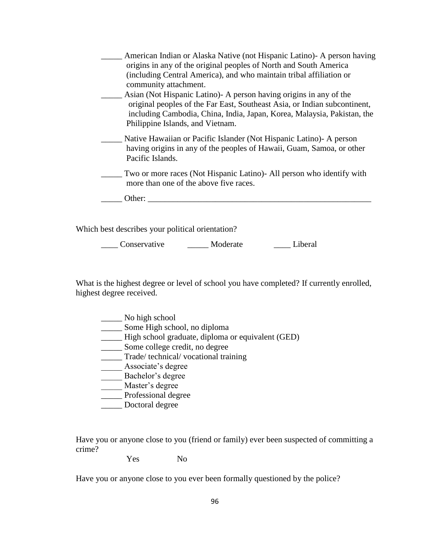| American Indian or Alaska Native (not Hispanic Latino)- A person having<br>origins in any of the original peoples of North and South America<br>(including Central America), and who maintain tribal affiliation or<br>community attachment.                    |
|-----------------------------------------------------------------------------------------------------------------------------------------------------------------------------------------------------------------------------------------------------------------|
| Asian (Not Hispanic Latino) - A person having origins in any of the<br>original peoples of the Far East, Southeast Asia, or Indian subcontinent,<br>including Cambodia, China, India, Japan, Korea, Malaysia, Pakistan, the<br>Philippine Islands, and Vietnam. |
| Native Hawaiian or Pacific Islander (Not Hispanic Latino) - A person<br>having origins in any of the peoples of Hawaii, Guam, Samoa, or other<br>Pacific Islands.                                                                                               |
| Two or more races (Not Hispanic Latino) - All person who identify with<br>more than one of the above five races.                                                                                                                                                |
| Other:                                                                                                                                                                                                                                                          |
| Which best describes your political orientation?                                                                                                                                                                                                                |

\_\_\_\_ Conservative \_\_\_\_\_ Moderate \_\_\_\_ Liberal

What is the highest degree or level of school you have completed? If currently enrolled, highest degree received.

- \_\_\_\_\_ No high school \_\_\_\_\_ Some High school, no diploma \_\_\_\_\_ High school graduate, diploma or equivalent (GED) \_\_\_\_\_\_ Some college credit, no degree \_\_\_\_\_ Trade/ technical/ vocational training \_\_\_\_\_ Associate's degree Bachelor's degree \_\_\_\_\_ Master's degree \_\_\_\_\_ Professional degree
- \_\_\_\_\_ Doctoral degree

Have you or anyone close to you (friend or family) ever been suspected of committing a crime?

Yes No

Have you or anyone close to you ever been formally questioned by the police?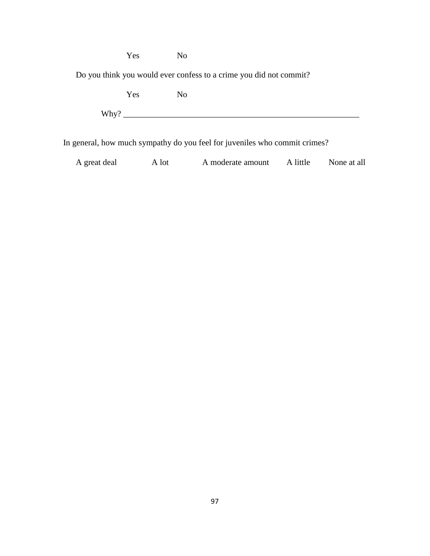Yes No Do you think you would ever confess to a crime you did not commit? Yes No Why? \_\_\_\_\_\_\_\_\_\_\_\_\_\_\_\_\_\_\_\_\_\_\_\_\_\_\_\_\_\_\_\_\_\_\_\_\_\_\_\_\_\_\_\_\_\_\_\_\_\_\_\_\_\_\_\_

In general, how much sympathy do you feel for juveniles who commit crimes?

A great deal A lot A moderate amount A little None at all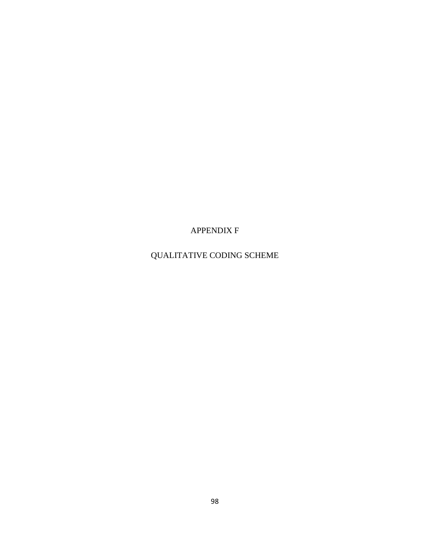APPENDIX F

QUALITATIVE CODING SCHEME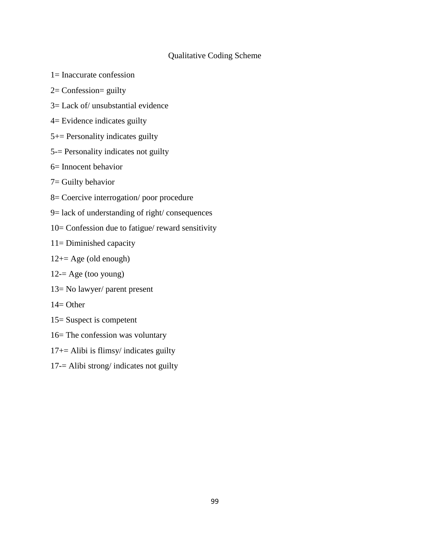#### Qualitative Coding Scheme

- 1= Inaccurate confession
- 2= Confession= guilty
- 3= Lack of/ unsubstantial evidence
- 4= Evidence indicates guilty
- 5+= Personality indicates guilty
- 5-= Personality indicates not guilty
- 6= Innocent behavior
- 7= Guilty behavior
- 8= Coercive interrogation/ poor procedure
- 9= lack of understanding of right/ consequences
- 10= Confession due to fatigue/ reward sensitivity
- 11= Diminished capacity
- $12+=$  Age (old enough)
- $12 = \text{Age}$  (too young)
- 13= No lawyer/ parent present
- $14=$  Other
- 15= Suspect is competent
- 16= The confession was voluntary
- $17+=$  Alibi is flimsy/ indicates guilty
- 17-= Alibi strong/ indicates not guilty